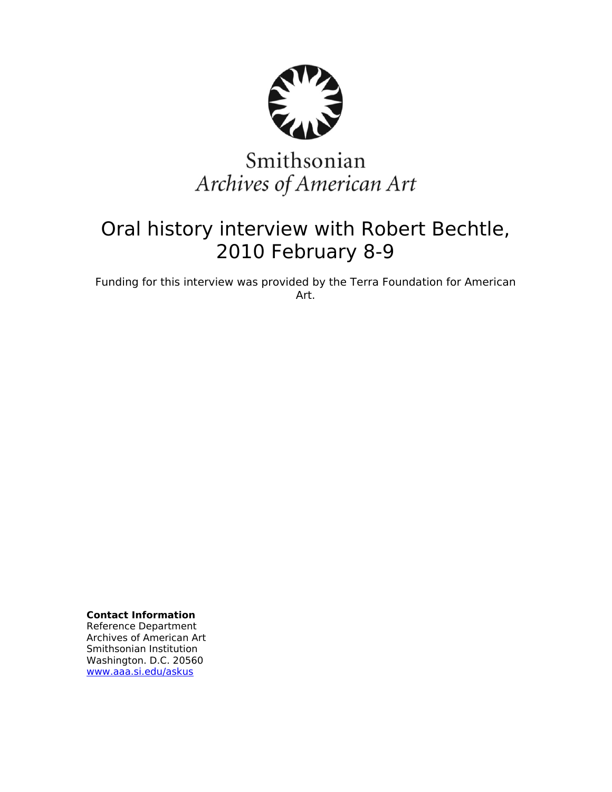

# Smithsonian Archives of American Art

## Oral history interview with Robert Bechtle, 2010 February 8-9

Funding for this interview was provided by the Terra Foundation for American Art.

**Contact Information** Reference Department

Archives of American Art Smithsonian Institution Washington. D.C. 20560 [www.aaa.si.edu/askus](http://www.aaa.si.edu/askus)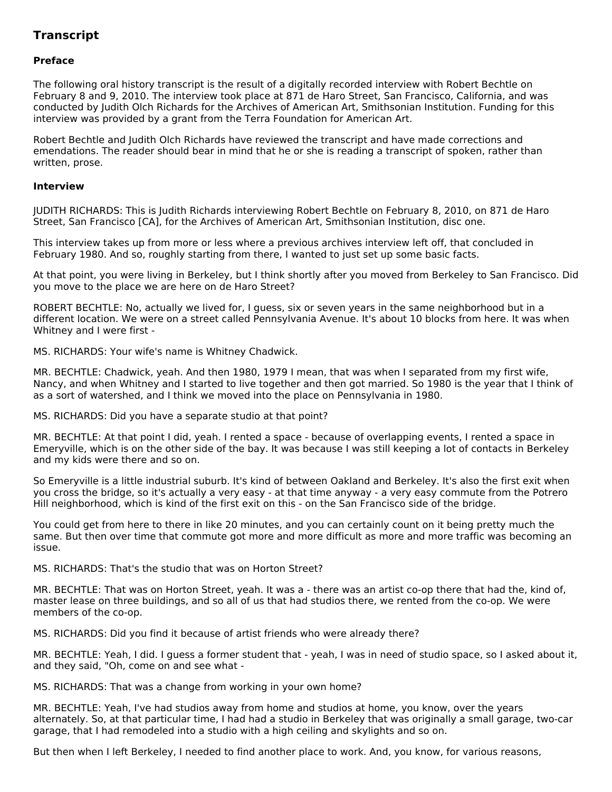### **Transcript**

#### **Preface**

The following oral history transcript is the result of a digitally recorded interview with Robert Bechtle on February 8 and 9, 2010. The interview took place at 871 de Haro Street, San Francisco, California, and was conducted by Judith Olch Richards for the Archives of American Art, Smithsonian Institution. Funding for this interview was provided by a grant from the Terra Foundation for American Art.

Robert Bechtle and Judith Olch Richards have reviewed the transcript and have made corrections and emendations. The reader should bear in mind that he or she is reading a transcript of spoken, rather than written, prose.

#### **Interview**

JUDITH RICHARDS: This is Judith Richards interviewing Robert Bechtle on February 8, 2010, on 871 de Haro Street, San Francisco [CA], for the Archives of American Art, Smithsonian Institution, disc one.

This interview takes up from more or less where a previous archives interview left off, that concluded in February 1980. And so, roughly starting from there, I wanted to just set up some basic facts.

At that point, you were living in Berkeley, but I think shortly after you moved from Berkeley to San Francisco. Did you move to the place we are here on de Haro Street?

ROBERT BECHTLE: No, actually we lived for, I guess, six or seven years in the same neighborhood but in a different location. We were on a street called Pennsylvania Avenue. It's about 10 blocks from here. It was when Whitney and I were first -

MS. RICHARDS: Your wife's name is Whitney Chadwick.

MR. BECHTLE: Chadwick, yeah. And then 1980, 1979 I mean, that was when I separated from my first wife, Nancy, and when Whitney and I started to live together and then got married. So 1980 is the year that I think of as a sort of watershed, and I think we moved into the place on Pennsylvania in 1980.

MS. RICHARDS: Did you have a separate studio at that point?

MR. BECHTLE: At that point I did, yeah. I rented a space - because of overlapping events, I rented a space in Emeryville, which is on the other side of the bay. It was because I was still keeping a lot of contacts in Berkeley and my kids were there and so on.

So Emeryville is a little industrial suburb. It's kind of between Oakland and Berkeley. It's also the first exit when you cross the bridge, so it's actually a very easy - at that time anyway - a very easy commute from the Potrero Hill neighborhood, which is kind of the first exit on this - on the San Francisco side of the bridge.

You could get from here to there in like 20 minutes, and you can certainly count on it being pretty much the same. But then over time that commute got more and more difficult as more and more traffic was becoming an issue.

MS. RICHARDS: That's the studio that was on Horton Street?

MR. BECHTLE: That was on Horton Street, yeah. It was a - there was an artist co-op there that had the, kind of, master lease on three buildings, and so all of us that had studios there, we rented from the co-op. We were members of the co-op.

MS. RICHARDS: Did you find it because of artist friends who were already there?

MR. BECHTLE: Yeah, I did. I guess a former student that - yeah, I was in need of studio space, so I asked about it, and they said, "Oh, come on and see what -

MS. RICHARDS: That was a change from working in your own home?

MR. BECHTLE: Yeah, I've had studios away from home and studios at home, you know, over the years alternately. So, at that particular time, I had had a studio in Berkeley that was originally a small garage, two-car garage, that I had remodeled into a studio with a high ceiling and skylights and so on.

But then when I left Berkeley, I needed to find another place to work. And, you know, for various reasons,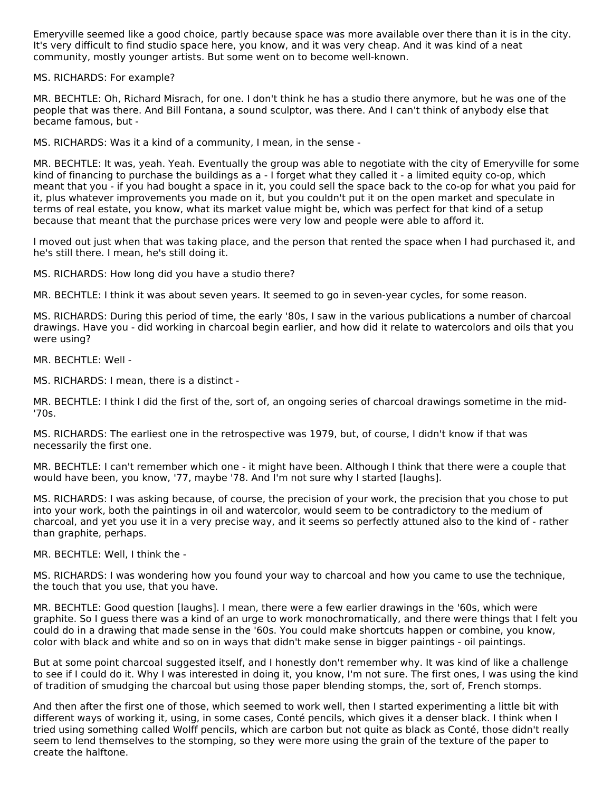Emeryville seemed like a good choice, partly because space was more available over there than it is in the city. It's very difficult to find studio space here, you know, and it was very cheap. And it was kind of a neat community, mostly younger artists. But some went on to become well-known.

MS. RICHARDS: For example?

MR. BECHTLE: Oh, Richard Misrach, for one. I don't think he has a studio there anymore, but he was one of the people that was there. And Bill Fontana, a sound sculptor, was there. And I can't think of anybody else that became famous, but -

MS. RICHARDS: Was it a kind of a community, I mean, in the sense -

MR. BECHTLE: It was, yeah. Yeah. Eventually the group was able to negotiate with the city of Emeryville for some kind of financing to purchase the buildings as a - I forget what they called it - a limited equity co-op, which meant that you - if you had bought a space in it, you could sell the space back to the co-op for what you paid for it, plus whatever improvements you made on it, but you couldn't put it on the open market and speculate in terms of real estate, you know, what its market value might be, which was perfect for that kind of a setup because that meant that the purchase prices were very low and people were able to afford it.

I moved out just when that was taking place, and the person that rented the space when I had purchased it, and he's still there. I mean, he's still doing it.

MS. RICHARDS: How long did you have a studio there?

MR. BECHTLE: I think it was about seven years. It seemed to go in seven-year cycles, for some reason.

MS. RICHARDS: During this period of time, the early '80s, I saw in the various publications a number of charcoal drawings. Have you - did working in charcoal begin earlier, and how did it relate to watercolors and oils that you were using?

MR. BECHTLE: Well -

MS. RICHARDS: I mean, there is a distinct -

MR. BECHTLE: I think I did the first of the, sort of, an ongoing series of charcoal drawings sometime in the mid- '70s.

MS. RICHARDS: The earliest one in the retrospective was 1979, but, of course, I didn't know if that was necessarily the first one.

MR. BECHTLE: I can't remember which one - it might have been. Although I think that there were a couple that would have been, you know, '77, maybe '78. And I'm not sure why I started [laughs].

MS. RICHARDS: I was asking because, of course, the precision of your work, the precision that you chose to put into your work, both the paintings in oil and watercolor, would seem to be contradictory to the medium of charcoal, and yet you use it in a very precise way, and it seems so perfectly attuned also to the kind of - rather than graphite, perhaps.

MR. BECHTLE: Well, I think the -

MS. RICHARDS: I was wondering how you found your way to charcoal and how you came to use the technique, the touch that you use, that you have.

MR. BECHTLE: Good question [laughs]. I mean, there were a few earlier drawings in the '60s, which were graphite. So I guess there was a kind of an urge to work monochromatically, and there were things that I felt you could do in a drawing that made sense in the '60s. You could make shortcuts happen or combine, you know, color with black and white and so on in ways that didn't make sense in bigger paintings - oil paintings.

But at some point charcoal suggested itself, and I honestly don't remember why. It was kind of like a challenge to see if I could do it. Why I was interested in doing it, you know, I'm not sure. The first ones, I was using the kind of tradition of smudging the charcoal but using those paper blending stomps, the, sort of, French stomps.

And then after the first one of those, which seemed to work well, then I started experimenting a little bit with different ways of working it, using, in some cases, Conté pencils, which gives it a denser black. I think when I tried using something called Wolff pencils, which are carbon but not quite as black as Conté, those didn't really seem to lend themselves to the stomping, so they were more using the grain of the texture of the paper to create the halftone.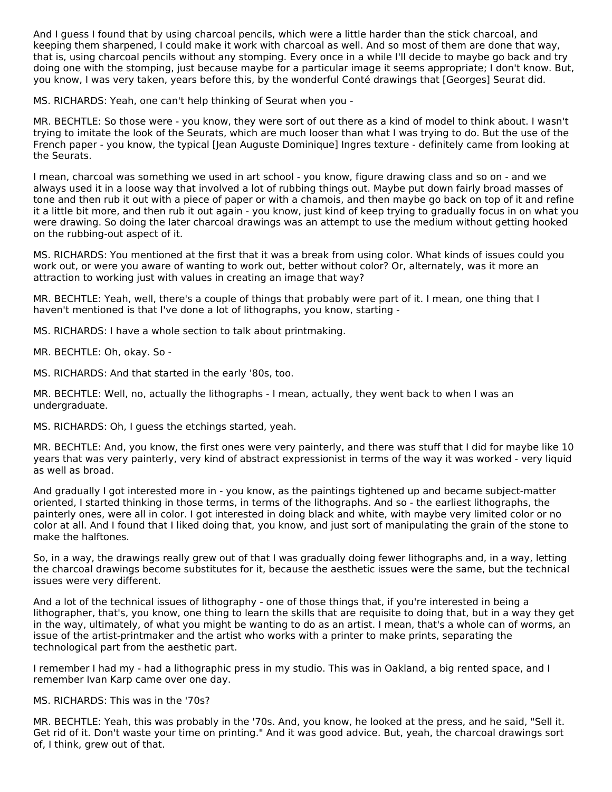And I guess I found that by using charcoal pencils, which were a little harder than the stick charcoal, and keeping them sharpened, I could make it work with charcoal as well. And so most of them are done that way, that is, using charcoal pencils without any stomping. Every once in a while I'll decide to maybe go back and try doing one with the stomping, just because maybe for a particular image it seems appropriate; I don't know. But, you know, I was very taken, years before this, by the wonderful Conté drawings that [Georges] Seurat did.

MS. RICHARDS: Yeah, one can't help thinking of Seurat when you -

MR. BECHTLE: So those were - you know, they were sort of out there as a kind of model to think about. I wasn't trying to imitate the look of the Seurats, which are much looser than what I was trying to do. But the use of the French paper - you know, the typical [Jean Auguste Dominique] Ingres texture - definitely came from looking at the Seurats.

I mean, charcoal was something we used in art school - you know, figure drawing class and so on - and we always used it in a loose way that involved a lot of rubbing things out. Maybe put down fairly broad masses of tone and then rub it out with a piece of paper or with a chamois, and then maybe go back on top of it and refine it a little bit more, and then rub it out again - you know, just kind of keep trying to gradually focus in on what you were drawing. So doing the later charcoal drawings was an attempt to use the medium without getting hooked on the rubbing-out aspect of it.

MS. RICHARDS: You mentioned at the first that it was a break from using color. What kinds of issues could you work out, or were you aware of wanting to work out, better without color? Or, alternately, was it more an attraction to working just with values in creating an image that way?

MR. BECHTLE: Yeah, well, there's a couple of things that probably were part of it. I mean, one thing that I haven't mentioned is that I've done a lot of lithographs, you know, starting -

MS. RICHARDS: I have a whole section to talk about printmaking.

MR. BECHTLE: Oh, okay. So -

MS. RICHARDS: And that started in the early '80s, too.

MR. BECHTLE: Well, no, actually the lithographs - I mean, actually, they went back to when I was an undergraduate.

MS. RICHARDS: Oh, I guess the etchings started, yeah.

MR. BECHTLE: And, you know, the first ones were very painterly, and there was stuff that I did for maybe like 10 years that was very painterly, very kind of abstract expressionist in terms of the way it was worked - very liquid as well as broad.

And gradually I got interested more in - you know, as the paintings tightened up and became subject-matter oriented, I started thinking in those terms, in terms of the lithographs. And so - the earliest lithographs, the painterly ones, were all in color. I got interested in doing black and white, with maybe very limited color or no color at all. And I found that I liked doing that, you know, and just sort of manipulating the grain of the stone to make the halftones.

So, in a way, the drawings really grew out of that I was gradually doing fewer lithographs and, in a way, letting the charcoal drawings become substitutes for it, because the aesthetic issues were the same, but the technical issues were very different.

And a lot of the technical issues of lithography - one of those things that, if you're interested in being a lithographer, that's, you know, one thing to learn the skills that are requisite to doing that, but in a way they get in the way, ultimately, of what you might be wanting to do as an artist. I mean, that's a whole can of worms, an issue of the artist-printmaker and the artist who works with a printer to make prints, separating the technological part from the aesthetic part.

I remember I had my - had a lithographic press in my studio. This was in Oakland, a big rented space, and I remember Ivan Karp came over one day.

#### MS. RICHARDS: This was in the '70s?

MR. BECHTLE: Yeah, this was probably in the '70s. And, you know, he looked at the press, and he said, "Sell it. Get rid of it. Don't waste your time on printing." And it was good advice. But, yeah, the charcoal drawings sort of, I think, grew out of that.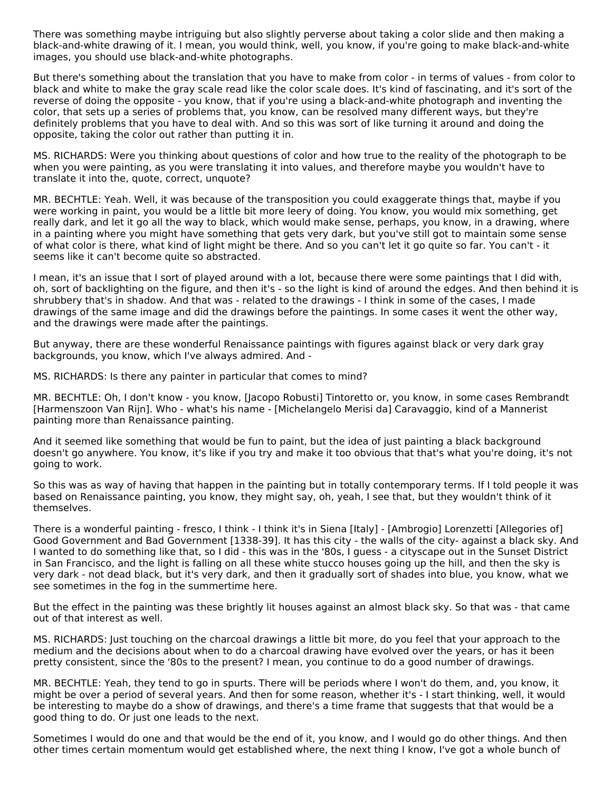There was something maybe intriguing but also slightly perverse about taking a color slide and then making a black-and-white drawing of it. I mean, you would think, well, you know, if you're going to make black-and-white images, you should use black-and-white photographs.

But there's something about the translation that you have to make from color - in terms of values - from color to black and white to make the gray scale read like the color scale does. It's kind of fascinating, and it's sort of the reverse of doing the opposite - you know, that if you're using a black-and-white photograph and inventing the color, that sets up a series of problems that, you know, can be resolved many different ways, but they're definitely problems that you have to deal with. And so this was sort of like turning it around and doing the opposite, taking the color out rather than putting it in.

MS. RICHARDS: Were you thinking about questions of color and how true to the reality of the photograph to be when you were painting, as you were translating it into values, and therefore maybe you wouldn't have to translate it into the, quote, correct, unquote?

MR. BECHTLE: Yeah. Well, it was because of the transposition you could exaggerate things that, maybe if you were working in paint, you would be a little bit more leery of doing. You know, you would mix something, get really dark, and let it go all the way to black, which would make sense, perhaps, you know, in a drawing, where in a painting where you might have something that gets very dark, but you've still got to maintain some sense of what color is there, what kind of light might be there. And so you can't let it go quite so far. You can't - it seems like it can't become quite so abstracted.

I mean, it's an issue that I sort of played around with a lot, because there were some paintings that I did with, oh, sort of backlighting on the figure, and then it's - so the light is kind of around the edges. And then behind it is shrubbery that's in shadow. And that was - related to the drawings - I think in some of the cases, I made drawings of the same image and did the drawings before the paintings. In some cases it went the other way, and the drawings were made after the paintings.

But anyway, there are these wonderful Renaissance paintings with figures against black or very dark gray backgrounds, you know, which I've always admired. And -

MS. RICHARDS: Is there any painter in particular that comes to mind?

MR. BECHTLE: Oh, I don't know - you know, [Jacopo Robusti] Tintoretto or, you know, in some cases Rembrandt [Harmenszoon Van Rijn]. Who - what's his name - [Michelangelo Merisi da] Caravaggio, kind of a Mannerist painting more than Renaissance painting.

And it seemed like something that would be fun to paint, but the idea of just painting a black background doesn't go anywhere. You know, it's like if you try and make it too obvious that that's what you're doing, it's not going to work.

So this was as way of having that happen in the painting but in totally contemporary terms. If I told people it was based on Renaissance painting, you know, they might say, oh, yeah, I see that, but they wouldn't think of it themselves.

There is a wonderful painting - fresco, I think - I think it's in Siena [Italy] - [Ambrogio] Lorenzetti [Allegories of] Good Government and Bad Government [1338-39]. It has this city - the walls of the city- against a black sky. And I wanted to do something like that, so I did - this was in the '80s, I guess - a cityscape out in the Sunset District in San Francisco, and the light is falling on all these white stucco houses going up the hill, and then the sky is very dark - not dead black, but it's very dark, and then it gradually sort of shades into blue, you know, what we see sometimes in the fog in the summertime here.

But the effect in the painting was these brightly lit houses against an almost black sky. So that was - that came out of that interest as well.

MS. RICHARDS: Just touching on the charcoal drawings a little bit more, do you feel that your approach to the medium and the decisions about when to do a charcoal drawing have evolved over the years, or has it been pretty consistent, since the '80s to the present? I mean, you continue to do a good number of drawings.

MR. BECHTLE: Yeah, they tend to go in spurts. There will be periods where I won't do them, and, you know, it might be over a period of several years. And then for some reason, whether it's - I start thinking, well, it would be interesting to maybe do a show of drawings, and there's a time frame that suggests that that would be a good thing to do. Or just one leads to the next.

Sometimes I would do one and that would be the end of it, you know, and I would go do other things. And then other times certain momentum would get established where, the next thing I know, I've got a whole bunch of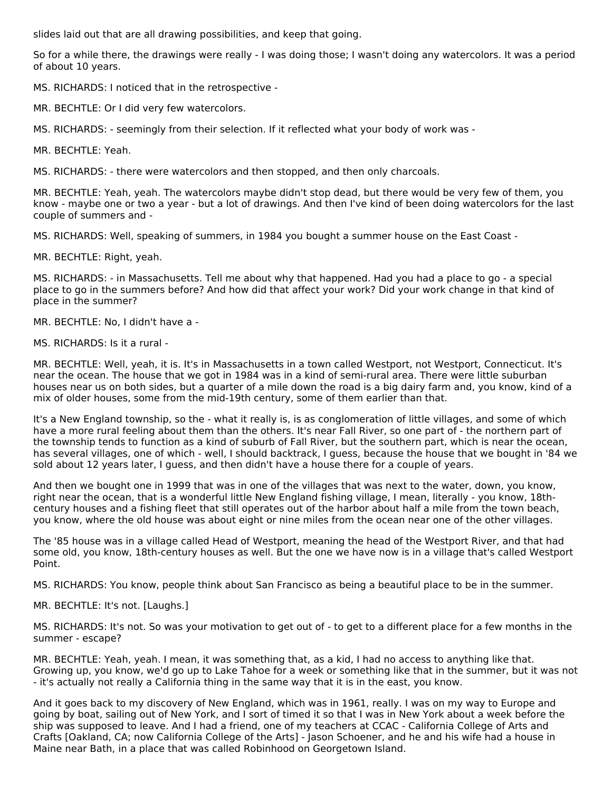slides laid out that are all drawing possibilities, and keep that going.

So for a while there, the drawings were really - I was doing those; I wasn't doing any watercolors. It was a period of about 10 years.

MS. RICHARDS: I noticed that in the retrospective -

MR. BECHTLE: Or I did very few watercolors.

MS. RICHARDS: - seemingly from their selection. If it reflected what your body of work was -

MR. BECHTLE: Yeah.

MS. RICHARDS: - there were watercolors and then stopped, and then only charcoals.

MR. BECHTLE: Yeah, yeah. The watercolors maybe didn't stop dead, but there would be very few of them, you know - maybe one or two a year - but a lot of drawings. And then I've kind of been doing watercolors for the last couple of summers and -

MS. RICHARDS: Well, speaking of summers, in 1984 you bought a summer house on the East Coast -

MR. BECHTLE: Right, yeah.

MS. RICHARDS: - in Massachusetts. Tell me about why that happened. Had you had a place to go - a special place to go in the summers before? And how did that affect your work? Did your work change in that kind of place in the summer?

MR. BECHTLE: No, I didn't have a -

MS. RICHARDS: Is it a rural -

MR. BECHTLE: Well, yeah, it is. It's in Massachusetts in a town called Westport, not Westport, Connecticut. It's near the ocean. The house that we got in 1984 was in a kind of semi-rural area. There were little suburban houses near us on both sides, but a quarter of a mile down the road is a big dairy farm and, you know, kind of a mix of older houses, some from the mid-19th century, some of them earlier than that.

It's a New England township, so the - what it really is, is as conglomeration of little villages, and some of which have a more rural feeling about them than the others. It's near Fall River, so one part of - the northern part of the township tends to function as a kind of suburb of Fall River, but the southern part, which is near the ocean, has several villages, one of which - well, I should backtrack, I guess, because the house that we bought in '84 we sold about 12 years later, I guess, and then didn't have a house there for a couple of years.

And then we bought one in 1999 that was in one of the villages that was next to the water, down, you know, right near the ocean, that is a wonderful little New England fishing village, I mean, literally - you know, 18thcentury houses and a fishing fleet that still operates out of the harbor about half a mile from the town beach, you know, where the old house was about eight or nine miles from the ocean near one of the other villages.

The '85 house was in a village called Head of Westport, meaning the head of the Westport River, and that had some old, you know, 18th-century houses as well. But the one we have now is in a village that's called Westport Point.

MS. RICHARDS: You know, people think about San Francisco as being a beautiful place to be in the summer.

MR. BECHTLE: It's not. [Laughs.]

MS. RICHARDS: It's not. So was your motivation to get out of - to get to a different place for a few months in the summer - escape?

MR. BECHTLE: Yeah, yeah. I mean, it was something that, as a kid, I had no access to anything like that. Growing up, you know, we'd go up to Lake Tahoe for a week or something like that in the summer, but it was not - it's actually not really a California thing in the same way that it is in the east, you know.

And it goes back to my discovery of New England, which was in 1961, really. I was on my way to Europe and going by boat, sailing out of New York, and I sort of timed it so that I was in New York about a week before the ship was supposed to leave. And I had a friend, one of my teachers at CCAC - California College of Arts and Crafts [Oakland, CA; now California College of the Arts] - Jason Schoener, and he and his wife had a house in Maine near Bath, in a place that was called Robinhood on Georgetown Island.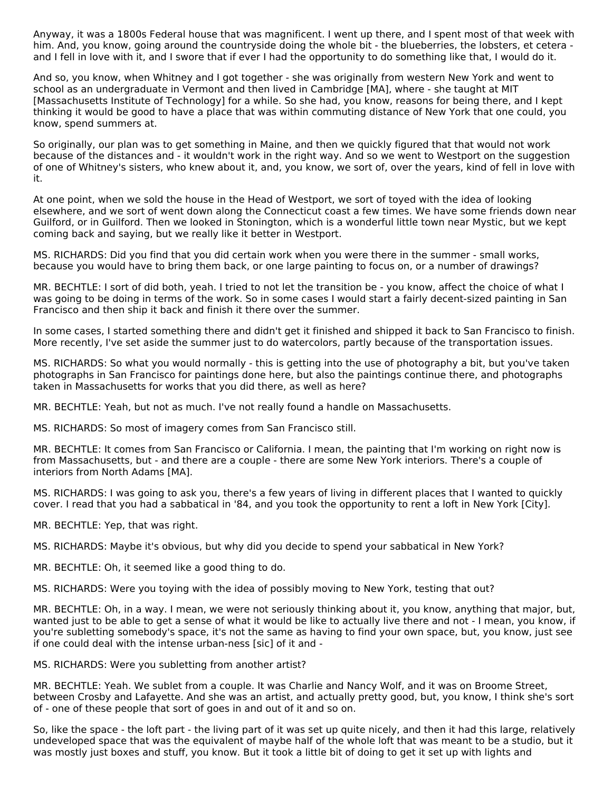Anyway, it was a 1800s Federal house that was magnificent. I went up there, and I spent most of that week with him. And, you know, going around the countryside doing the whole bit - the blueberries, the lobsters, et cetera and I fell in love with it, and I swore that if ever I had the opportunity to do something like that, I would do it.

And so, you know, when Whitney and I got together - she was originally from western New York and went to school as an undergraduate in Vermont and then lived in Cambridge [MA], where - she taught at MIT [Massachusetts Institute of Technology] for a while. So she had, you know, reasons for being there, and I kept thinking it would be good to have a place that was within commuting distance of New York that one could, you know, spend summers at.

So originally, our plan was to get something in Maine, and then we quickly figured that that would not work because of the distances and - it wouldn't work in the right way. And so we went to Westport on the suggestion of one of Whitney's sisters, who knew about it, and, you know, we sort of, over the years, kind of fell in love with it.

At one point, when we sold the house in the Head of Westport, we sort of toyed with the idea of looking elsewhere, and we sort of went down along the Connecticut coast a few times. We have some friends down near Guilford, or in Guilford. Then we looked in Stonington, which is a wonderful little town near Mystic, but we kept coming back and saying, but we really like it better in Westport.

MS. RICHARDS: Did you find that you did certain work when you were there in the summer - small works, because you would have to bring them back, or one large painting to focus on, or a number of drawings?

MR. BECHTLE: I sort of did both, yeah. I tried to not let the transition be - you know, affect the choice of what I was going to be doing in terms of the work. So in some cases I would start a fairly decent-sized painting in San Francisco and then ship it back and finish it there over the summer.

In some cases, I started something there and didn't get it finished and shipped it back to San Francisco to finish. More recently, I've set aside the summer just to do watercolors, partly because of the transportation issues.

MS. RICHARDS: So what you would normally - this is getting into the use of photography a bit, but you've taken photographs in San Francisco for paintings done here, but also the paintings continue there, and photographs taken in Massachusetts for works that you did there, as well as here?

MR. BECHTLE: Yeah, but not as much. I've not really found a handle on Massachusetts.

MS. RICHARDS: So most of imagery comes from San Francisco still.

MR. BECHTLE: It comes from San Francisco or California. I mean, the painting that I'm working on right now is from Massachusetts, but - and there are a couple - there are some New York interiors. There's a couple of interiors from North Adams [MA].

MS. RICHARDS: I was going to ask you, there's a few years of living in different places that I wanted to quickly cover. I read that you had a sabbatical in '84, and you took the opportunity to rent a loft in New York [City].

MR. BECHTLE: Yep, that was right.

MS. RICHARDS: Maybe it's obvious, but why did you decide to spend your sabbatical in New York?

MR. BECHTLE: Oh, it seemed like a good thing to do.

MS. RICHARDS: Were you toying with the idea of possibly moving to New York, testing that out?

MR. BECHTLE: Oh, in a way. I mean, we were not seriously thinking about it, you know, anything that major, but, wanted just to be able to get a sense of what it would be like to actually live there and not - I mean, you know, if you're subletting somebody's space, it's not the same as having to find your own space, but, you know, just see if one could deal with the intense urban-ness [sic] of it and -

MS. RICHARDS: Were you subletting from another artist?

MR. BECHTLE: Yeah. We sublet from a couple. It was Charlie and Nancy Wolf, and it was on Broome Street, between Crosby and Lafayette. And she was an artist, and actually pretty good, but, you know, I think she's sort of - one of these people that sort of goes in and out of it and so on.

So, like the space - the loft part - the living part of it was set up quite nicely, and then it had this large, relatively undeveloped space that was the equivalent of maybe half of the whole loft that was meant to be a studio, but it was mostly just boxes and stuff, you know. But it took a little bit of doing to get it set up with lights and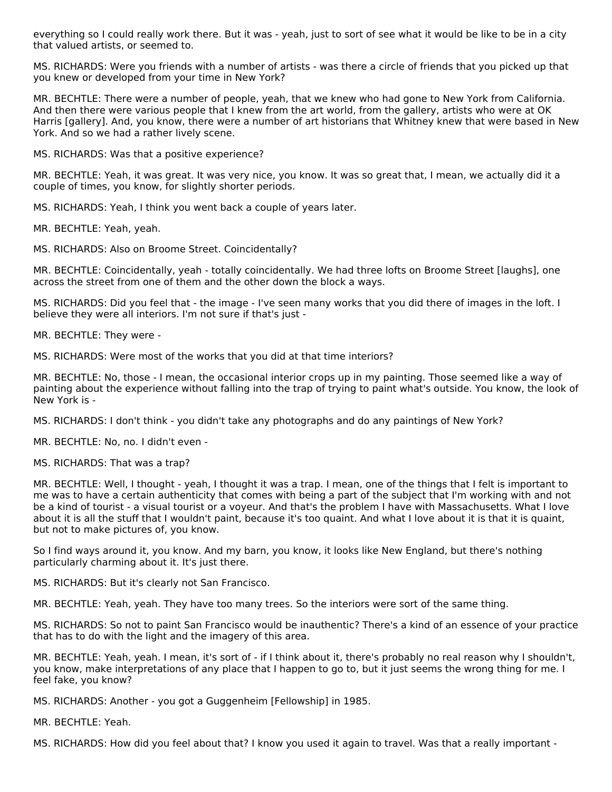everything so I could really work there. But it was - yeah, just to sort of see what it would be like to be in a city that valued artists, or seemed to.

MS. RICHARDS: Were you friends with a number of artists - was there a circle of friends that you picked up that you knew or developed from your time in New York?

MR. BECHTLE: There were a number of people, yeah, that we knew who had gone to New York from California. And then there were various people that I knew from the art world, from the gallery, artists who were at OK Harris [gallery]. And, you know, there were a number of art historians that Whitney knew that were based in New York. And so we had a rather lively scene.

MS. RICHARDS: Was that a positive experience?

MR. BECHTLE: Yeah, it was great. It was very nice, you know. It was so great that, I mean, we actually did it a couple of times, you know, for slightly shorter periods.

MS. RICHARDS: Yeah, I think you went back a couple of years later.

MR. BECHTLE: Yeah, yeah.

MS. RICHARDS: Also on Broome Street. Coincidentally?

MR. BECHTLE: Coincidentally, yeah - totally coincidentally. We had three lofts on Broome Street [laughs], one across the street from one of them and the other down the block a ways.

MS. RICHARDS: Did you feel that - the image - I've seen many works that you did there of images in the loft. I believe they were all interiors. I'm not sure if that's just -

MR. BECHTLE: They were -

MS. RICHARDS: Were most of the works that you did at that time interiors?

MR. BECHTLE: No, those - I mean, the occasional interior crops up in my painting. Those seemed like a way of painting about the experience without falling into the trap of trying to paint what's outside. You know, the look of New York is -

MS. RICHARDS: I don't think - you didn't take any photographs and do any paintings of New York?

MR. BECHTLE: No, no. I didn't even -

MS. RICHARDS: That was a trap?

MR. BECHTLE: Well, I thought - yeah, I thought it was a trap. I mean, one of the things that I felt is important to me was to have a certain authenticity that comes with being a part of the subject that I'm working with and not be a kind of tourist - a visual tourist or a voyeur. And that's the problem I have with Massachusetts. What I love about it is all the stuff that I wouldn't paint, because it's too quaint. And what I love about it is that it is quaint, but not to make pictures of, you know.

So I find ways around it, you know. And my barn, you know, it looks like New England, but there's nothing particularly charming about it. It's just there.

MS. RICHARDS: But it's clearly not San Francisco.

MR. BECHTLE: Yeah, yeah. They have too many trees. So the interiors were sort of the same thing.

MS. RICHARDS: So not to paint San Francisco would be inauthentic? There's a kind of an essence of your practice that has to do with the light and the imagery of this area.

MR. BECHTLE: Yeah, yeah. I mean, it's sort of - if I think about it, there's probably no real reason why I shouldn't, you know, make interpretations of any place that I happen to go to, but it just seems the wrong thing for me. I feel fake, you know?

MS. RICHARDS: Another - you got a Guggenheim [Fellowship] in 1985.

MR. BECHTLE: Yeah.

MS. RICHARDS: How did you feel about that? I know you used it again to travel. Was that a really important -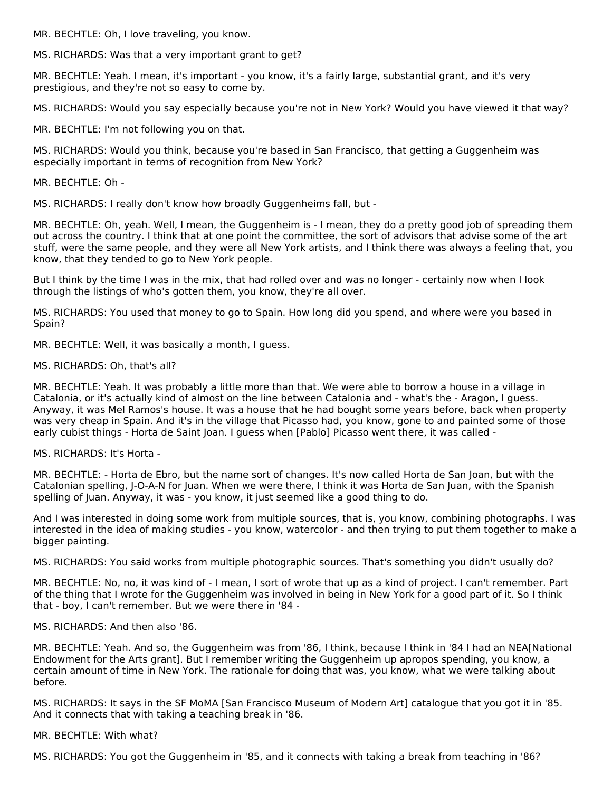MR. BECHTLE: Oh, I love traveling, you know.

MS. RICHARDS: Was that a very important grant to get?

MR. BECHTLE: Yeah. I mean, it's important - you know, it's a fairly large, substantial grant, and it's very prestigious, and they're not so easy to come by.

MS. RICHARDS: Would you say especially because you're not in New York? Would you have viewed it that way?

MR. BECHTLE: I'm not following you on that.

MS. RICHARDS: Would you think, because you're based in San Francisco, that getting a Guggenheim was especially important in terms of recognition from New York?

MR. BECHTLE: Oh -

MS. RICHARDS: I really don't know how broadly Guggenheims fall, but -

MR. BECHTLE: Oh, yeah. Well, I mean, the Guggenheim is - I mean, they do a pretty good job of spreading them out across the country. I think that at one point the committee, the sort of advisors that advise some of the art stuff, were the same people, and they were all New York artists, and I think there was always a feeling that, you know, that they tended to go to New York people.

But I think by the time I was in the mix, that had rolled over and was no longer - certainly now when I look through the listings of who's gotten them, you know, they're all over.

MS. RICHARDS: You used that money to go to Spain. How long did you spend, and where were you based in Spain?

MR. BECHTLE: Well, it was basically a month, I guess.

MS. RICHARDS: Oh, that's all?

MR. BECHTLE: Yeah. It was probably a little more than that. We were able to borrow a house in a village in Catalonia, or it's actually kind of almost on the line between Catalonia and - what's the - Aragon, I guess. Anyway, it was Mel Ramos's house. It was a house that he had bought some years before, back when property was very cheap in Spain. And it's in the village that Picasso had, you know, gone to and painted some of those early cubist things - Horta de Saint Joan. I guess when [Pablo] Picasso went there, it was called -

#### MS. RICHARDS: It's Horta -

MR. BECHTLE: - Horta de Ebro, but the name sort of changes. It's now called Horta de San Joan, but with the Catalonian spelling, J-O-A-N for Juan. When we were there, I think it was Horta de San Juan, with the Spanish spelling of Juan. Anyway, it was - you know, it just seemed like a good thing to do.

And I was interested in doing some work from multiple sources, that is, you know, combining photographs. I was interested in the idea of making studies - you know, watercolor - and then trying to put them together to make a bigger painting.

MS. RICHARDS: You said works from multiple photographic sources. That's something you didn't usually do?

MR. BECHTLE: No, no, it was kind of - I mean, I sort of wrote that up as a kind of project. I can't remember. Part of the thing that I wrote for the Guggenheim was involved in being in New York for a good part of it. So I think that - boy, I can't remember. But we were there in '84 -

MS. RICHARDS: And then also '86.

MR. BECHTLE: Yeah. And so, the Guggenheim was from '86, I think, because I think in '84 I had an NEA[National Endowment for the Arts grant]. But I remember writing the Guggenheim up apropos spending, you know, a certain amount of time in New York. The rationale for doing that was, you know, what we were talking about before.

MS. RICHARDS: It says in the SF MoMA [San Francisco Museum of Modern Art] catalogue that you got it in '85. And it connects that with taking a teaching break in '86.

MR. BECHTLE: With what?

MS. RICHARDS: You got the Guggenheim in '85, and it connects with taking a break from teaching in '86?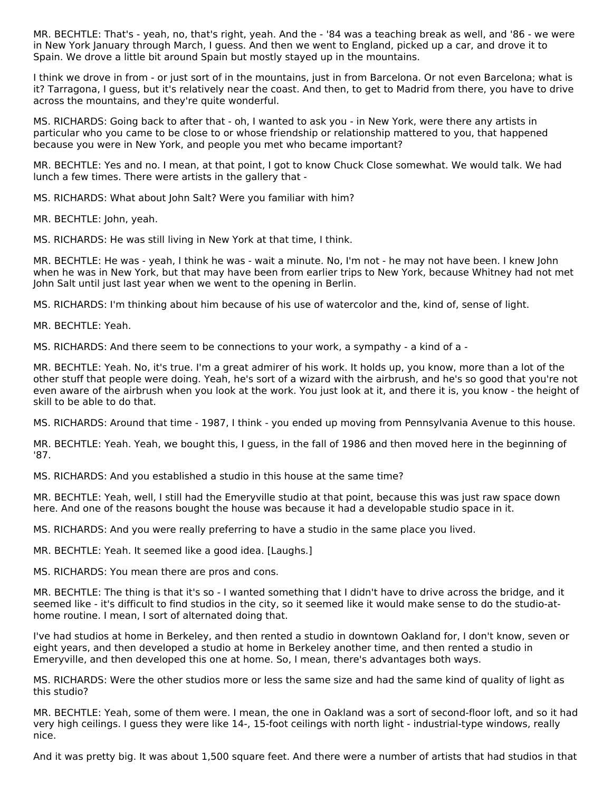MR. BECHTLE: That's - yeah, no, that's right, yeah. And the - '84 was a teaching break as well, and '86 - we were in New York January through March, I guess. And then we went to England, picked up a car, and drove it to Spain. We drove a little bit around Spain but mostly stayed up in the mountains.

I think we drove in from - or just sort of in the mountains, just in from Barcelona. Or not even Barcelona; what is it? Tarragona, I guess, but it's relatively near the coast. And then, to get to Madrid from there, you have to drive across the mountains, and they're quite wonderful.

MS. RICHARDS: Going back to after that - oh, I wanted to ask you - in New York, were there any artists in particular who you came to be close to or whose friendship or relationship mattered to you, that happened because you were in New York, and people you met who became important?

MR. BECHTLE: Yes and no. I mean, at that point, I got to know Chuck Close somewhat. We would talk. We had lunch a few times. There were artists in the gallery that -

MS. RICHARDS: What about John Salt? Were you familiar with him?

MR. BECHTLE: John, yeah.

MS. RICHARDS: He was still living in New York at that time, I think.

MR. BECHTLE: He was - yeah, I think he was - wait a minute. No, I'm not - he may not have been. I knew John when he was in New York, but that may have been from earlier trips to New York, because Whitney had not met John Salt until just last year when we went to the opening in Berlin.

MS. RICHARDS: I'm thinking about him because of his use of watercolor and the, kind of, sense of light.

MR. BECHTLE: Yeah.

MS. RICHARDS: And there seem to be connections to your work, a sympathy - a kind of a -

MR. BECHTLE: Yeah. No, it's true. I'm a great admirer of his work. It holds up, you know, more than a lot of the other stuff that people were doing. Yeah, he's sort of a wizard with the airbrush, and he's so good that you're not even aware of the airbrush when you look at the work. You just look at it, and there it is, you know - the height of skill to be able to do that.

MS. RICHARDS: Around that time - 1987, I think - you ended up moving from Pennsylvania Avenue to this house.

MR. BECHTLE: Yeah. Yeah, we bought this, I guess, in the fall of 1986 and then moved here in the beginning of '87.

MS. RICHARDS: And you established a studio in this house at the same time?

MR. BECHTLE: Yeah, well, I still had the Emeryville studio at that point, because this was just raw space down here. And one of the reasons bought the house was because it had a developable studio space in it.

MS. RICHARDS: And you were really preferring to have a studio in the same place you lived.

MR. BECHTLE: Yeah. It seemed like a good idea. [Laughs.]

MS. RICHARDS: You mean there are pros and cons.

MR. BECHTLE: The thing is that it's so - I wanted something that I didn't have to drive across the bridge, and it seemed like - it's difficult to find studios in the city, so it seemed like it would make sense to do the studio-athome routine. I mean, I sort of alternated doing that.

I've had studios at home in Berkeley, and then rented a studio in downtown Oakland for, I don't know, seven or eight years, and then developed a studio at home in Berkeley another time, and then rented a studio in Emeryville, and then developed this one at home. So, I mean, there's advantages both ways.

MS. RICHARDS: Were the other studios more or less the same size and had the same kind of quality of light as this studio?

MR. BECHTLE: Yeah, some of them were. I mean, the one in Oakland was a sort of second-floor loft, and so it had very high ceilings. I guess they were like 14-, 15-foot ceilings with north light - industrial-type windows, really nice.

And it was pretty big. It was about 1,500 square feet. And there were a number of artists that had studios in that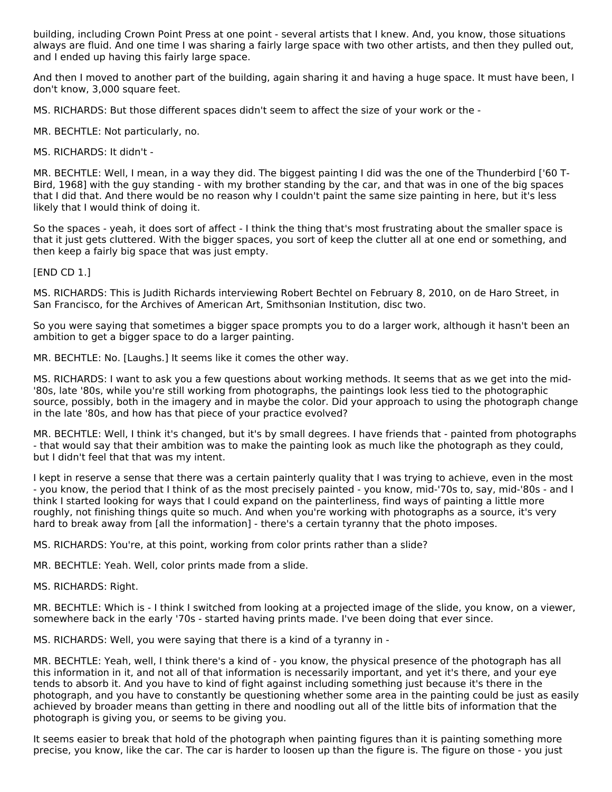building, including Crown Point Press at one point - several artists that I knew. And, you know, those situations always are fluid. And one time I was sharing a fairly large space with two other artists, and then they pulled out, and I ended up having this fairly large space.

And then I moved to another part of the building, again sharing it and having a huge space. It must have been, I don't know, 3,000 square feet.

MS. RICHARDS: But those different spaces didn't seem to affect the size of your work or the -

MR. BECHTLE: Not particularly, no.

MS. RICHARDS: It didn't -

MR. BECHTLE: Well, I mean, in a way they did. The biggest painting I did was the one of the Thunderbird ['60 T-Bird, 1968] with the guy standing - with my brother standing by the car, and that was in one of the big spaces that I did that. And there would be no reason why I couldn't paint the same size painting in here, but it's less likely that I would think of doing it.

So the spaces - yeah, it does sort of affect - I think the thing that's most frustrating about the smaller space is that it just gets cluttered. With the bigger spaces, you sort of keep the clutter all at one end or something, and then keep a fairly big space that was just empty.

[END CD 1.]

MS. RICHARDS: This is Judith Richards interviewing Robert Bechtel on February 8, 2010, on de Haro Street, in San Francisco, for the Archives of American Art, Smithsonian Institution, disc two.

So you were saying that sometimes a bigger space prompts you to do a larger work, although it hasn't been an ambition to get a bigger space to do a larger painting.

MR. BECHTLE: No. [Laughs.] It seems like it comes the other way.

MS. RICHARDS: I want to ask you a few questions about working methods. It seems that as we get into the mid- '80s, late '80s, while you're still working from photographs, the paintings look less tied to the photographic source, possibly, both in the imagery and in maybe the color. Did your approach to using the photograph change in the late '80s, and how has that piece of your practice evolved?

MR. BECHTLE: Well, I think it's changed, but it's by small degrees. I have friends that - painted from photographs - that would say that their ambition was to make the painting look as much like the photograph as they could, but I didn't feel that that was my intent.

I kept in reserve a sense that there was a certain painterly quality that I was trying to achieve, even in the most - you know, the period that I think of as the most precisely painted - you know, mid-'70s to, say, mid-'80s - and I think I started looking for ways that I could expand on the painterliness, find ways of painting a little more roughly, not finishing things quite so much. And when you're working with photographs as a source, it's very hard to break away from [all the information] - there's a certain tyranny that the photo imposes.

MS. RICHARDS: You're, at this point, working from color prints rather than a slide?

MR. BECHTLE: Yeah. Well, color prints made from a slide.

MS. RICHARDS: Right.

MR. BECHTLE: Which is - I think I switched from looking at a projected image of the slide, you know, on a viewer, somewhere back in the early '70s - started having prints made. I've been doing that ever since.

MS. RICHARDS: Well, you were saying that there is a kind of a tyranny in -

MR. BECHTLE: Yeah, well, I think there's a kind of - you know, the physical presence of the photograph has all this information in it, and not all of that information is necessarily important, and yet it's there, and your eye tends to absorb it. And you have to kind of fight against including something just because it's there in the photograph, and you have to constantly be questioning whether some area in the painting could be just as easily achieved by broader means than getting in there and noodling out all of the little bits of information that the photograph is giving you, or seems to be giving you.

It seems easier to break that hold of the photograph when painting figures than it is painting something more precise, you know, like the car. The car is harder to loosen up than the figure is. The figure on those - you just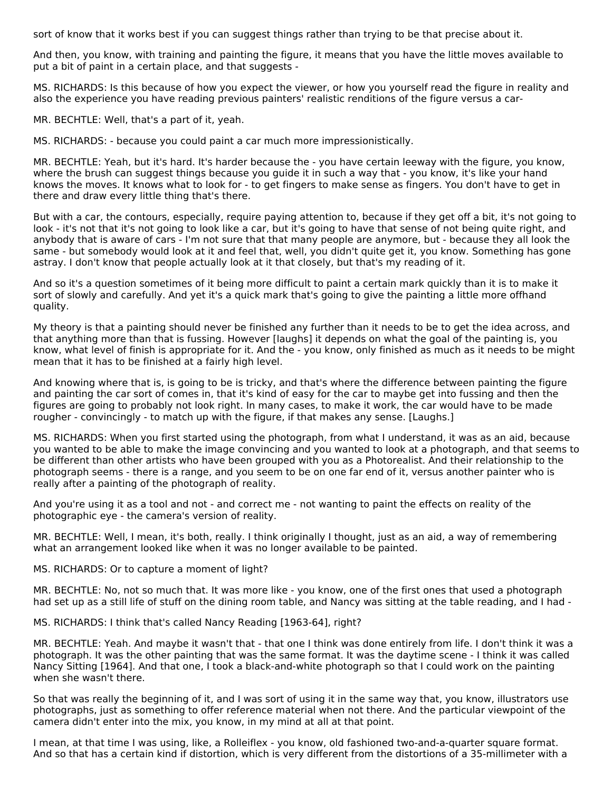sort of know that it works best if you can suggest things rather than trying to be that precise about it.

And then, you know, with training and painting the figure, it means that you have the little moves available to put a bit of paint in a certain place, and that suggests -

MS. RICHARDS: Is this because of how you expect the viewer, or how you yourself read the figure in reality and also the experience you have reading previous painters' realistic renditions of the figure versus a car-

MR. BECHTLE: Well, that's a part of it, yeah.

MS. RICHARDS: - because you could paint a car much more impressionistically.

MR. BECHTLE: Yeah, but it's hard. It's harder because the - you have certain leeway with the figure, you know, where the brush can suggest things because you guide it in such a way that - you know, it's like your hand knows the moves. It knows what to look for - to get fingers to make sense as fingers. You don't have to get in there and draw every little thing that's there.

But with a car, the contours, especially, require paying attention to, because if they get off a bit, it's not going to look - it's not that it's not going to look like a car, but it's going to have that sense of not being quite right, and anybody that is aware of cars - I'm not sure that that many people are anymore, but - because they all look the same - but somebody would look at it and feel that, well, you didn't quite get it, you know. Something has gone astray. I don't know that people actually look at it that closely, but that's my reading of it.

And so it's a question sometimes of it being more difficult to paint a certain mark quickly than it is to make it sort of slowly and carefully. And yet it's a quick mark that's going to give the painting a little more offhand quality.

My theory is that a painting should never be finished any further than it needs to be to get the idea across, and that anything more than that is fussing. However [laughs] it depends on what the goal of the painting is, you know, what level of finish is appropriate for it. And the - you know, only finished as much as it needs to be might mean that it has to be finished at a fairly high level.

And knowing where that is, is going to be is tricky, and that's where the difference between painting the figure and painting the car sort of comes in, that it's kind of easy for the car to maybe get into fussing and then the figures are going to probably not look right. In many cases, to make it work, the car would have to be made rougher - convincingly - to match up with the figure, if that makes any sense. [Laughs.]

MS. RICHARDS: When you first started using the photograph, from what I understand, it was as an aid, because you wanted to be able to make the image convincing and you wanted to look at a photograph, and that seems to be different than other artists who have been grouped with you as a Photorealist. And their relationship to the photograph seems - there is a range, and you seem to be on one far end of it, versus another painter who is really after a painting of the photograph of reality.

And you're using it as a tool and not - and correct me - not wanting to paint the effects on reality of the photographic eye - the camera's version of reality.

MR. BECHTLE: Well, I mean, it's both, really. I think originally I thought, just as an aid, a way of remembering what an arrangement looked like when it was no longer available to be painted.

#### MS. RICHARDS: Or to capture a moment of light?

MR. BECHTLE: No, not so much that. It was more like - you know, one of the first ones that used a photograph had set up as a still life of stuff on the dining room table, and Nancy was sitting at the table reading, and I had -

MS. RICHARDS: I think that's called Nancy Reading [1963-64], right?

MR. BECHTLE: Yeah. And maybe it wasn't that - that one I think was done entirely from life. I don't think it was a photograph. It was the other painting that was the same format. It was the daytime scene - I think it was called Nancy Sitting [1964]. And that one, I took a black-and-white photograph so that I could work on the painting when she wasn't there.

So that was really the beginning of it, and I was sort of using it in the same way that, you know, illustrators use photographs, just as something to offer reference material when not there. And the particular viewpoint of the camera didn't enter into the mix, you know, in my mind at all at that point.

I mean, at that time I was using, like, a Rolleiflex - you know, old fashioned two-and-a-quarter square format. And so that has a certain kind if distortion, which is very different from the distortions of a 35-millimeter with a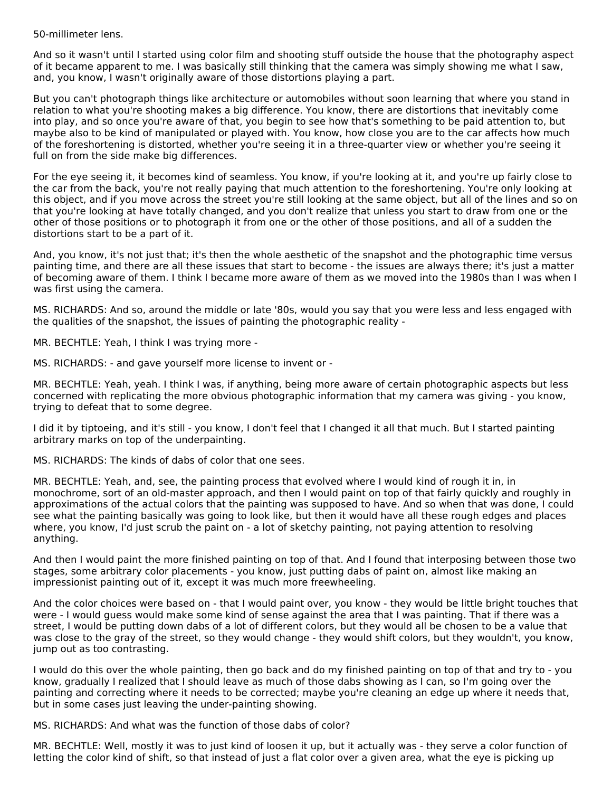50-millimeter lens.

And so it wasn't until I started using color film and shooting stuff outside the house that the photography aspect of it became apparent to me. I was basically still thinking that the camera was simply showing me what I saw, and, you know, I wasn't originally aware of those distortions playing a part.

But you can't photograph things like architecture or automobiles without soon learning that where you stand in relation to what you're shooting makes a big difference. You know, there are distortions that inevitably come into play, and so once you're aware of that, you begin to see how that's something to be paid attention to, but maybe also to be kind of manipulated or played with. You know, how close you are to the car affects how much of the foreshortening is distorted, whether you're seeing it in a three-quarter view or whether you're seeing it full on from the side make big differences.

For the eye seeing it, it becomes kind of seamless. You know, if you're looking at it, and you're up fairly close to the car from the back, you're not really paying that much attention to the foreshortening. You're only looking at this object, and if you move across the street you're still looking at the same object, but all of the lines and so on that you're looking at have totally changed, and you don't realize that unless you start to draw from one or the other of those positions or to photograph it from one or the other of those positions, and all of a sudden the distortions start to be a part of it.

And, you know, it's not just that; it's then the whole aesthetic of the snapshot and the photographic time versus painting time, and there are all these issues that start to become - the issues are always there; it's just a matter of becoming aware of them. I think I became more aware of them as we moved into the 1980s than I was when I was first using the camera.

MS. RICHARDS: And so, around the middle or late '80s, would you say that you were less and less engaged with the qualities of the snapshot, the issues of painting the photographic reality -

MR. BECHTLE: Yeah, I think I was trying more -

MS. RICHARDS: - and gave yourself more license to invent or -

MR. BECHTLE: Yeah, yeah. I think I was, if anything, being more aware of certain photographic aspects but less concerned with replicating the more obvious photographic information that my camera was giving - you know, trying to defeat that to some degree.

I did it by tiptoeing, and it's still - you know, I don't feel that I changed it all that much. But I started painting arbitrary marks on top of the underpainting.

MS. RICHARDS: The kinds of dabs of color that one sees.

MR. BECHTLE: Yeah, and, see, the painting process that evolved where I would kind of rough it in, in monochrome, sort of an old-master approach, and then I would paint on top of that fairly quickly and roughly in approximations of the actual colors that the painting was supposed to have. And so when that was done, I could see what the painting basically was going to look like, but then it would have all these rough edges and places where, you know, I'd just scrub the paint on - a lot of sketchy painting, not paying attention to resolving anything.

And then I would paint the more finished painting on top of that. And I found that interposing between those two stages, some arbitrary color placements - you know, just putting dabs of paint on, almost like making an impressionist painting out of it, except it was much more freewheeling.

And the color choices were based on - that I would paint over, you know - they would be little bright touches that were - I would guess would make some kind of sense against the area that I was painting. That if there was a street, I would be putting down dabs of a lot of different colors, but they would all be chosen to be a value that was close to the gray of the street, so they would change - they would shift colors, but they wouldn't, you know, jump out as too contrasting.

I would do this over the whole painting, then go back and do my finished painting on top of that and try to - you know, gradually I realized that I should leave as much of those dabs showing as I can, so I'm going over the painting and correcting where it needs to be corrected; maybe you're cleaning an edge up where it needs that, but in some cases just leaving the under-painting showing.

MS. RICHARDS: And what was the function of those dabs of color?

MR. BECHTLE: Well, mostly it was to just kind of loosen it up, but it actually was - they serve a color function of letting the color kind of shift, so that instead of just a flat color over a given area, what the eye is picking up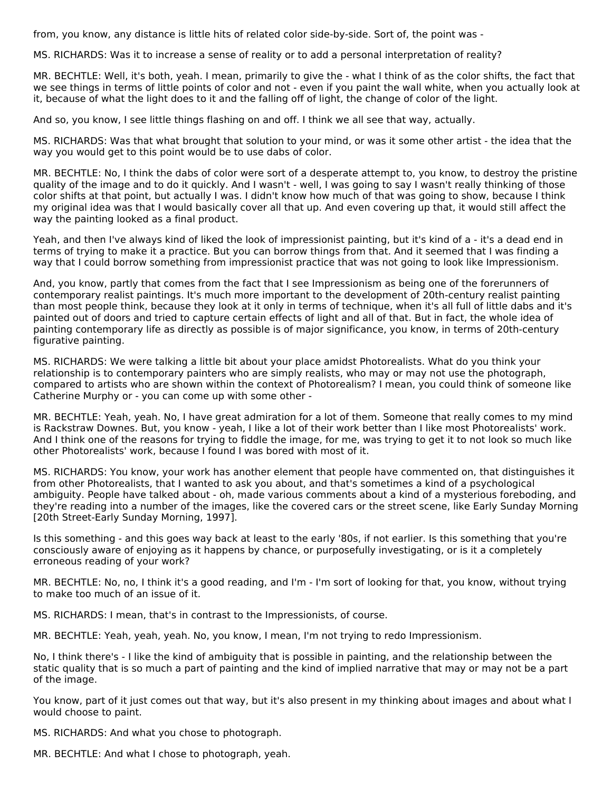from, you know, any distance is little hits of related color side-by-side. Sort of, the point was -

MS. RICHARDS: Was it to increase a sense of reality or to add a personal interpretation of reality?

MR. BECHTLE: Well, it's both, yeah. I mean, primarily to give the - what I think of as the color shifts, the fact that we see things in terms of little points of color and not - even if you paint the wall white, when you actually look at it, because of what the light does to it and the falling off of light, the change of color of the light.

And so, you know, I see little things flashing on and off. I think we all see that way, actually.

MS. RICHARDS: Was that what brought that solution to your mind, or was it some other artist - the idea that the way you would get to this point would be to use dabs of color.

MR. BECHTLE: No, I think the dabs of color were sort of a desperate attempt to, you know, to destroy the pristine quality of the image and to do it quickly. And I wasn't - well, I was going to say I wasn't really thinking of those color shifts at that point, but actually I was. I didn't know how much of that was going to show, because I think my original idea was that I would basically cover all that up. And even covering up that, it would still affect the way the painting looked as a final product.

Yeah, and then I've always kind of liked the look of impressionist painting, but it's kind of a - it's a dead end in terms of trying to make it a practice. But you can borrow things from that. And it seemed that I was finding a way that I could borrow something from impressionist practice that was not going to look like Impressionism.

And, you know, partly that comes from the fact that I see Impressionism as being one of the forerunners of contemporary realist paintings. It's much more important to the development of 20th-century realist painting than most people think, because they look at it only in terms of technique, when it's all full of little dabs and it's painted out of doors and tried to capture certain effects of light and all of that. But in fact, the whole idea of painting contemporary life as directly as possible is of major significance, you know, in terms of 20th-century figurative painting.

MS. RICHARDS: We were talking a little bit about your place amidst Photorealists. What do you think your relationship is to contemporary painters who are simply realists, who may or may not use the photograph, compared to artists who are shown within the context of Photorealism? I mean, you could think of someone like Catherine Murphy or - you can come up with some other -

MR. BECHTLE: Yeah, yeah. No, I have great admiration for a lot of them. Someone that really comes to my mind is Rackstraw Downes. But, you know - yeah, I like a lot of their work better than I like most Photorealists' work. And I think one of the reasons for trying to fiddle the image, for me, was trying to get it to not look so much like other Photorealists' work, because I found I was bored with most of it.

MS. RICHARDS: You know, your work has another element that people have commented on, that distinguishes it from other Photorealists, that I wanted to ask you about, and that's sometimes a kind of a psychological ambiguity. People have talked about - oh, made various comments about a kind of a mysterious foreboding, and they're reading into a number of the images, like the covered cars or the street scene, like Early Sunday Morning [20th Street-Early Sunday Morning, 1997].

Is this something - and this goes way back at least to the early '80s, if not earlier. Is this something that you're consciously aware of enjoying as it happens by chance, or purposefully investigating, or is it a completely erroneous reading of your work?

MR. BECHTLE: No, no, I think it's a good reading, and I'm - I'm sort of looking for that, you know, without trying to make too much of an issue of it.

MS. RICHARDS: I mean, that's in contrast to the Impressionists, of course.

MR. BECHTLE: Yeah, yeah, yeah. No, you know, I mean, I'm not trying to redo Impressionism.

No, I think there's - I like the kind of ambiguity that is possible in painting, and the relationship between the static quality that is so much a part of painting and the kind of implied narrative that may or may not be a part of the image.

You know, part of it just comes out that way, but it's also present in my thinking about images and about what I would choose to paint.

MS. RICHARDS: And what you chose to photograph.

MR. BECHTLE: And what I chose to photograph, yeah.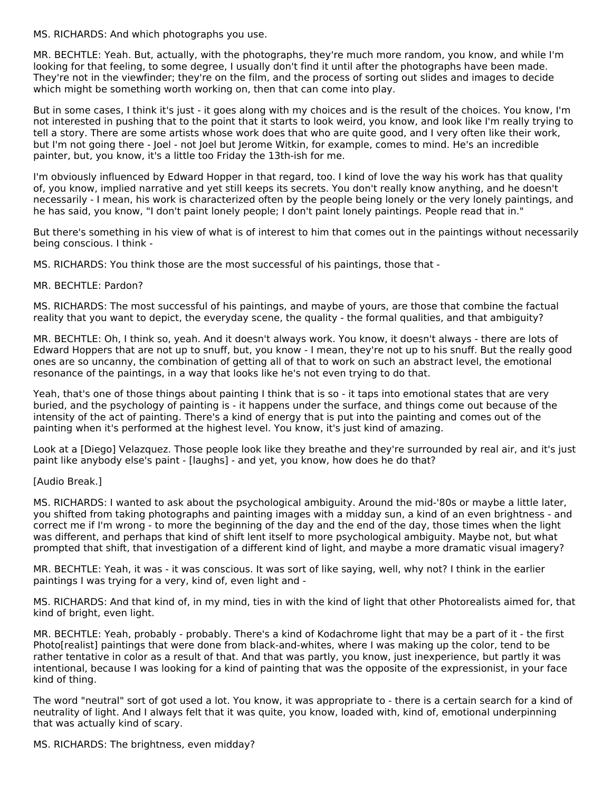MS. RICHARDS: And which photographs you use.

MR. BECHTLE: Yeah. But, actually, with the photographs, they're much more random, you know, and while I'm looking for that feeling, to some degree, I usually don't find it until after the photographs have been made. They're not in the viewfinder; they're on the film, and the process of sorting out slides and images to decide which might be something worth working on, then that can come into play.

But in some cases, I think it's just - it goes along with my choices and is the result of the choices. You know, I'm not interested in pushing that to the point that it starts to look weird, you know, and look like I'm really trying to tell a story. There are some artists whose work does that who are quite good, and I very often like their work, but I'm not going there - Joel - not Joel but Jerome Witkin, for example, comes to mind. He's an incredible painter, but, you know, it's a little too Friday the 13th-ish for me.

I'm obviously influenced by Edward Hopper in that regard, too. I kind of love the way his work has that quality of, you know, implied narrative and yet still keeps its secrets. You don't really know anything, and he doesn't necessarily - I mean, his work is characterized often by the people being lonely or the very lonely paintings, and he has said, you know, "I don't paint lonely people; I don't paint lonely paintings. People read that in."

But there's something in his view of what is of interest to him that comes out in the paintings without necessarily being conscious. I think -

MS. RICHARDS: You think those are the most successful of his paintings, those that -

#### MR. BECHTLE: Pardon?

MS. RICHARDS: The most successful of his paintings, and maybe of yours, are those that combine the factual reality that you want to depict, the everyday scene, the quality - the formal qualities, and that ambiguity?

MR. BECHTLE: Oh, I think so, yeah. And it doesn't always work. You know, it doesn't always - there are lots of Edward Hoppers that are not up to snuff, but, you know - I mean, they're not up to his snuff. But the really good ones are so uncanny, the combination of getting all of that to work on such an abstract level, the emotional resonance of the paintings, in a way that looks like he's not even trying to do that.

Yeah, that's one of those things about painting I think that is so - it taps into emotional states that are very buried, and the psychology of painting is - it happens under the surface, and things come out because of the intensity of the act of painting. There's a kind of energy that is put into the painting and comes out of the painting when it's performed at the highest level. You know, it's just kind of amazing.

Look at a [Diego] Velazquez. Those people look like they breathe and they're surrounded by real air, and it's just paint like anybody else's paint - [laughs] - and yet, you know, how does he do that?

#### [Audio Break.]

MS. RICHARDS: I wanted to ask about the psychological ambiguity. Around the mid-'80s or maybe a little later, you shifted from taking photographs and painting images with a midday sun, a kind of an even brightness - and correct me if I'm wrong - to more the beginning of the day and the end of the day, those times when the light was different, and perhaps that kind of shift lent itself to more psychological ambiguity. Maybe not, but what prompted that shift, that investigation of a different kind of light, and maybe a more dramatic visual imagery?

MR. BECHTLE: Yeah, it was - it was conscious. It was sort of like saying, well, why not? I think in the earlier paintings I was trying for a very, kind of, even light and -

MS. RICHARDS: And that kind of, in my mind, ties in with the kind of light that other Photorealists aimed for, that kind of bright, even light.

MR. BECHTLE: Yeah, probably - probably. There's a kind of Kodachrome light that may be a part of it - the first Photo[realist] paintings that were done from black-and-whites, where I was making up the color, tend to be rather tentative in color as a result of that. And that was partly, you know, just inexperience, but partly it was intentional, because I was looking for a kind of painting that was the opposite of the expressionist, in your face kind of thing.

The word "neutral" sort of got used a lot. You know, it was appropriate to - there is a certain search for a kind of neutrality of light. And I always felt that it was quite, you know, loaded with, kind of, emotional underpinning that was actually kind of scary.

MS. RICHARDS: The brightness, even midday?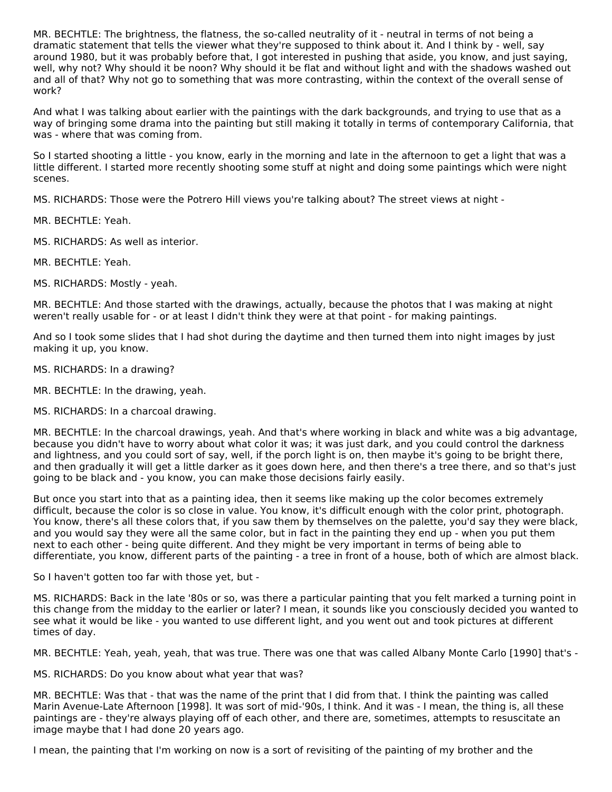MR. BECHTLE: The brightness, the flatness, the so-called neutrality of it - neutral in terms of not being a dramatic statement that tells the viewer what they're supposed to think about it. And I think by - well, say around 1980, but it was probably before that, I got interested in pushing that aside, you know, and just saying, well, why not? Why should it be noon? Why should it be flat and without light and with the shadows washed out and all of that? Why not go to something that was more contrasting, within the context of the overall sense of work?

And what I was talking about earlier with the paintings with the dark backgrounds, and trying to use that as a way of bringing some drama into the painting but still making it totally in terms of contemporary California, that was - where that was coming from.

So I started shooting a little - you know, early in the morning and late in the afternoon to get a light that was a little different. I started more recently shooting some stuff at night and doing some paintings which were night scenes.

MS. RICHARDS: Those were the Potrero Hill views you're talking about? The street views at night -

MR. BECHTLE: Yeah.

MS. RICHARDS: As well as interior.

MR. BECHTLE: Yeah.

MS. RICHARDS: Mostly - yeah.

MR. BECHTLE: And those started with the drawings, actually, because the photos that I was making at night weren't really usable for - or at least I didn't think they were at that point - for making paintings.

And so I took some slides that I had shot during the daytime and then turned them into night images by just making it up, you know.

MS. RICHARDS: In a drawing?

MR. BECHTLE: In the drawing, yeah.

MS. RICHARDS: In a charcoal drawing.

MR. BECHTLE: In the charcoal drawings, yeah. And that's where working in black and white was a big advantage, because you didn't have to worry about what color it was; it was just dark, and you could control the darkness and lightness, and you could sort of say, well, if the porch light is on, then maybe it's going to be bright there, and then gradually it will get a little darker as it goes down here, and then there's a tree there, and so that's just going to be black and - you know, you can make those decisions fairly easily.

But once you start into that as a painting idea, then it seems like making up the color becomes extremely difficult, because the color is so close in value. You know, it's difficult enough with the color print, photograph. You know, there's all these colors that, if you saw them by themselves on the palette, you'd say they were black, and you would say they were all the same color, but in fact in the painting they end up - when you put them next to each other - being quite different. And they might be very important in terms of being able to differentiate, you know, different parts of the painting - a tree in front of a house, both of which are almost black.

So I haven't gotten too far with those yet, but -

MS. RICHARDS: Back in the late '80s or so, was there a particular painting that you felt marked a turning point in this change from the midday to the earlier or later? I mean, it sounds like you consciously decided you wanted to see what it would be like - you wanted to use different light, and you went out and took pictures at different times of day.

MR. BECHTLE: Yeah, yeah, yeah, that was true. There was one that was called Albany Monte Carlo [1990] that's -

MS. RICHARDS: Do you know about what year that was?

MR. BECHTLE: Was that - that was the name of the print that I did from that. I think the painting was called Marin Avenue-Late Afternoon [1998]. It was sort of mid-'90s, I think. And it was - I mean, the thing is, all these paintings are - they're always playing off of each other, and there are, sometimes, attempts to resuscitate an image maybe that I had done 20 years ago.

I mean, the painting that I'm working on now is a sort of revisiting of the painting of my brother and the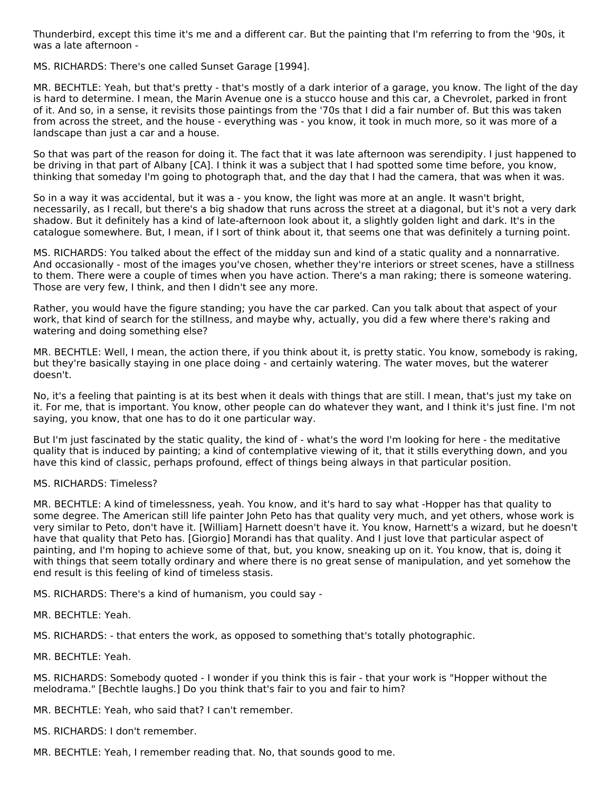Thunderbird, except this time it's me and a different car. But the painting that I'm referring to from the '90s, it was a late afternoon -

MS. RICHARDS: There's one called Sunset Garage [1994].

MR. BECHTLE: Yeah, but that's pretty - that's mostly of a dark interior of a garage, you know. The light of the day is hard to determine. I mean, the Marin Avenue one is a stucco house and this car, a Chevrolet, parked in front of it. And so, in a sense, it revisits those paintings from the '70s that I did a fair number of. But this was taken from across the street, and the house - everything was - you know, it took in much more, so it was more of a landscape than just a car and a house.

So that was part of the reason for doing it. The fact that it was late afternoon was serendipity. I just happened to be driving in that part of Albany [CA]. I think it was a subject that I had spotted some time before, you know, thinking that someday I'm going to photograph that, and the day that I had the camera, that was when it was.

So in a way it was accidental, but it was a - you know, the light was more at an angle. It wasn't bright, necessarily, as I recall, but there's a big shadow that runs across the street at a diagonal, but it's not a very dark shadow. But it definitely has a kind of late-afternoon look about it, a slightly golden light and dark. It's in the catalogue somewhere. But, I mean, if I sort of think about it, that seems one that was definitely a turning point.

MS. RICHARDS: You talked about the effect of the midday sun and kind of a static quality and a nonnarrative. And occasionally - most of the images you've chosen, whether they're interiors or street scenes, have a stillness to them. There were a couple of times when you have action. There's a man raking; there is someone watering. Those are very few, I think, and then I didn't see any more.

Rather, you would have the figure standing; you have the car parked. Can you talk about that aspect of your work, that kind of search for the stillness, and maybe why, actually, you did a few where there's raking and watering and doing something else?

MR. BECHTLE: Well, I mean, the action there, if you think about it, is pretty static. You know, somebody is raking, but they're basically staying in one place doing - and certainly watering. The water moves, but the waterer doesn't.

No, it's a feeling that painting is at its best when it deals with things that are still. I mean, that's just my take on it. For me, that is important. You know, other people can do whatever they want, and I think it's just fine. I'm not saying, you know, that one has to do it one particular way.

But I'm just fascinated by the static quality, the kind of - what's the word I'm looking for here - the meditative quality that is induced by painting; a kind of contemplative viewing of it, that it stills everything down, and you have this kind of classic, perhaps profound, effect of things being always in that particular position.

#### MS. RICHARDS: Timeless?

MR. BECHTLE: A kind of timelessness, yeah. You know, and it's hard to say what -Hopper has that quality to some degree. The American still life painter John Peto has that quality very much, and yet others, whose work is very similar to Peto, don't have it. [William] Harnett doesn't have it. You know, Harnett's a wizard, but he doesn't have that quality that Peto has. [Giorgio] Morandi has that quality. And I just love that particular aspect of painting, and I'm hoping to achieve some of that, but, you know, sneaking up on it. You know, that is, doing it with things that seem totally ordinary and where there is no great sense of manipulation, and yet somehow the end result is this feeling of kind of timeless stasis.

MS. RICHARDS: There's a kind of humanism, you could say -

MR. BECHTLE: Yeah.

MS. RICHARDS: - that enters the work, as opposed to something that's totally photographic.

MR. BECHTLE: Yeah.

MS. RICHARDS: Somebody quoted - I wonder if you think this is fair - that your work is "Hopper without the melodrama." [Bechtle laughs.] Do you think that's fair to you and fair to him?

MR. BECHTLE: Yeah, who said that? I can't remember.

MS. RICHARDS: I don't remember.

MR. BECHTLE: Yeah, I remember reading that. No, that sounds good to me.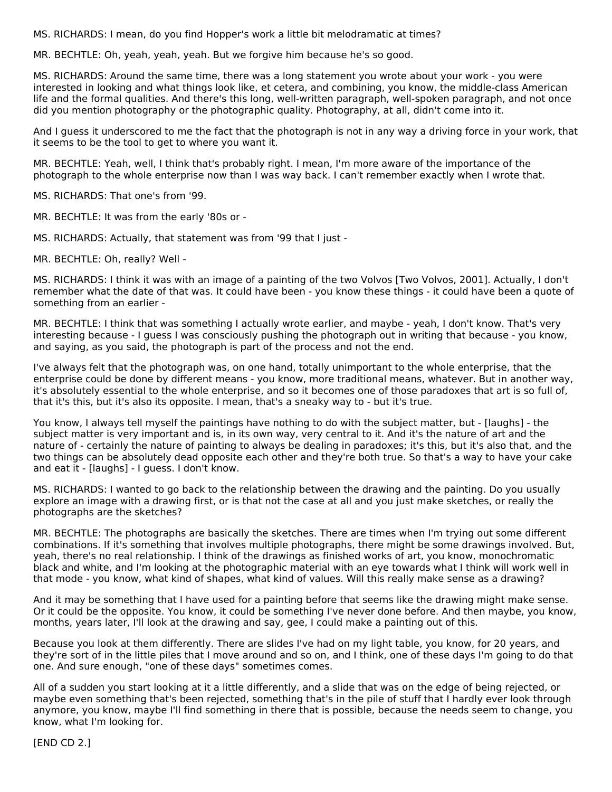MS. RICHARDS: I mean, do you find Hopper's work a little bit melodramatic at times?

MR. BECHTLE: Oh, yeah, yeah, yeah. But we forgive him because he's so good.

MS. RICHARDS: Around the same time, there was a long statement you wrote about your work - you were interested in looking and what things look like, et cetera, and combining, you know, the middle-class American life and the formal qualities. And there's this long, well-written paragraph, well-spoken paragraph, and not once did you mention photography or the photographic quality. Photography, at all, didn't come into it.

And I guess it underscored to me the fact that the photograph is not in any way a driving force in your work, that it seems to be the tool to get to where you want it.

MR. BECHTLE: Yeah, well, I think that's probably right. I mean, I'm more aware of the importance of the photograph to the whole enterprise now than I was way back. I can't remember exactly when I wrote that.

MS. RICHARDS: That one's from '99.

MR. BECHTLE: It was from the early '80s or -

MS. RICHARDS: Actually, that statement was from '99 that I just -

MR. BECHTLE: Oh, really? Well -

MS. RICHARDS: I think it was with an image of a painting of the two Volvos [Two Volvos, 2001]. Actually, I don't remember what the date of that was. It could have been - you know these things - it could have been a quote of something from an earlier -

MR. BECHTLE: I think that was something I actually wrote earlier, and maybe - yeah, I don't know. That's very interesting because - I guess I was consciously pushing the photograph out in writing that because - you know, and saying, as you said, the photograph is part of the process and not the end.

I've always felt that the photograph was, on one hand, totally unimportant to the whole enterprise, that the enterprise could be done by different means - you know, more traditional means, whatever. But in another way, it's absolutely essential to the whole enterprise, and so it becomes one of those paradoxes that art is so full of, that it's this, but it's also its opposite. I mean, that's a sneaky way to - but it's true.

You know, I always tell myself the paintings have nothing to do with the subject matter, but - [laughs] - the subject matter is very important and is, in its own way, very central to it. And it's the nature of art and the nature of - certainly the nature of painting to always be dealing in paradoxes; it's this, but it's also that, and the two things can be absolutely dead opposite each other and they're both true. So that's a way to have your cake and eat it - [laughs] - I guess. I don't know.

MS. RICHARDS: I wanted to go back to the relationship between the drawing and the painting. Do you usually explore an image with a drawing first, or is that not the case at all and you just make sketches, or really the photographs are the sketches?

MR. BECHTLE: The photographs are basically the sketches. There are times when I'm trying out some different combinations. If it's something that involves multiple photographs, there might be some drawings involved. But, yeah, there's no real relationship. I think of the drawings as finished works of art, you know, monochromatic black and white, and I'm looking at the photographic material with an eye towards what I think will work well in that mode - you know, what kind of shapes, what kind of values. Will this really make sense as a drawing?

And it may be something that I have used for a painting before that seems like the drawing might make sense. Or it could be the opposite. You know, it could be something I've never done before. And then maybe, you know, months, years later, I'll look at the drawing and say, gee, I could make a painting out of this.

Because you look at them differently. There are slides I've had on my light table, you know, for 20 years, and they're sort of in the little piles that I move around and so on, and I think, one of these days I'm going to do that one. And sure enough, "one of these days" sometimes comes.

All of a sudden you start looking at it a little differently, and a slide that was on the edge of being rejected, or maybe even something that's been rejected, something that's in the pile of stuff that I hardly ever look through anymore, you know, maybe I'll find something in there that is possible, because the needs seem to change, you know, what I'm looking for.

[END CD 2.]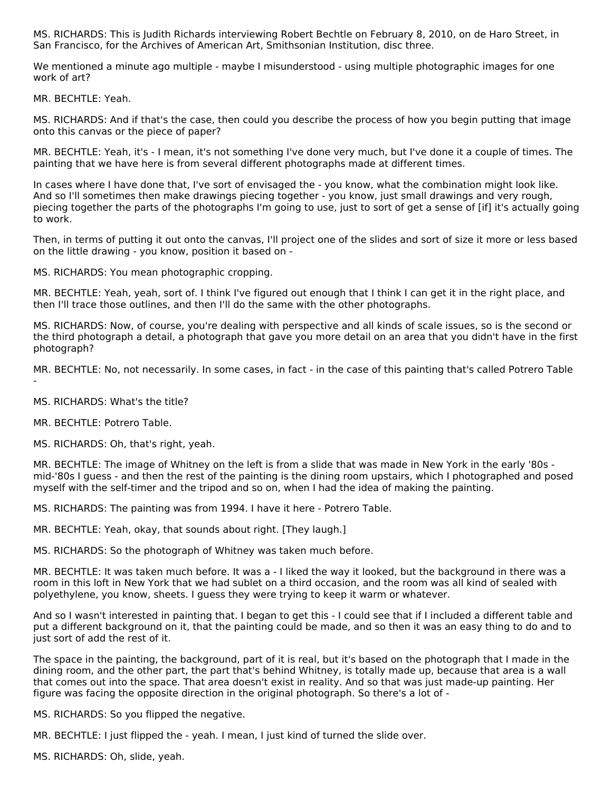MS. RICHARDS: This is Judith Richards interviewing Robert Bechtle on February 8, 2010, on de Haro Street, in San Francisco, for the Archives of American Art, Smithsonian Institution, disc three.

We mentioned a minute ago multiple - maybe I misunderstood - using multiple photographic images for one work of art?

MR. BECHTLE: Yeah.

MS. RICHARDS: And if that's the case, then could you describe the process of how you begin putting that image onto this canvas or the piece of paper?

MR. BECHTLE: Yeah, it's - I mean, it's not something I've done very much, but I've done it a couple of times. The painting that we have here is from several different photographs made at different times.

In cases where I have done that, I've sort of envisaged the - you know, what the combination might look like. And so I'll sometimes then make drawings piecing together - you know, just small drawings and very rough, piecing together the parts of the photographs I'm going to use, just to sort of get a sense of [if] it's actually going to work.

Then, in terms of putting it out onto the canvas, I'll project one of the slides and sort of size it more or less based on the little drawing - you know, position it based on -

MS. RICHARDS: You mean photographic cropping.

MR. BECHTLE: Yeah, yeah, sort of. I think I've figured out enough that I think I can get it in the right place, and then I'll trace those outlines, and then I'll do the same with the other photographs.

MS. RICHARDS: Now, of course, you're dealing with perspective and all kinds of scale issues, so is the second or the third photograph a detail, a photograph that gave you more detail on an area that you didn't have in the first photograph?

MR. BECHTLE: No, not necessarily. In some cases, in fact - in the case of this painting that's called Potrero Table

-

MS. RICHARDS: What's the title?

MR. BECHTLE: Potrero Table.

MS. RICHARDS: Oh, that's right, yeah.

MR. BECHTLE: The image of Whitney on the left is from a slide that was made in New York in the early '80s mid-'80s I guess - and then the rest of the painting is the dining room upstairs, which I photographed and posed myself with the self-timer and the tripod and so on, when I had the idea of making the painting.

MS. RICHARDS: The painting was from 1994. I have it here - Potrero Table.

MR. BECHTLE: Yeah, okay, that sounds about right. [They laugh.]

MS. RICHARDS: So the photograph of Whitney was taken much before.

MR. BECHTLE: It was taken much before. It was a - I liked the way it looked, but the background in there was a room in this loft in New York that we had sublet on a third occasion, and the room was all kind of sealed with polyethylene, you know, sheets. I guess they were trying to keep it warm or whatever.

And so I wasn't interested in painting that. I began to get this - I could see that if I included a different table and put a different background on it, that the painting could be made, and so then it was an easy thing to do and to just sort of add the rest of it.

The space in the painting, the background, part of it is real, but it's based on the photograph that I made in the dining room, and the other part, the part that's behind Whitney, is totally made up, because that area is a wall that comes out into the space. That area doesn't exist in reality. And so that was just made-up painting. Her figure was facing the opposite direction in the original photograph. So there's a lot of -

MS. RICHARDS: So you flipped the negative.

MR. BECHTLE: I just flipped the - yeah. I mean, I just kind of turned the slide over.

MS. RICHARDS: Oh, slide, yeah.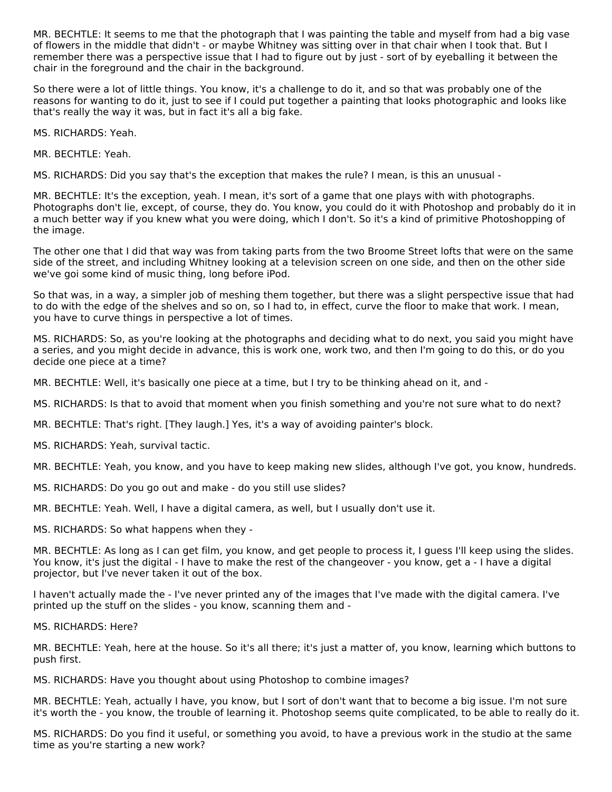MR. BECHTLE: It seems to me that the photograph that I was painting the table and myself from had a big vase of flowers in the middle that didn't - or maybe Whitney was sitting over in that chair when I took that. But I remember there was a perspective issue that I had to figure out by just - sort of by eyeballing it between the chair in the foreground and the chair in the background.

So there were a lot of little things. You know, it's a challenge to do it, and so that was probably one of the reasons for wanting to do it, just to see if I could put together a painting that looks photographic and looks like that's really the way it was, but in fact it's all a big fake.

MS. RICHARDS: Yeah.

MR. BECHTLE: Yeah.

MS. RICHARDS: Did you say that's the exception that makes the rule? I mean, is this an unusual -

MR. BECHTLE: It's the exception, yeah. I mean, it's sort of a game that one plays with with photographs. Photographs don't lie, except, of course, they do. You know, you could do it with Photoshop and probably do it in a much better way if you knew what you were doing, which I don't. So it's a kind of primitive Photoshopping of the image.

The other one that I did that way was from taking parts from the two Broome Street lofts that were on the same side of the street, and including Whitney looking at a television screen on one side, and then on the other side we've goi some kind of music thing, long before iPod.

So that was, in a way, a simpler job of meshing them together, but there was a slight perspective issue that had to do with the edge of the shelves and so on, so I had to, in effect, curve the floor to make that work. I mean, you have to curve things in perspective a lot of times.

MS. RICHARDS: So, as you're looking at the photographs and deciding what to do next, you said you might have a series, and you might decide in advance, this is work one, work two, and then I'm going to do this, or do you decide one piece at a time?

MR. BECHTLE: Well, it's basically one piece at a time, but I try to be thinking ahead on it, and -

- MS. RICHARDS: Is that to avoid that moment when you finish something and you're not sure what to do next?
- MR. BECHTLE: That's right. [They laugh.] Yes, it's a way of avoiding painter's block.
- MS. RICHARDS: Yeah, survival tactic.

MR. BECHTLE: Yeah, you know, and you have to keep making new slides, although I've got, you know, hundreds.

- MS. RICHARDS: Do you go out and make do you still use slides?
- MR. BECHTLE: Yeah. Well, I have a digital camera, as well, but I usually don't use it.

MS. RICHARDS: So what happens when they -

MR. BECHTLE: As long as I can get film, you know, and get people to process it, I guess I'll keep using the slides. You know, it's just the digital - I have to make the rest of the changeover - you know, get a - I have a digital projector, but I've never taken it out of the box.

I haven't actually made the - I've never printed any of the images that I've made with the digital camera. I've printed up the stuff on the slides - you know, scanning them and -

MS. RICHARDS: Here?

MR. BECHTLE: Yeah, here at the house. So it's all there; it's just a matter of, you know, learning which buttons to push first.

MS. RICHARDS: Have you thought about using Photoshop to combine images?

MR. BECHTLE: Yeah, actually I have, you know, but I sort of don't want that to become a big issue. I'm not sure it's worth the - you know, the trouble of learning it. Photoshop seems quite complicated, to be able to really do it.

MS. RICHARDS: Do you find it useful, or something you avoid, to have a previous work in the studio at the same time as you're starting a new work?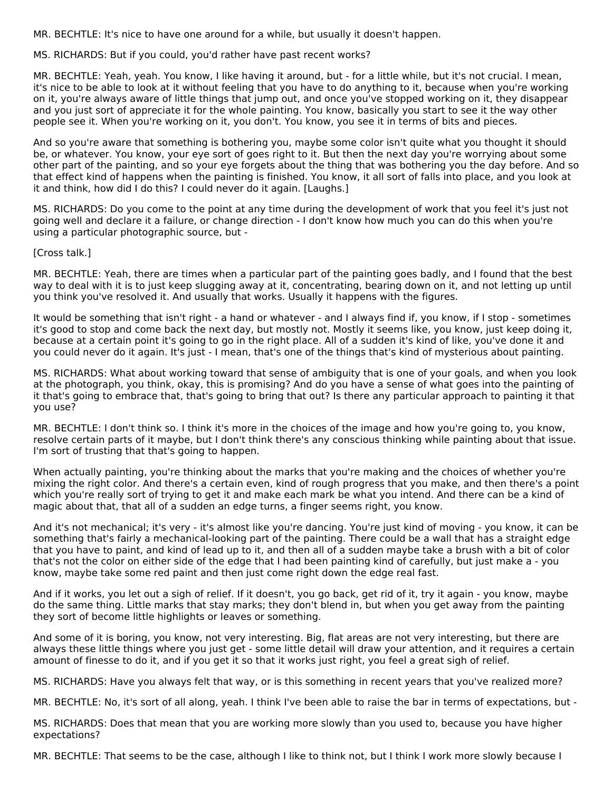MR. BECHTLE: It's nice to have one around for a while, but usually it doesn't happen.

MS. RICHARDS: But if you could, you'd rather have past recent works?

MR. BECHTLE: Yeah, yeah. You know, I like having it around, but - for a little while, but it's not crucial. I mean, it's nice to be able to look at it without feeling that you have to do anything to it, because when you're working on it, you're always aware of little things that jump out, and once you've stopped working on it, they disappear and you just sort of appreciate it for the whole painting. You know, basically you start to see it the way other people see it. When you're working on it, you don't. You know, you see it in terms of bits and pieces.

And so you're aware that something is bothering you, maybe some color isn't quite what you thought it should be, or whatever. You know, your eye sort of goes right to it. But then the next day you're worrying about some other part of the painting, and so your eye forgets about the thing that was bothering you the day before. And so that effect kind of happens when the painting is finished. You know, it all sort of falls into place, and you look at it and think, how did I do this? I could never do it again. [Laughs.]

MS. RICHARDS: Do you come to the point at any time during the development of work that you feel it's just not going well and declare it a failure, or change direction - I don't know how much you can do this when you're using a particular photographic source, but -

[Cross talk.]

MR. BECHTLE: Yeah, there are times when a particular part of the painting goes badly, and I found that the best way to deal with it is to just keep slugging away at it, concentrating, bearing down on it, and not letting up until you think you've resolved it. And usually that works. Usually it happens with the figures.

It would be something that isn't right - a hand or whatever - and I always find if, you know, if I stop - sometimes it's good to stop and come back the next day, but mostly not. Mostly it seems like, you know, just keep doing it, because at a certain point it's going to go in the right place. All of a sudden it's kind of like, you've done it and you could never do it again. It's just - I mean, that's one of the things that's kind of mysterious about painting.

MS. RICHARDS: What about working toward that sense of ambiguity that is one of your goals, and when you look at the photograph, you think, okay, this is promising? And do you have a sense of what goes into the painting of it that's going to embrace that, that's going to bring that out? Is there any particular approach to painting it that you use?

MR. BECHTLE: I don't think so. I think it's more in the choices of the image and how you're going to, you know, resolve certain parts of it maybe, but I don't think there's any conscious thinking while painting about that issue. I'm sort of trusting that that's going to happen.

When actually painting, you're thinking about the marks that you're making and the choices of whether you're mixing the right color. And there's a certain even, kind of rough progress that you make, and then there's a point which you're really sort of trying to get it and make each mark be what you intend. And there can be a kind of magic about that, that all of a sudden an edge turns, a finger seems right, you know.

And it's not mechanical; it's very - it's almost like you're dancing. You're just kind of moving - you know, it can be something that's fairly a mechanical-looking part of the painting. There could be a wall that has a straight edge that you have to paint, and kind of lead up to it, and then all of a sudden maybe take a brush with a bit of color that's not the color on either side of the edge that I had been painting kind of carefully, but just make a - you know, maybe take some red paint and then just come right down the edge real fast.

And if it works, you let out a sigh of relief. If it doesn't, you go back, get rid of it, try it again - you know, maybe do the same thing. Little marks that stay marks; they don't blend in, but when you get away from the painting they sort of become little highlights or leaves or something.

And some of it is boring, you know, not very interesting. Big, flat areas are not very interesting, but there are always these little things where you just get - some little detail will draw your attention, and it requires a certain amount of finesse to do it, and if you get it so that it works just right, you feel a great sigh of relief.

MS. RICHARDS: Have you always felt that way, or is this something in recent years that you've realized more?

MR. BECHTLE: No, it's sort of all along, yeah. I think I've been able to raise the bar in terms of expectations, but -

MS. RICHARDS: Does that mean that you are working more slowly than you used to, because you have higher expectations?

MR. BECHTLE: That seems to be the case, although I like to think not, but I think I work more slowly because I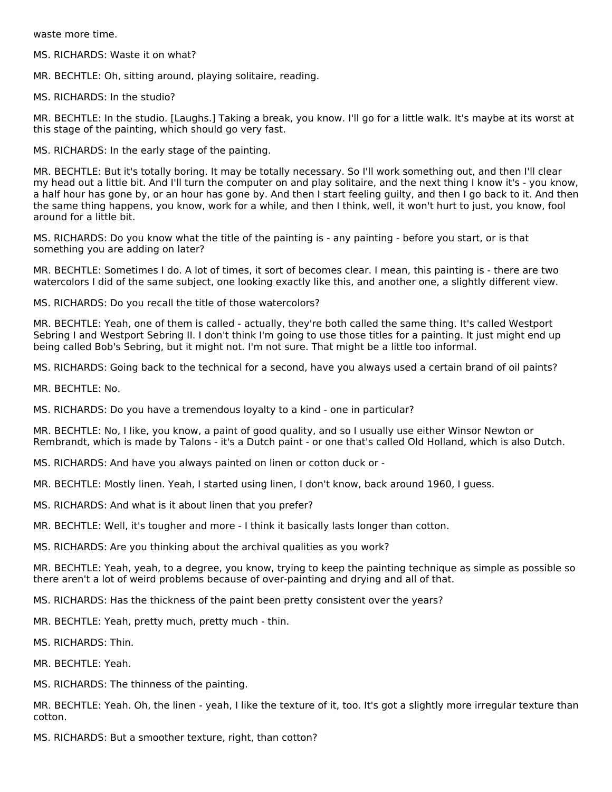waste more time.

MS. RICHARDS: Waste it on what?

MR. BECHTLE: Oh, sitting around, playing solitaire, reading.

MS. RICHARDS: In the studio?

MR. BECHTLE: In the studio. [Laughs.] Taking a break, you know. I'll go for a little walk. It's maybe at its worst at this stage of the painting, which should go very fast.

MS. RICHARDS: In the early stage of the painting.

MR. BECHTLE: But it's totally boring. It may be totally necessary. So I'll work something out, and then I'll clear my head out a little bit. And I'll turn the computer on and play solitaire, and the next thing I know it's - you know, a half hour has gone by, or an hour has gone by. And then I start feeling guilty, and then I go back to it. And then the same thing happens, you know, work for a while, and then I think, well, it won't hurt to just, you know, fool around for a little bit.

MS. RICHARDS: Do you know what the title of the painting is - any painting - before you start, or is that something you are adding on later?

MR. BECHTLE: Sometimes I do. A lot of times, it sort of becomes clear. I mean, this painting is - there are two watercolors I did of the same subject, one looking exactly like this, and another one, a slightly different view.

MS. RICHARDS: Do you recall the title of those watercolors?

MR. BECHTLE: Yeah, one of them is called - actually, they're both called the same thing. It's called Westport Sebring I and Westport Sebring II. I don't think I'm going to use those titles for a painting. It just might end up being called Bob's Sebring, but it might not. I'm not sure. That might be a little too informal.

MS. RICHARDS: Going back to the technical for a second, have you always used a certain brand of oil paints?

MR. BECHTLE: No.

MS. RICHARDS: Do you have a tremendous loyalty to a kind - one in particular?

MR. BECHTLE: No, I like, you know, a paint of good quality, and so I usually use either Winsor Newton or Rembrandt, which is made by Talons - it's a Dutch paint - or one that's called Old Holland, which is also Dutch.

MS. RICHARDS: And have you always painted on linen or cotton duck or -

MR. BECHTLE: Mostly linen. Yeah, I started using linen, I don't know, back around 1960, I guess.

MS. RICHARDS: And what is it about linen that you prefer?

MR. BECHTLE: Well, it's tougher and more - I think it basically lasts longer than cotton.

MS. RICHARDS: Are you thinking about the archival qualities as you work?

MR. BECHTLE: Yeah, yeah, to a degree, you know, trying to keep the painting technique as simple as possible so there aren't a lot of weird problems because of over-painting and drying and all of that.

MS. RICHARDS: Has the thickness of the paint been pretty consistent over the years?

MR. BECHTLE: Yeah, pretty much, pretty much - thin.

MS. RICHARDS: Thin.

MR. BECHTLE: Yeah.

MS. RICHARDS: The thinness of the painting.

MR. BECHTLE: Yeah. Oh, the linen - yeah, I like the texture of it, too. It's got a slightly more irregular texture than cotton.

MS. RICHARDS: But a smoother texture, right, than cotton?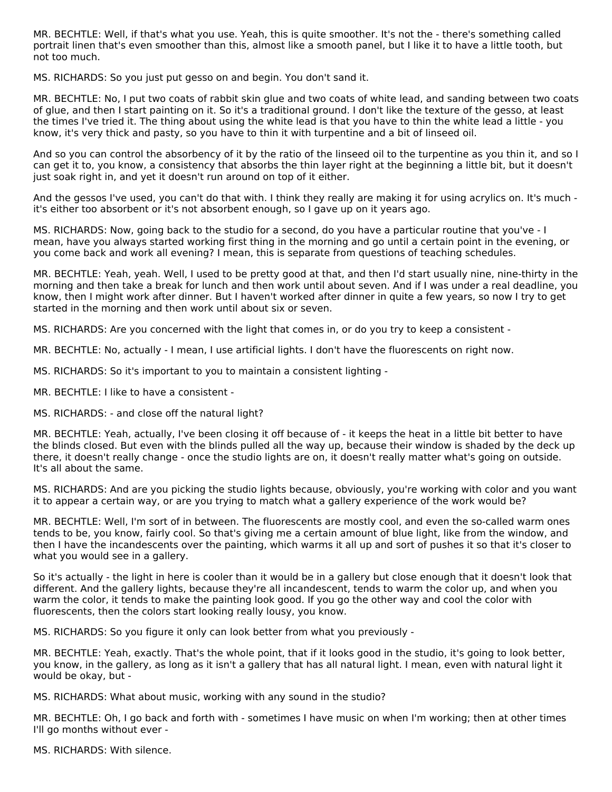MR. BECHTLE: Well, if that's what you use. Yeah, this is quite smoother. It's not the - there's something called portrait linen that's even smoother than this, almost like a smooth panel, but I like it to have a little tooth, but not too much.

MS. RICHARDS: So you just put gesso on and begin. You don't sand it.

MR. BECHTLE: No, I put two coats of rabbit skin glue and two coats of white lead, and sanding between two coats of glue, and then I start painting on it. So it's a traditional ground. I don't like the texture of the gesso, at least the times I've tried it. The thing about using the white lead is that you have to thin the white lead a little - you know, it's very thick and pasty, so you have to thin it with turpentine and a bit of linseed oil.

And so you can control the absorbency of it by the ratio of the linseed oil to the turpentine as you thin it, and so I can get it to, you know, a consistency that absorbs the thin layer right at the beginning a little bit, but it doesn't just soak right in, and yet it doesn't run around on top of it either.

And the gessos I've used, you can't do that with. I think they really are making it for using acrylics on. It's much it's either too absorbent or it's not absorbent enough, so I gave up on it years ago.

MS. RICHARDS: Now, going back to the studio for a second, do you have a particular routine that you've - I mean, have you always started working first thing in the morning and go until a certain point in the evening, or you come back and work all evening? I mean, this is separate from questions of teaching schedules.

MR. BECHTLE: Yeah, yeah. Well, I used to be pretty good at that, and then I'd start usually nine, nine-thirty in the morning and then take a break for lunch and then work until about seven. And if I was under a real deadline, you know, then I might work after dinner. But I haven't worked after dinner in quite a few years, so now I try to get started in the morning and then work until about six or seven.

MS. RICHARDS: Are you concerned with the light that comes in, or do you try to keep a consistent -

MR. BECHTLE: No, actually - I mean, I use artificial lights. I don't have the fluorescents on right now.

MS. RICHARDS: So it's important to you to maintain a consistent lighting -

MR. BECHTLE: I like to have a consistent -

MS. RICHARDS: - and close off the natural light?

MR. BECHTLE: Yeah, actually, I've been closing it off because of - it keeps the heat in a little bit better to have the blinds closed. But even with the blinds pulled all the way up, because their window is shaded by the deck up there, it doesn't really change - once the studio lights are on, it doesn't really matter what's going on outside. It's all about the same.

MS. RICHARDS: And are you picking the studio lights because, obviously, you're working with color and you want it to appear a certain way, or are you trying to match what a gallery experience of the work would be?

MR. BECHTLE: Well, I'm sort of in between. The fluorescents are mostly cool, and even the so-called warm ones tends to be, you know, fairly cool. So that's giving me a certain amount of blue light, like from the window, and then I have the incandescents over the painting, which warms it all up and sort of pushes it so that it's closer to what you would see in a gallery.

So it's actually - the light in here is cooler than it would be in a gallery but close enough that it doesn't look that different. And the gallery lights, because they're all incandescent, tends to warm the color up, and when you warm the color, it tends to make the painting look good. If you go the other way and cool the color with fluorescents, then the colors start looking really lousy, you know.

MS. RICHARDS: So you figure it only can look better from what you previously -

MR. BECHTLE: Yeah, exactly. That's the whole point, that if it looks good in the studio, it's going to look better, you know, in the gallery, as long as it isn't a gallery that has all natural light. I mean, even with natural light it would be okay, but -

MS. RICHARDS: What about music, working with any sound in the studio?

MR. BECHTLE: Oh, I go back and forth with - sometimes I have music on when I'm working; then at other times I'll go months without ever -

MS. RICHARDS: With silence.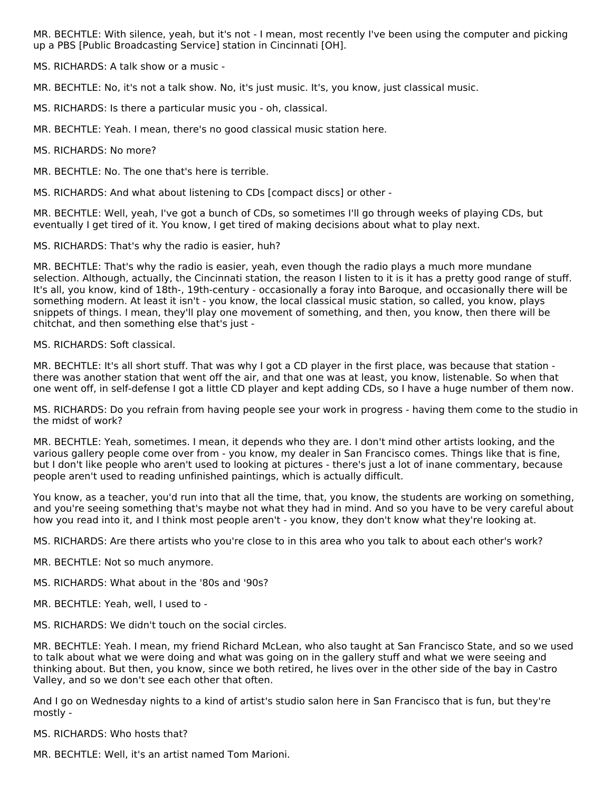MR. BECHTLE: With silence, yeah, but it's not - I mean, most recently I've been using the computer and picking up a PBS [Public Broadcasting Service] station in Cincinnati [OH].

MS. RICHARDS: A talk show or a music -

MR. BECHTLE: No, it's not a talk show. No, it's just music. It's, you know, just classical music.

MS. RICHARDS: Is there a particular music you - oh, classical.

MR. BECHTLE: Yeah. I mean, there's no good classical music station here.

MS. RICHARDS: No more?

MR. BECHTLE: No. The one that's here is terrible.

MS. RICHARDS: And what about listening to CDs [compact discs] or other -

MR. BECHTLE: Well, yeah, I've got a bunch of CDs, so sometimes I'll go through weeks of playing CDs, but eventually I get tired of it. You know, I get tired of making decisions about what to play next.

MS. RICHARDS: That's why the radio is easier, huh?

MR. BECHTLE: That's why the radio is easier, yeah, even though the radio plays a much more mundane selection. Although, actually, the Cincinnati station, the reason I listen to it is it has a pretty good range of stuff. It's all, you know, kind of 18th-, 19th-century - occasionally a foray into Baroque, and occasionally there will be something modern. At least it isn't - you know, the local classical music station, so called, you know, plays snippets of things. I mean, they'll play one movement of something, and then, you know, then there will be chitchat, and then something else that's just -

#### MS. RICHARDS: Soft classical.

MR. BECHTLE: It's all short stuff. That was why I got a CD player in the first place, was because that station there was another station that went off the air, and that one was at least, you know, listenable. So when that one went off, in self-defense I got a little CD player and kept adding CDs, so I have a huge number of them now.

MS. RICHARDS: Do you refrain from having people see your work in progress - having them come to the studio in the midst of work?

MR. BECHTLE: Yeah, sometimes. I mean, it depends who they are. I don't mind other artists looking, and the various gallery people come over from - you know, my dealer in San Francisco comes. Things like that is fine, but I don't like people who aren't used to looking at pictures - there's just a lot of inane commentary, because people aren't used to reading unfinished paintings, which is actually difficult.

You know, as a teacher, you'd run into that all the time, that, you know, the students are working on something, and you're seeing something that's maybe not what they had in mind. And so you have to be very careful about how you read into it, and I think most people aren't - you know, they don't know what they're looking at.

MS. RICHARDS: Are there artists who you're close to in this area who you talk to about each other's work?

MR. BECHTLE: Not so much anymore.

MS. RICHARDS: What about in the '80s and '90s?

- MR. BECHTLE: Yeah, well, I used to -
- MS. RICHARDS: We didn't touch on the social circles.

MR. BECHTLE: Yeah. I mean, my friend Richard McLean, who also taught at San Francisco State, and so we used to talk about what we were doing and what was going on in the gallery stuff and what we were seeing and thinking about. But then, you know, since we both retired, he lives over in the other side of the bay in Castro Valley, and so we don't see each other that often.

And I go on Wednesday nights to a kind of artist's studio salon here in San Francisco that is fun, but they're mostly -

MS. RICHARDS: Who hosts that?

MR. BECHTLE: Well, it's an artist named Tom Marioni.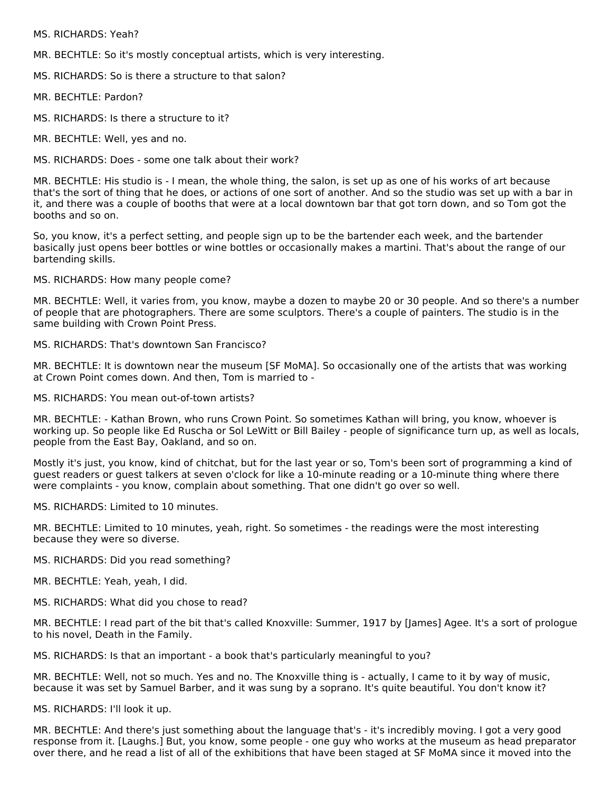MS. RICHARDS: Yeah?

MR. BECHTLE: So it's mostly conceptual artists, which is very interesting.

MS. RICHARDS: So is there a structure to that salon?

MR. BECHTLE: Pardon?

MS. RICHARDS: Is there a structure to it?

MR. BECHTLE: Well, yes and no.

MS. RICHARDS: Does - some one talk about their work?

MR. BECHTLE: His studio is - I mean, the whole thing, the salon, is set up as one of his works of art because that's the sort of thing that he does, or actions of one sort of another. And so the studio was set up with a bar in it, and there was a couple of booths that were at a local downtown bar that got torn down, and so Tom got the booths and so on.

So, you know, it's a perfect setting, and people sign up to be the bartender each week, and the bartender basically just opens beer bottles or wine bottles or occasionally makes a martini. That's about the range of our bartending skills.

MS. RICHARDS: How many people come?

MR. BECHTLE: Well, it varies from, you know, maybe a dozen to maybe 20 or 30 people. And so there's a number of people that are photographers. There are some sculptors. There's a couple of painters. The studio is in the same building with Crown Point Press.

MS. RICHARDS: That's downtown San Francisco?

MR. BECHTLE: It is downtown near the museum [SF MoMA]. So occasionally one of the artists that was working at Crown Point comes down. And then, Tom is married to -

MS. RICHARDS: You mean out-of-town artists?

MR. BECHTLE: - Kathan Brown, who runs Crown Point. So sometimes Kathan will bring, you know, whoever is working up. So people like Ed Ruscha or Sol LeWitt or Bill Bailey - people of significance turn up, as well as locals, people from the East Bay, Oakland, and so on.

Mostly it's just, you know, kind of chitchat, but for the last year or so, Tom's been sort of programming a kind of guest readers or guest talkers at seven o'clock for like a 10-minute reading or a 10-minute thing where there were complaints - you know, complain about something. That one didn't go over so well.

MS. RICHARDS: Limited to 10 minutes.

MR. BECHTLE: Limited to 10 minutes, yeah, right. So sometimes - the readings were the most interesting because they were so diverse.

MS. RICHARDS: Did you read something?

MR. BECHTLE: Yeah, yeah, I did.

MS. RICHARDS: What did you chose to read?

MR. BECHTLE: I read part of the bit that's called Knoxville: Summer, 1917 by [James] Agee. It's a sort of prologue to his novel, Death in the Family.

MS. RICHARDS: Is that an important - a book that's particularly meaningful to you?

MR. BECHTLE: Well, not so much. Yes and no. The Knoxville thing is - actually, I came to it by way of music, because it was set by Samuel Barber, and it was sung by a soprano. It's quite beautiful. You don't know it?

MS. RICHARDS: I'll look it up.

MR. BECHTLE: And there's just something about the language that's - it's incredibly moving. I got a very good response from it. [Laughs.] But, you know, some people - one guy who works at the museum as head preparator over there, and he read a list of all of the exhibitions that have been staged at SF MoMA since it moved into the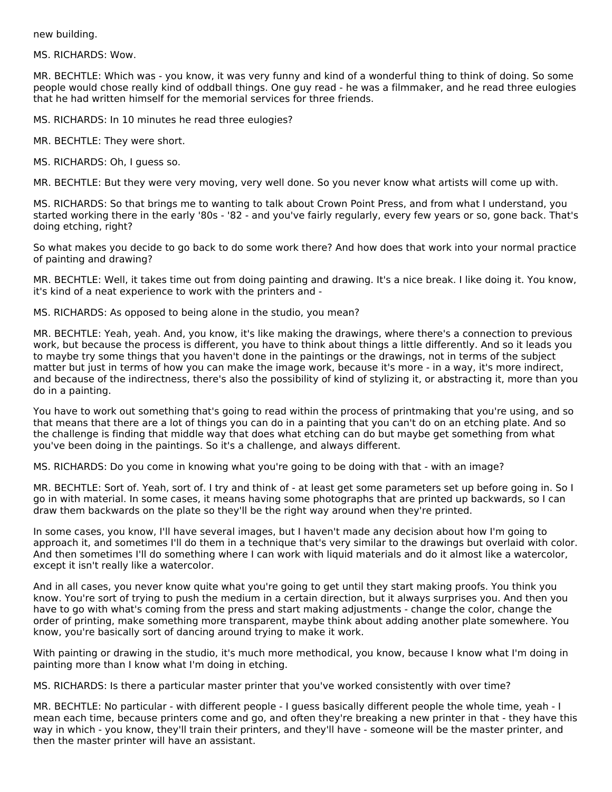new building.

MS. RICHARDS: Wow.

MR. BECHTLE: Which was - you know, it was very funny and kind of a wonderful thing to think of doing. So some people would chose really kind of oddball things. One guy read - he was a filmmaker, and he read three eulogies that he had written himself for the memorial services for three friends.

MS. RICHARDS: In 10 minutes he read three eulogies?

MR. BECHTLE: They were short.

MS. RICHARDS: Oh, I guess so.

MR. BECHTLE: But they were very moving, very well done. So you never know what artists will come up with.

MS. RICHARDS: So that brings me to wanting to talk about Crown Point Press, and from what I understand, you started working there in the early '80s - '82 - and you've fairly regularly, every few years or so, gone back. That's doing etching, right?

So what makes you decide to go back to do some work there? And how does that work into your normal practice of painting and drawing?

MR. BECHTLE: Well, it takes time out from doing painting and drawing. It's a nice break. I like doing it. You know, it's kind of a neat experience to work with the printers and -

MS. RICHARDS: As opposed to being alone in the studio, you mean?

MR. BECHTLE: Yeah, yeah. And, you know, it's like making the drawings, where there's a connection to previous work, but because the process is different, you have to think about things a little differently. And so it leads you to maybe try some things that you haven't done in the paintings or the drawings, not in terms of the subject matter but just in terms of how you can make the image work, because it's more - in a way, it's more indirect, and because of the indirectness, there's also the possibility of kind of stylizing it, or abstracting it, more than you do in a painting.

You have to work out something that's going to read within the process of printmaking that you're using, and so that means that there are a lot of things you can do in a painting that you can't do on an etching plate. And so the challenge is finding that middle way that does what etching can do but maybe get something from what you've been doing in the paintings. So it's a challenge, and always different.

MS. RICHARDS: Do you come in knowing what you're going to be doing with that - with an image?

MR. BECHTLE: Sort of. Yeah, sort of. I try and think of - at least get some parameters set up before going in. So I go in with material. In some cases, it means having some photographs that are printed up backwards, so I can draw them backwards on the plate so they'll be the right way around when they're printed.

In some cases, you know, I'll have several images, but I haven't made any decision about how I'm going to approach it, and sometimes I'll do them in a technique that's very similar to the drawings but overlaid with color. And then sometimes I'll do something where I can work with liquid materials and do it almost like a watercolor, except it isn't really like a watercolor.

And in all cases, you never know quite what you're going to get until they start making proofs. You think you know. You're sort of trying to push the medium in a certain direction, but it always surprises you. And then you have to go with what's coming from the press and start making adjustments - change the color, change the order of printing, make something more transparent, maybe think about adding another plate somewhere. You know, you're basically sort of dancing around trying to make it work.

With painting or drawing in the studio, it's much more methodical, you know, because I know what I'm doing in painting more than I know what I'm doing in etching.

MS. RICHARDS: Is there a particular master printer that you've worked consistently with over time?

MR. BECHTLE: No particular - with different people - I guess basically different people the whole time, yeah - I mean each time, because printers come and go, and often they're breaking a new printer in that - they have this way in which - you know, they'll train their printers, and they'll have - someone will be the master printer, and then the master printer will have an assistant.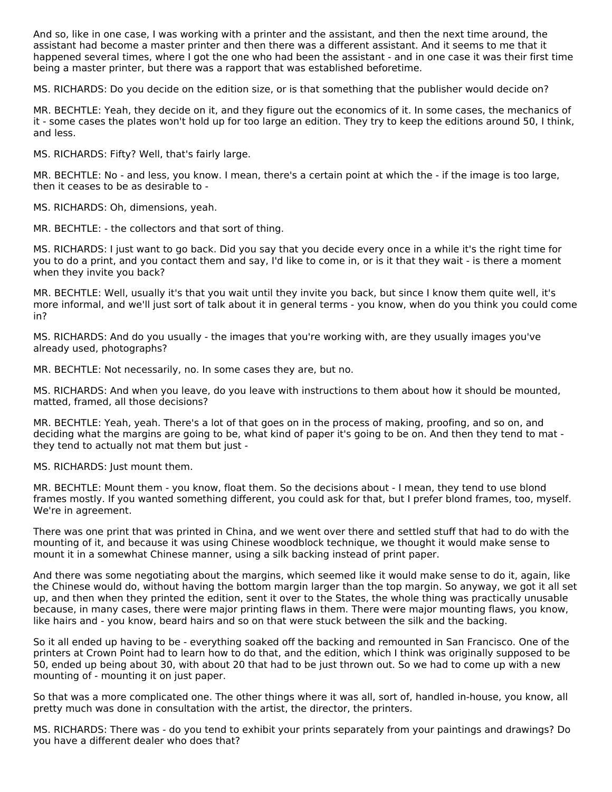And so, like in one case, I was working with a printer and the assistant, and then the next time around, the assistant had become a master printer and then there was a different assistant. And it seems to me that it happened several times, where I got the one who had been the assistant - and in one case it was their first time being a master printer, but there was a rapport that was established beforetime.

MS. RICHARDS: Do you decide on the edition size, or is that something that the publisher would decide on?

MR. BECHTLE: Yeah, they decide on it, and they figure out the economics of it. In some cases, the mechanics of it - some cases the plates won't hold up for too large an edition. They try to keep the editions around 50, I think, and less.

MS. RICHARDS: Fifty? Well, that's fairly large.

MR. BECHTLE: No - and less, you know. I mean, there's a certain point at which the - if the image is too large, then it ceases to be as desirable to -

MS. RICHARDS: Oh, dimensions, yeah.

MR. BECHTLE: - the collectors and that sort of thing.

MS. RICHARDS: I just want to go back. Did you say that you decide every once in a while it's the right time for you to do a print, and you contact them and say, I'd like to come in, or is it that they wait - is there a moment when they invite you back?

MR. BECHTLE: Well, usually it's that you wait until they invite you back, but since I know them quite well, it's more informal, and we'll just sort of talk about it in general terms - you know, when do you think you could come in?

MS. RICHARDS: And do you usually - the images that you're working with, are they usually images you've already used, photographs?

MR. BECHTLE: Not necessarily, no. In some cases they are, but no.

MS. RICHARDS: And when you leave, do you leave with instructions to them about how it should be mounted, matted, framed, all those decisions?

MR. BECHTLE: Yeah, yeah. There's a lot of that goes on in the process of making, proofing, and so on, and deciding what the margins are going to be, what kind of paper it's going to be on. And then they tend to mat they tend to actually not mat them but just -

MS. RICHARDS: Just mount them.

MR. BECHTLE: Mount them - you know, float them. So the decisions about - I mean, they tend to use blond frames mostly. If you wanted something different, you could ask for that, but I prefer blond frames, too, myself. We're in agreement.

There was one print that was printed in China, and we went over there and settled stuff that had to do with the mounting of it, and because it was using Chinese woodblock technique, we thought it would make sense to mount it in a somewhat Chinese manner, using a silk backing instead of print paper.

And there was some negotiating about the margins, which seemed like it would make sense to do it, again, like the Chinese would do, without having the bottom margin larger than the top margin. So anyway, we got it all set up, and then when they printed the edition, sent it over to the States, the whole thing was practically unusable because, in many cases, there were major printing flaws in them. There were major mounting flaws, you know, like hairs and - you know, beard hairs and so on that were stuck between the silk and the backing.

So it all ended up having to be - everything soaked off the backing and remounted in San Francisco. One of the printers at Crown Point had to learn how to do that, and the edition, which I think was originally supposed to be 50, ended up being about 30, with about 20 that had to be just thrown out. So we had to come up with a new mounting of - mounting it on just paper.

So that was a more complicated one. The other things where it was all, sort of, handled in-house, you know, all pretty much was done in consultation with the artist, the director, the printers.

MS. RICHARDS: There was - do you tend to exhibit your prints separately from your paintings and drawings? Do you have a different dealer who does that?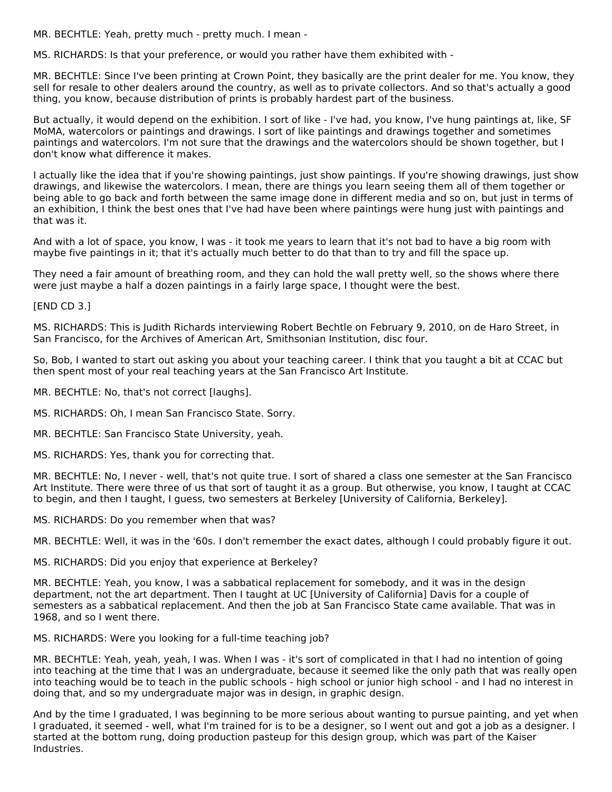MR. BECHTLE: Yeah, pretty much - pretty much. I mean -

MS. RICHARDS: Is that your preference, or would you rather have them exhibited with -

MR. BECHTLE: Since I've been printing at Crown Point, they basically are the print dealer for me. You know, they sell for resale to other dealers around the country, as well as to private collectors. And so that's actually a good thing, you know, because distribution of prints is probably hardest part of the business.

But actually, it would depend on the exhibition. I sort of like - I've had, you know, I've hung paintings at, like, SF MoMA, watercolors or paintings and drawings. I sort of like paintings and drawings together and sometimes paintings and watercolors. I'm not sure that the drawings and the watercolors should be shown together, but I don't know what difference it makes.

I actually like the idea that if you're showing paintings, just show paintings. If you're showing drawings, just show drawings, and likewise the watercolors. I mean, there are things you learn seeing them all of them together or being able to go back and forth between the same image done in different media and so on, but just in terms of an exhibition, I think the best ones that I've had have been where paintings were hung just with paintings and that was it.

And with a lot of space, you know, I was - it took me years to learn that it's not bad to have a big room with maybe five paintings in it; that it's actually much better to do that than to try and fill the space up.

They need a fair amount of breathing room, and they can hold the wall pretty well, so the shows where there were just maybe a half a dozen paintings in a fairly large space, I thought were the best.

[END CD 3.]

MS. RICHARDS: This is Judith Richards interviewing Robert Bechtle on February 9, 2010, on de Haro Street, in San Francisco, for the Archives of American Art, Smithsonian Institution, disc four.

So, Bob, I wanted to start out asking you about your teaching career. I think that you taught a bit at CCAC but then spent most of your real teaching years at the San Francisco Art Institute.

MR. BECHTLE: No, that's not correct [laughs].

MS. RICHARDS: Oh, I mean San Francisco State. Sorry.

MR. BECHTLE: San Francisco State University, yeah.

MS. RICHARDS: Yes, thank you for correcting that.

MR. BECHTLE: No, I never - well, that's not quite true. I sort of shared a class one semester at the San Francisco Art Institute. There were three of us that sort of taught it as a group. But otherwise, you know, I taught at CCAC to begin, and then I taught, I guess, two semesters at Berkeley [University of California, Berkeley].

MS. RICHARDS: Do you remember when that was?

MR. BECHTLE: Well, it was in the '60s. I don't remember the exact dates, although I could probably figure it out.

MS. RICHARDS: Did you enjoy that experience at Berkeley?

MR. BECHTLE: Yeah, you know, I was a sabbatical replacement for somebody, and it was in the design department, not the art department. Then I taught at UC [University of California] Davis for a couple of semesters as a sabbatical replacement. And then the job at San Francisco State came available. That was in 1968, and so I went there.

MS. RICHARDS: Were you looking for a full-time teaching job?

MR. BECHTLE: Yeah, yeah, yeah, I was. When I was - it's sort of complicated in that I had no intention of going into teaching at the time that I was an undergraduate, because it seemed like the only path that was really open into teaching would be to teach in the public schools - high school or junior high school - and I had no interest in doing that, and so my undergraduate major was in design, in graphic design.

And by the time I graduated, I was beginning to be more serious about wanting to pursue painting, and yet when I graduated, it seemed - well, what I'm trained for is to be a designer, so I went out and got a job as a designer. I started at the bottom rung, doing production pasteup for this design group, which was part of the Kaiser Industries.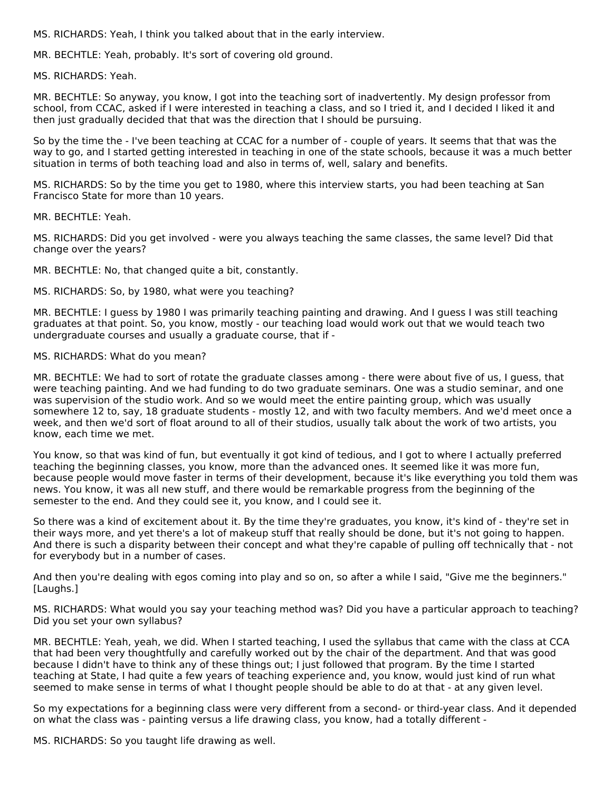MS. RICHARDS: Yeah, I think you talked about that in the early interview.

MR. BECHTLE: Yeah, probably. It's sort of covering old ground.

MS. RICHARDS: Yeah.

MR. BECHTLE: So anyway, you know, I got into the teaching sort of inadvertently. My design professor from school, from CCAC, asked if I were interested in teaching a class, and so I tried it, and I decided I liked it and then just gradually decided that that was the direction that I should be pursuing.

So by the time the - I've been teaching at CCAC for a number of - couple of years. It seems that that was the way to go, and I started getting interested in teaching in one of the state schools, because it was a much better situation in terms of both teaching load and also in terms of, well, salary and benefits.

MS. RICHARDS: So by the time you get to 1980, where this interview starts, you had been teaching at San Francisco State for more than 10 years.

MR. BECHTLE: Yeah.

MS. RICHARDS: Did you get involved - were you always teaching the same classes, the same level? Did that change over the years?

MR. BECHTLE: No, that changed quite a bit, constantly.

MS. RICHARDS: So, by 1980, what were you teaching?

MR. BECHTLE: I guess by 1980 I was primarily teaching painting and drawing. And I guess I was still teaching graduates at that point. So, you know, mostly - our teaching load would work out that we would teach two undergraduate courses and usually a graduate course, that if -

#### MS. RICHARDS: What do you mean?

MR. BECHTLE: We had to sort of rotate the graduate classes among - there were about five of us, I guess, that were teaching painting. And we had funding to do two graduate seminars. One was a studio seminar, and one was supervision of the studio work. And so we would meet the entire painting group, which was usually somewhere 12 to, say, 18 graduate students - mostly 12, and with two faculty members. And we'd meet once a week, and then we'd sort of float around to all of their studios, usually talk about the work of two artists, you know, each time we met.

You know, so that was kind of fun, but eventually it got kind of tedious, and I got to where I actually preferred teaching the beginning classes, you know, more than the advanced ones. It seemed like it was more fun, because people would move faster in terms of their development, because it's like everything you told them was news. You know, it was all new stuff, and there would be remarkable progress from the beginning of the semester to the end. And they could see it, you know, and I could see it.

So there was a kind of excitement about it. By the time they're graduates, you know, it's kind of - they're set in their ways more, and yet there's a lot of makeup stuff that really should be done, but it's not going to happen. And there is such a disparity between their concept and what they're capable of pulling off technically that - not for everybody but in a number of cases.

And then you're dealing with egos coming into play and so on, so after a while I said, "Give me the beginners." [Laughs.]

MS. RICHARDS: What would you say your teaching method was? Did you have a particular approach to teaching? Did you set your own syllabus?

MR. BECHTLE: Yeah, yeah, we did. When I started teaching, I used the syllabus that came with the class at CCA that had been very thoughtfully and carefully worked out by the chair of the department. And that was good because I didn't have to think any of these things out; I just followed that program. By the time I started teaching at State, I had quite a few years of teaching experience and, you know, would just kind of run what seemed to make sense in terms of what I thought people should be able to do at that - at any given level.

So my expectations for a beginning class were very different from a second- or third-year class. And it depended on what the class was - painting versus a life drawing class, you know, had a totally different -

MS. RICHARDS: So you taught life drawing as well.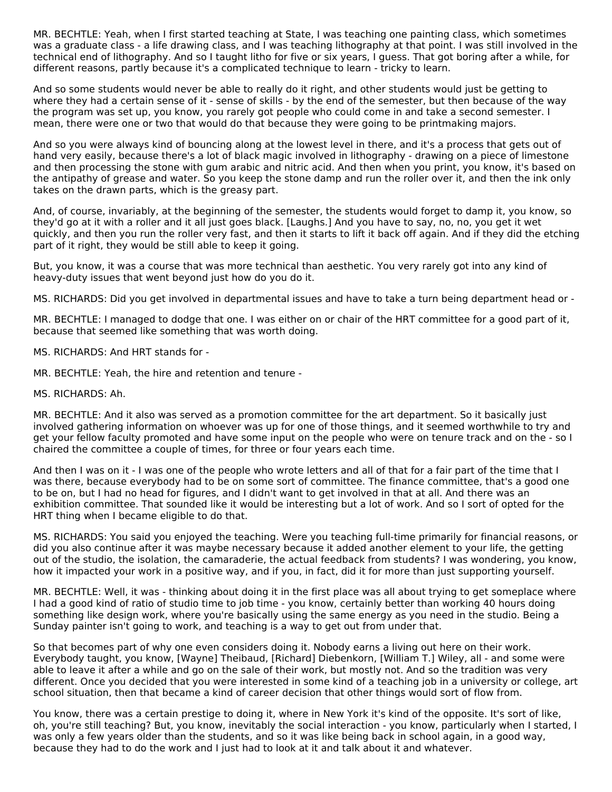MR. BECHTLE: Yeah, when I first started teaching at State, I was teaching one painting class, which sometimes was a graduate class - a life drawing class, and I was teaching lithography at that point. I was still involved in the technical end of lithography. And so I taught litho for five or six years, I guess. That got boring after a while, for different reasons, partly because it's a complicated technique to learn - tricky to learn.

And so some students would never be able to really do it right, and other students would just be getting to where they had a certain sense of it - sense of skills - by the end of the semester, but then because of the way the program was set up, you know, you rarely got people who could come in and take a second semester. I mean, there were one or two that would do that because they were going to be printmaking majors.

And so you were always kind of bouncing along at the lowest level in there, and it's a process that gets out of hand very easily, because there's a lot of black magic involved in lithography - drawing on a piece of limestone and then processing the stone with gum arabic and nitric acid. And then when you print, you know, it's based on the antipathy of grease and water. So you keep the stone damp and run the roller over it, and then the ink only takes on the drawn parts, which is the greasy part.

And, of course, invariably, at the beginning of the semester, the students would forget to damp it, you know, so they'd go at it with a roller and it all just goes black. [Laughs.] And you have to say, no, no, you get it wet quickly, and then you run the roller very fast, and then it starts to lift it back off again. And if they did the etching part of it right, they would be still able to keep it going.

But, you know, it was a course that was more technical than aesthetic. You very rarely got into any kind of heavy-duty issues that went beyond just how do you do it.

MS. RICHARDS: Did you get involved in departmental issues and have to take a turn being department head or -

MR. BECHTLE: I managed to dodge that one. I was either on or chair of the HRT committee for a good part of it, because that seemed like something that was worth doing.

MS. RICHARDS: And HRT stands for -

MR. BECHTLE: Yeah, the hire and retention and tenure -

#### MS. RICHARDS: Ah.

MR. BECHTLE: And it also was served as a promotion committee for the art department. So it basically just involved gathering information on whoever was up for one of those things, and it seemed worthwhile to try and get your fellow faculty promoted and have some input on the people who were on tenure track and on the - so I chaired the committee a couple of times, for three or four years each time.

And then I was on it - I was one of the people who wrote letters and all of that for a fair part of the time that I was there, because everybody had to be on some sort of committee. The finance committee, that's a good one to be on, but I had no head for figures, and I didn't want to get involved in that at all. And there was an exhibition committee. That sounded like it would be interesting but a lot of work. And so I sort of opted for the HRT thing when I became eligible to do that.

MS. RICHARDS: You said you enjoyed the teaching. Were you teaching full-time primarily for financial reasons, or did you also continue after it was maybe necessary because it added another element to your life, the getting out of the studio, the isolation, the camaraderie, the actual feedback from students? I was wondering, you know, how it impacted your work in a positive way, and if you, in fact, did it for more than just supporting yourself.

MR. BECHTLE: Well, it was - thinking about doing it in the first place was all about trying to get someplace where I had a good kind of ratio of studio time to job time - you know, certainly better than working 40 hours doing something like design work, where you're basically using the same energy as you need in the studio. Being a Sunday painter isn't going to work, and teaching is a way to get out from under that.

So that becomes part of why one even considers doing it. Nobody earns a living out here on their work. Everybody taught, you know, [Wayne] Theibaud, [Richard] Diebenkorn, [William T.] Wiley, all - and some were able to leave it after a while and go on the sale of their work, but mostly not. And so the tradition was very different. Once you decided that you were interested in some kind of a teaching job in a university or college, art school situation, then that became a kind of career decision that other things would sort of flow from.

You know, there was a certain prestige to doing it, where in New York it's kind of the opposite. It's sort of like, oh, you're still teaching? But, you know, inevitably the social interaction - you know, particularly when I started, I was only a few years older than the students, and so it was like being back in school again, in a good way, because they had to do the work and I just had to look at it and talk about it and whatever.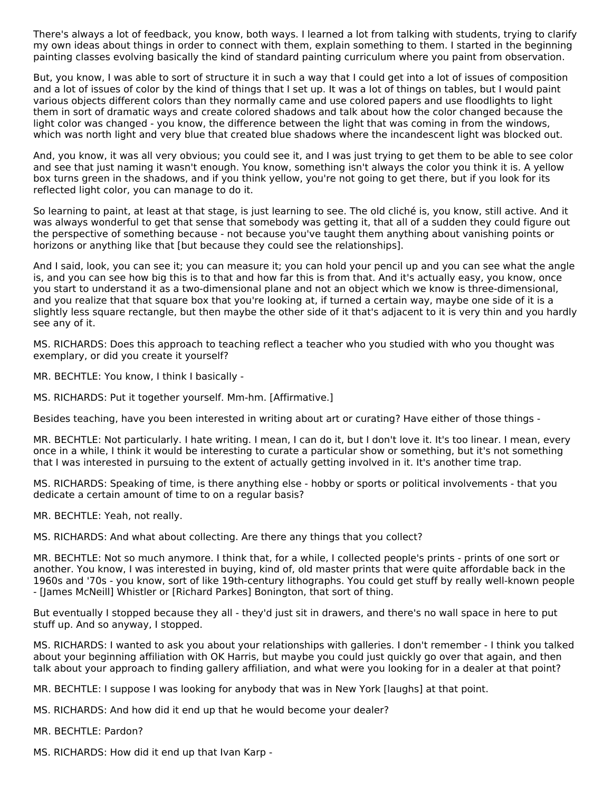There's always a lot of feedback, you know, both ways. I learned a lot from talking with students, trying to clarify my own ideas about things in order to connect with them, explain something to them. I started in the beginning painting classes evolving basically the kind of standard painting curriculum where you paint from observation.

But, you know, I was able to sort of structure it in such a way that I could get into a lot of issues of composition and a lot of issues of color by the kind of things that I set up. It was a lot of things on tables, but I would paint various objects different colors than they normally came and use colored papers and use floodlights to light them in sort of dramatic ways and create colored shadows and talk about how the color changed because the light color was changed - you know, the difference between the light that was coming in from the windows, which was north light and very blue that created blue shadows where the incandescent light was blocked out.

And, you know, it was all very obvious; you could see it, and I was just trying to get them to be able to see color and see that just naming it wasn't enough. You know, something isn't always the color you think it is. A yellow box turns green in the shadows, and if you think yellow, you're not going to get there, but if you look for its reflected light color, you can manage to do it.

So learning to paint, at least at that stage, is just learning to see. The old cliché is, you know, still active. And it was always wonderful to get that sense that somebody was getting it, that all of a sudden they could figure out the perspective of something because - not because you've taught them anything about vanishing points or horizons or anything like that [but because they could see the relationships].

And I said, look, you can see it; you can measure it; you can hold your pencil up and you can see what the angle is, and you can see how big this is to that and how far this is from that. And it's actually easy, you know, once you start to understand it as a two-dimensional plane and not an object which we know is three-dimensional, and you realize that that square box that you're looking at, if turned a certain way, maybe one side of it is a slightly less square rectangle, but then maybe the other side of it that's adjacent to it is very thin and you hardly see any of it.

MS. RICHARDS: Does this approach to teaching reflect a teacher who you studied with who you thought was exemplary, or did you create it yourself?

MR. BECHTLE: You know, I think I basically -

MS. RICHARDS: Put it together yourself. Mm-hm. [Affirmative.]

Besides teaching, have you been interested in writing about art or curating? Have either of those things -

MR. BECHTLE: Not particularly. I hate writing. I mean, I can do it, but I don't love it. It's too linear. I mean, every once in a while, I think it would be interesting to curate a particular show or something, but it's not something that I was interested in pursuing to the extent of actually getting involved in it. It's another time trap.

MS. RICHARDS: Speaking of time, is there anything else - hobby or sports or political involvements - that you dedicate a certain amount of time to on a regular basis?

MR. BECHTLE: Yeah, not really.

MS. RICHARDS: And what about collecting. Are there any things that you collect?

MR. BECHTLE: Not so much anymore. I think that, for a while, I collected people's prints - prints of one sort or another. You know, I was interested in buying, kind of, old master prints that were quite affordable back in the 1960s and '70s - you know, sort of like 19th-century lithographs. You could get stuff by really well-known people - [James McNeill] Whistler or [Richard Parkes] Bonington, that sort of thing.

But eventually I stopped because they all - they'd just sit in drawers, and there's no wall space in here to put stuff up. And so anyway, I stopped.

MS. RICHARDS: I wanted to ask you about your relationships with galleries. I don't remember - I think you talked about your beginning affiliation with OK Harris, but maybe you could just quickly go over that again, and then talk about your approach to finding gallery affiliation, and what were you looking for in a dealer at that point?

MR. BECHTLE: I suppose I was looking for anybody that was in New York [laughs] at that point.

MS. RICHARDS: And how did it end up that he would become your dealer?

MR. BECHTLE: Pardon?

MS. RICHARDS: How did it end up that Ivan Karp -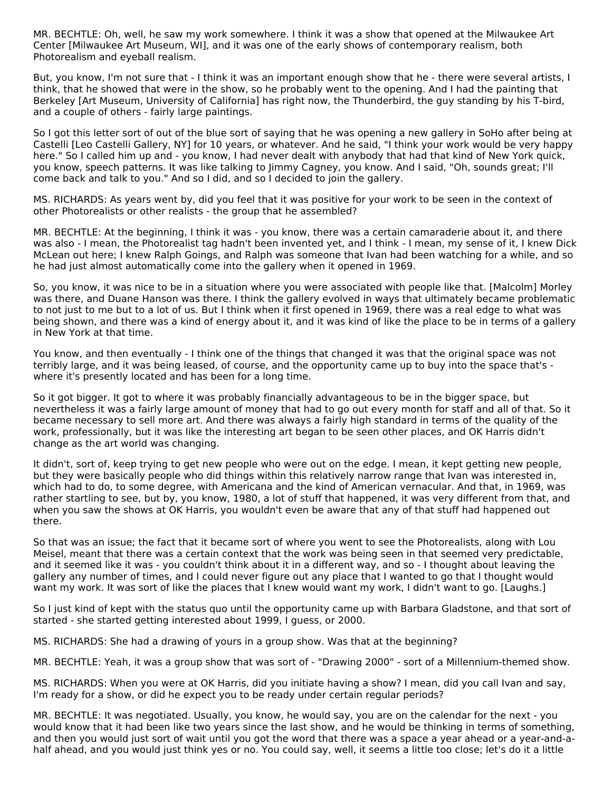MR. BECHTLE: Oh, well, he saw my work somewhere. I think it was a show that opened at the Milwaukee Art Center [Milwaukee Art Museum, WI], and it was one of the early shows of contemporary realism, both Photorealism and eyeball realism.

But, you know, I'm not sure that - I think it was an important enough show that he - there were several artists, I think, that he showed that were in the show, so he probably went to the opening. And I had the painting that Berkeley [Art Museum, University of California] has right now, the Thunderbird, the guy standing by his T-bird, and a couple of others - fairly large paintings.

So I got this letter sort of out of the blue sort of saying that he was opening a new gallery in SoHo after being at Castelli [Leo Castelli Gallery, NY] for 10 years, or whatever. And he said, "I think your work would be very happy here." So I called him up and - you know, I had never dealt with anybody that had that kind of New York quick, you know, speech patterns. It was like talking to Jimmy Cagney, you know. And I said, "Oh, sounds great; I'll come back and talk to you." And so I did, and so I decided to join the gallery.

MS. RICHARDS: As years went by, did you feel that it was positive for your work to be seen in the context of other Photorealists or other realists - the group that he assembled?

MR. BECHTLE: At the beginning, I think it was - you know, there was a certain camaraderie about it, and there was also - I mean, the Photorealist tag hadn't been invented yet, and I think - I mean, my sense of it, I knew Dick McLean out here; I knew Ralph Goings, and Ralph was someone that Ivan had been watching for a while, and so he had just almost automatically come into the gallery when it opened in 1969.

So, you know, it was nice to be in a situation where you were associated with people like that. [Malcolm] Morley was there, and Duane Hanson was there. I think the gallery evolved in ways that ultimately became problematic to not just to me but to a lot of us. But I think when it first opened in 1969, there was a real edge to what was being shown, and there was a kind of energy about it, and it was kind of like the place to be in terms of a gallery in New York at that time.

You know, and then eventually - I think one of the things that changed it was that the original space was not terribly large, and it was being leased, of course, and the opportunity came up to buy into the space that's where it's presently located and has been for a long time.

So it got bigger. It got to where it was probably financially advantageous to be in the bigger space, but nevertheless it was a fairly large amount of money that had to go out every month for staff and all of that. So it became necessary to sell more art. And there was always a fairly high standard in terms of the quality of the work, professionally, but it was like the interesting art began to be seen other places, and OK Harris didn't change as the art world was changing.

It didn't, sort of, keep trying to get new people who were out on the edge. I mean, it kept getting new people, but they were basically people who did things within this relatively narrow range that Ivan was interested in, which had to do, to some degree, with Americana and the kind of American vernacular. And that, in 1969, was rather startling to see, but by, you know, 1980, a lot of stuff that happened, it was very different from that, and when you saw the shows at OK Harris, you wouldn't even be aware that any of that stuff had happened out there.

So that was an issue; the fact that it became sort of where you went to see the Photorealists, along with Lou Meisel, meant that there was a certain context that the work was being seen in that seemed very predictable, and it seemed like it was - you couldn't think about it in a different way, and so - I thought about leaving the gallery any number of times, and I could never figure out any place that I wanted to go that I thought would want my work. It was sort of like the places that I knew would want my work, I didn't want to go. [Laughs.]

So I just kind of kept with the status quo until the opportunity came up with Barbara Gladstone, and that sort of started - she started getting interested about 1999, I guess, or 2000.

MS. RICHARDS: She had a drawing of yours in a group show. Was that at the beginning?

MR. BECHTLE: Yeah, it was a group show that was sort of - "Drawing 2000" - sort of a Millennium-themed show.

MS. RICHARDS: When you were at OK Harris, did you initiate having a show? I mean, did you call Ivan and say, I'm ready for a show, or did he expect you to be ready under certain regular periods?

MR. BECHTLE: It was negotiated. Usually, you know, he would say, you are on the calendar for the next - you would know that it had been like two years since the last show, and he would be thinking in terms of something, and then you would just sort of wait until you got the word that there was a space a year ahead or a year-and-ahalf ahead, and you would just think yes or no. You could say, well, it seems a little too close; let's do it a little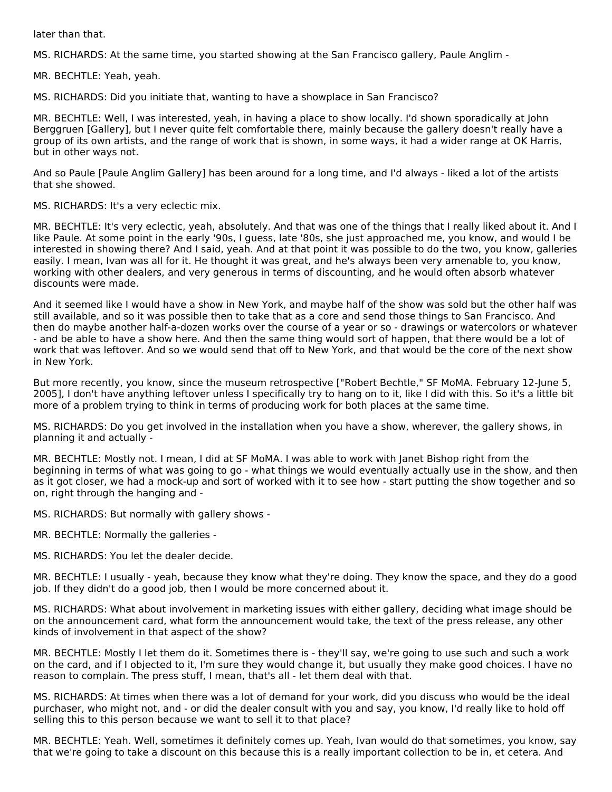later than that.

MS. RICHARDS: At the same time, you started showing at the San Francisco gallery, Paule Anglim -

MR. BECHTLE: Yeah, yeah.

MS. RICHARDS: Did you initiate that, wanting to have a showplace in San Francisco?

MR. BECHTLE: Well, I was interested, yeah, in having a place to show locally. I'd shown sporadically at John Berggruen [Gallery], but I never quite felt comfortable there, mainly because the gallery doesn't really have a group of its own artists, and the range of work that is shown, in some ways, it had a wider range at OK Harris, but in other ways not.

And so Paule [Paule Anglim Gallery] has been around for a long time, and I'd always - liked a lot of the artists that she showed.

MS. RICHARDS: It's a very eclectic mix.

MR. BECHTLE: It's very eclectic, yeah, absolutely. And that was one of the things that I really liked about it. And I like Paule. At some point in the early '90s, I guess, late '80s, she just approached me, you know, and would I be interested in showing there? And I said, yeah. And at that point it was possible to do the two, you know, galleries easily. I mean, Ivan was all for it. He thought it was great, and he's always been very amenable to, you know, working with other dealers, and very generous in terms of discounting, and he would often absorb whatever discounts were made.

And it seemed like I would have a show in New York, and maybe half of the show was sold but the other half was still available, and so it was possible then to take that as a core and send those things to San Francisco. And then do maybe another half-a-dozen works over the course of a year or so - drawings or watercolors or whatever - and be able to have a show here. And then the same thing would sort of happen, that there would be a lot of work that was leftover. And so we would send that off to New York, and that would be the core of the next show in New York.

But more recently, you know, since the museum retrospective ["Robert Bechtle," SF MoMA. February 12-June 5, 2005], I don't have anything leftover unless I specifically try to hang on to it, like I did with this. So it's a little bit more of a problem trying to think in terms of producing work for both places at the same time.

MS. RICHARDS: Do you get involved in the installation when you have a show, wherever, the gallery shows, in planning it and actually -

MR. BECHTLE: Mostly not. I mean, I did at SF MoMA. I was able to work with Janet Bishop right from the beginning in terms of what was going to go - what things we would eventually actually use in the show, and then as it got closer, we had a mock-up and sort of worked with it to see how - start putting the show together and so on, right through the hanging and -

MS. RICHARDS: But normally with gallery shows -

- MR. BECHTLE: Normally the galleries -
- MS. RICHARDS: You let the dealer decide.

MR. BECHTLE: I usually - yeah, because they know what they're doing. They know the space, and they do a good job. If they didn't do a good job, then I would be more concerned about it.

MS. RICHARDS: What about involvement in marketing issues with either gallery, deciding what image should be on the announcement card, what form the announcement would take, the text of the press release, any other kinds of involvement in that aspect of the show?

MR. BECHTLE: Mostly I let them do it. Sometimes there is - they'll say, we're going to use such and such a work on the card, and if I objected to it, I'm sure they would change it, but usually they make good choices. I have no reason to complain. The press stuff, I mean, that's all - let them deal with that.

MS. RICHARDS: At times when there was a lot of demand for your work, did you discuss who would be the ideal purchaser, who might not, and - or did the dealer consult with you and say, you know, I'd really like to hold off selling this to this person because we want to sell it to that place?

MR. BECHTLE: Yeah. Well, sometimes it definitely comes up. Yeah, Ivan would do that sometimes, you know, say that we're going to take a discount on this because this is a really important collection to be in, et cetera. And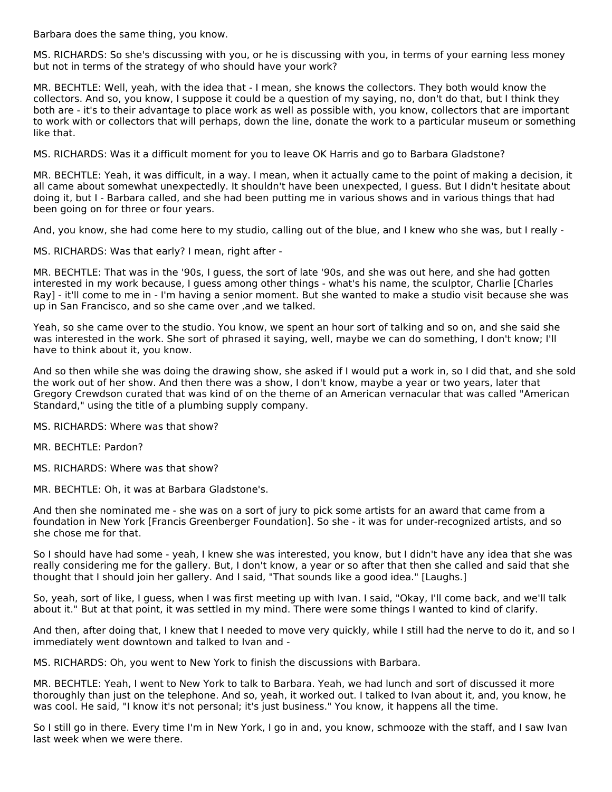Barbara does the same thing, you know.

MS. RICHARDS: So she's discussing with you, or he is discussing with you, in terms of your earning less money but not in terms of the strategy of who should have your work?

MR. BECHTLE: Well, yeah, with the idea that - I mean, she knows the collectors. They both would know the collectors. And so, you know, I suppose it could be a question of my saying, no, don't do that, but I think they both are - it's to their advantage to place work as well as possible with, you know, collectors that are important to work with or collectors that will perhaps, down the line, donate the work to a particular museum or something like that.

MS. RICHARDS: Was it a difficult moment for you to leave OK Harris and go to Barbara Gladstone?

MR. BECHTLE: Yeah, it was difficult, in a way. I mean, when it actually came to the point of making a decision, it all came about somewhat unexpectedly. It shouldn't have been unexpected, I guess. But I didn't hesitate about doing it, but I - Barbara called, and she had been putting me in various shows and in various things that had been going on for three or four years.

And, you know, she had come here to my studio, calling out of the blue, and I knew who she was, but I really -

MS. RICHARDS: Was that early? I mean, right after -

MR. BECHTLE: That was in the '90s, I guess, the sort of late '90s, and she was out here, and she had gotten interested in my work because, I guess among other things - what's his name, the sculptor, Charlie [Charles Ray] - it'll come to me in - I'm having a senior moment. But she wanted to make a studio visit because she was up in San Francisco, and so she came over ,and we talked.

Yeah, so she came over to the studio. You know, we spent an hour sort of talking and so on, and she said she was interested in the work. She sort of phrased it saying, well, maybe we can do something, I don't know; I'll have to think about it, you know.

And so then while she was doing the drawing show, she asked if I would put a work in, so I did that, and she sold the work out of her show. And then there was a show, I don't know, maybe a year or two years, later that Gregory Crewdson curated that was kind of on the theme of an American vernacular that was called "American Standard," using the title of a plumbing supply company.

MS. RICHARDS: Where was that show?

MR. BECHTLE: Pardon?

MS. RICHARDS: Where was that show?

MR. BECHTLE: Oh, it was at Barbara Gladstone's.

And then she nominated me - she was on a sort of jury to pick some artists for an award that came from a foundation in New York [Francis Greenberger Foundation]. So she - it was for under-recognized artists, and so she chose me for that.

So I should have had some - yeah, I knew she was interested, you know, but I didn't have any idea that she was really considering me for the gallery. But, I don't know, a year or so after that then she called and said that she thought that I should join her gallery. And I said, "That sounds like a good idea." [Laughs.]

So, yeah, sort of like, I guess, when I was first meeting up with Ivan. I said, "Okay, I'll come back, and we'll talk about it." But at that point, it was settled in my mind. There were some things I wanted to kind of clarify.

And then, after doing that, I knew that I needed to move very quickly, while I still had the nerve to do it, and so I immediately went downtown and talked to Ivan and -

MS. RICHARDS: Oh, you went to New York to finish the discussions with Barbara.

MR. BECHTLE: Yeah, I went to New York to talk to Barbara. Yeah, we had lunch and sort of discussed it more thoroughly than just on the telephone. And so, yeah, it worked out. I talked to Ivan about it, and, you know, he was cool. He said, "I know it's not personal; it's just business." You know, it happens all the time.

So I still go in there. Every time I'm in New York, I go in and, you know, schmooze with the staff, and I saw Ivan last week when we were there.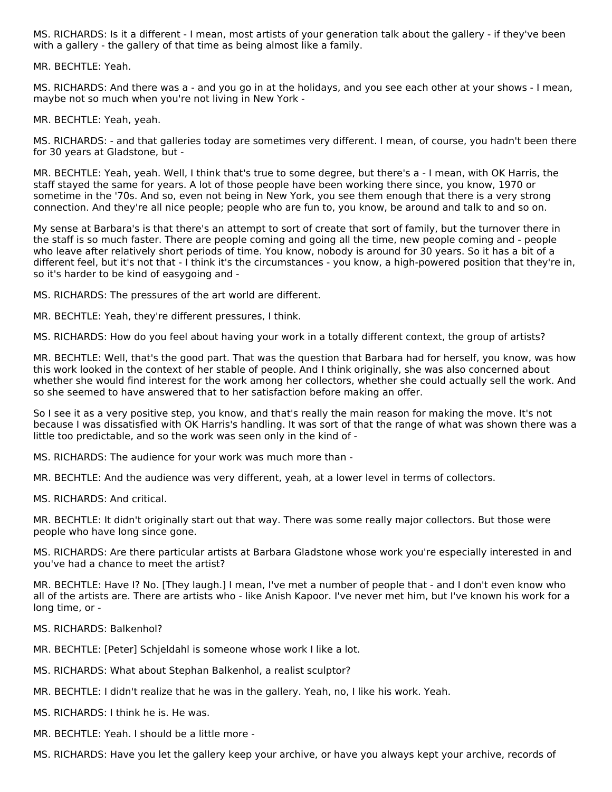MS. RICHARDS: Is it a different - I mean, most artists of your generation talk about the gallery - if they've been with a gallery - the gallery of that time as being almost like a family.

MR. BECHTLE: Yeah.

MS. RICHARDS: And there was a - and you go in at the holidays, and you see each other at your shows - I mean, maybe not so much when you're not living in New York -

MR. BECHTLE: Yeah, yeah.

MS. RICHARDS: - and that galleries today are sometimes very different. I mean, of course, you hadn't been there for 30 years at Gladstone, but -

MR. BECHTLE: Yeah, yeah. Well, I think that's true to some degree, but there's a - I mean, with OK Harris, the staff stayed the same for years. A lot of those people have been working there since, you know, 1970 or sometime in the '70s. And so, even not being in New York, you see them enough that there is a very strong connection. And they're all nice people; people who are fun to, you know, be around and talk to and so on.

My sense at Barbara's is that there's an attempt to sort of create that sort of family, but the turnover there in the staff is so much faster. There are people coming and going all the time, new people coming and - people who leave after relatively short periods of time. You know, nobody is around for 30 years. So it has a bit of a different feel, but it's not that - I think it's the circumstances - you know, a high-powered position that they're in, so it's harder to be kind of easygoing and -

MS. RICHARDS: The pressures of the art world are different.

MR. BECHTLE: Yeah, they're different pressures, I think.

MS. RICHARDS: How do you feel about having your work in a totally different context, the group of artists?

MR. BECHTLE: Well, that's the good part. That was the question that Barbara had for herself, you know, was how this work looked in the context of her stable of people. And I think originally, she was also concerned about whether she would find interest for the work among her collectors, whether she could actually sell the work. And so she seemed to have answered that to her satisfaction before making an offer.

So I see it as a very positive step, you know, and that's really the main reason for making the move. It's not because I was dissatisfied with OK Harris's handling. It was sort of that the range of what was shown there was a little too predictable, and so the work was seen only in the kind of -

MS. RICHARDS: The audience for your work was much more than -

MR. BECHTLE: And the audience was very different, yeah, at a lower level in terms of collectors.

MS. RICHARDS: And critical.

MR. BECHTLE: It didn't originally start out that way. There was some really major collectors. But those were people who have long since gone.

MS. RICHARDS: Are there particular artists at Barbara Gladstone whose work you're especially interested in and you've had a chance to meet the artist?

MR. BECHTLE: Have I? No. [They laugh.] I mean, I've met a number of people that - and I don't even know who all of the artists are. There are artists who - like Anish Kapoor. I've never met him, but I've known his work for a long time, or -

MS. RICHARDS: Balkenhol?

MR. BECHTLE: [Peter] Schjeldahl is someone whose work I like a lot.

MS. RICHARDS: What about Stephan Balkenhol, a realist sculptor?

MR. BECHTLE: I didn't realize that he was in the gallery. Yeah, no, I like his work. Yeah.

MS. RICHARDS: I think he is. He was.

MR. BECHTLE: Yeah. I should be a little more -

MS. RICHARDS: Have you let the gallery keep your archive, or have you always kept your archive, records of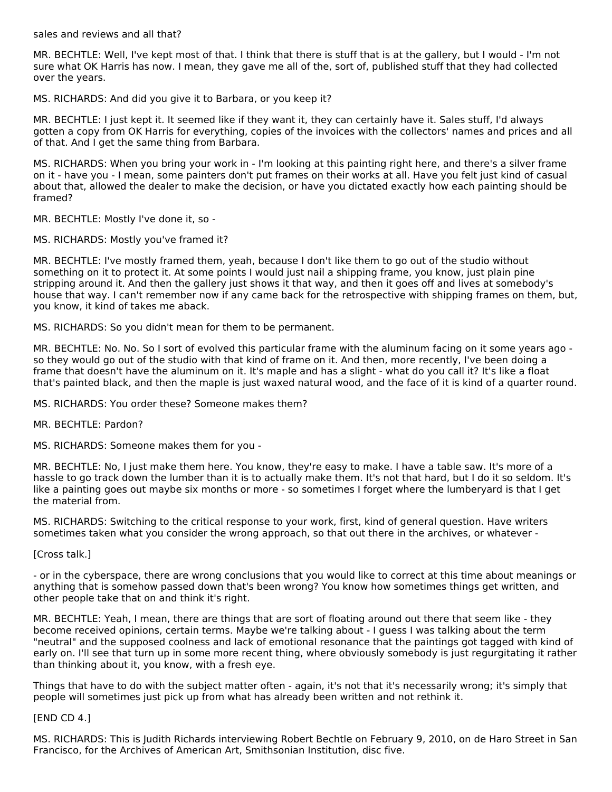sales and reviews and all that?

MR. BECHTLE: Well, I've kept most of that. I think that there is stuff that is at the gallery, but I would - I'm not sure what OK Harris has now. I mean, they gave me all of the, sort of, published stuff that they had collected over the years.

MS. RICHARDS: And did you give it to Barbara, or you keep it?

MR. BECHTLE: I just kept it. It seemed like if they want it, they can certainly have it. Sales stuff, I'd always gotten a copy from OK Harris for everything, copies of the invoices with the collectors' names and prices and all of that. And I get the same thing from Barbara.

MS. RICHARDS: When you bring your work in - I'm looking at this painting right here, and there's a silver frame on it - have you - I mean, some painters don't put frames on their works at all. Have you felt just kind of casual about that, allowed the dealer to make the decision, or have you dictated exactly how each painting should be framed?

MR. BECHTLE: Mostly I've done it, so -

MS. RICHARDS: Mostly you've framed it?

MR. BECHTLE: I've mostly framed them, yeah, because I don't like them to go out of the studio without something on it to protect it. At some points I would just nail a shipping frame, you know, just plain pine stripping around it. And then the gallery just shows it that way, and then it goes off and lives at somebody's house that way. I can't remember now if any came back for the retrospective with shipping frames on them, but, you know, it kind of takes me aback.

MS. RICHARDS: So you didn't mean for them to be permanent.

MR. BECHTLE: No. No. So I sort of evolved this particular frame with the aluminum facing on it some years ago so they would go out of the studio with that kind of frame on it. And then, more recently, I've been doing a frame that doesn't have the aluminum on it. It's maple and has a slight - what do you call it? It's like a float that's painted black, and then the maple is just waxed natural wood, and the face of it is kind of a quarter round.

MS. RICHARDS: You order these? Someone makes them?

MR. BECHTLE: Pardon?

MS. RICHARDS: Someone makes them for you -

MR. BECHTLE: No, I just make them here. You know, they're easy to make. I have a table saw. It's more of a hassle to go track down the lumber than it is to actually make them. It's not that hard, but I do it so seldom. It's like a painting goes out maybe six months or more - so sometimes I forget where the lumberyard is that I get the material from.

MS. RICHARDS: Switching to the critical response to your work, first, kind of general question. Have writers sometimes taken what you consider the wrong approach, so that out there in the archives, or whatever -

[Cross talk.]

- or in the cyberspace, there are wrong conclusions that you would like to correct at this time about meanings or anything that is somehow passed down that's been wrong? You know how sometimes things get written, and other people take that on and think it's right.

MR. BECHTLE: Yeah, I mean, there are things that are sort of floating around out there that seem like - they become received opinions, certain terms. Maybe we're talking about - I guess I was talking about the term "neutral" and the supposed coolness and lack of emotional resonance that the paintings got tagged with kind of early on. I'll see that turn up in some more recent thing, where obviously somebody is just regurgitating it rather than thinking about it, you know, with a fresh eye.

Things that have to do with the subject matter often - again, it's not that it's necessarily wrong; it's simply that people will sometimes just pick up from what has already been written and not rethink it.

[END CD 4.]

MS. RICHARDS: This is Judith Richards interviewing Robert Bechtle on February 9, 2010, on de Haro Street in San Francisco, for the Archives of American Art, Smithsonian Institution, disc five.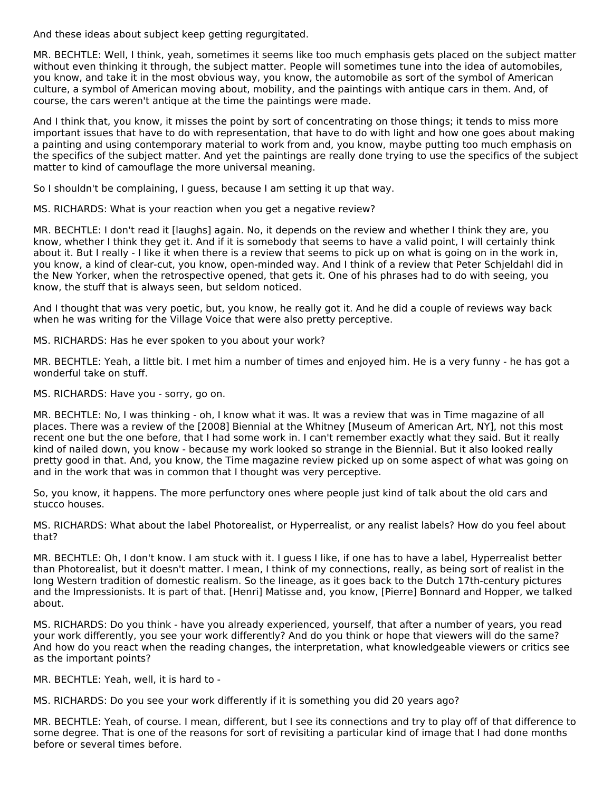And these ideas about subject keep getting regurgitated.

MR. BECHTLE: Well, I think, yeah, sometimes it seems like too much emphasis gets placed on the subject matter without even thinking it through, the subject matter. People will sometimes tune into the idea of automobiles, you know, and take it in the most obvious way, you know, the automobile as sort of the symbol of American culture, a symbol of American moving about, mobility, and the paintings with antique cars in them. And, of course, the cars weren't antique at the time the paintings were made.

And I think that, you know, it misses the point by sort of concentrating on those things; it tends to miss more important issues that have to do with representation, that have to do with light and how one goes about making a painting and using contemporary material to work from and, you know, maybe putting too much emphasis on the specifics of the subject matter. And yet the paintings are really done trying to use the specifics of the subject matter to kind of camouflage the more universal meaning.

So I shouldn't be complaining, I guess, because I am setting it up that way.

MS. RICHARDS: What is your reaction when you get a negative review?

MR. BECHTLE: I don't read it [laughs] again. No, it depends on the review and whether I think they are, you know, whether I think they get it. And if it is somebody that seems to have a valid point, I will certainly think about it. But I really - I like it when there is a review that seems to pick up on what is going on in the work in, you know, a kind of clear-cut, you know, open-minded way. And I think of a review that Peter Schjeldahl did in the New Yorker, when the retrospective opened, that gets it. One of his phrases had to do with seeing, you know, the stuff that is always seen, but seldom noticed.

And I thought that was very poetic, but, you know, he really got it. And he did a couple of reviews way back when he was writing for the Village Voice that were also pretty perceptive.

MS. RICHARDS: Has he ever spoken to you about your work?

MR. BECHTLE: Yeah, a little bit. I met him a number of times and enjoyed him. He is a very funny - he has got a wonderful take on stuff.

MS. RICHARDS: Have you - sorry, go on.

MR. BECHTLE: No, I was thinking - oh, I know what it was. It was a review that was in Time magazine of all places. There was a review of the [2008] Biennial at the Whitney [Museum of American Art, NY], not this most recent one but the one before, that I had some work in. I can't remember exactly what they said. But it really kind of nailed down, you know - because my work looked so strange in the Biennial. But it also looked really pretty good in that. And, you know, the Time magazine review picked up on some aspect of what was going on and in the work that was in common that I thought was very perceptive.

So, you know, it happens. The more perfunctory ones where people just kind of talk about the old cars and stucco houses.

MS. RICHARDS: What about the label Photorealist, or Hyperrealist, or any realist labels? How do you feel about that?

MR. BECHTLE: Oh, I don't know. I am stuck with it. I guess I like, if one has to have a label, Hyperrealist better than Photorealist, but it doesn't matter. I mean, I think of my connections, really, as being sort of realist in the long Western tradition of domestic realism. So the lineage, as it goes back to the Dutch 17th-century pictures and the Impressionists. It is part of that. [Henri] Matisse and, you know, [Pierre] Bonnard and Hopper, we talked about.

MS. RICHARDS: Do you think - have you already experienced, yourself, that after a number of years, you read your work differently, you see your work differently? And do you think or hope that viewers will do the same? And how do you react when the reading changes, the interpretation, what knowledgeable viewers or critics see as the important points?

MR. BECHTLE: Yeah, well, it is hard to -

MS. RICHARDS: Do you see your work differently if it is something you did 20 years ago?

MR. BECHTLE: Yeah, of course. I mean, different, but I see its connections and try to play off of that difference to some degree. That is one of the reasons for sort of revisiting a particular kind of image that I had done months before or several times before.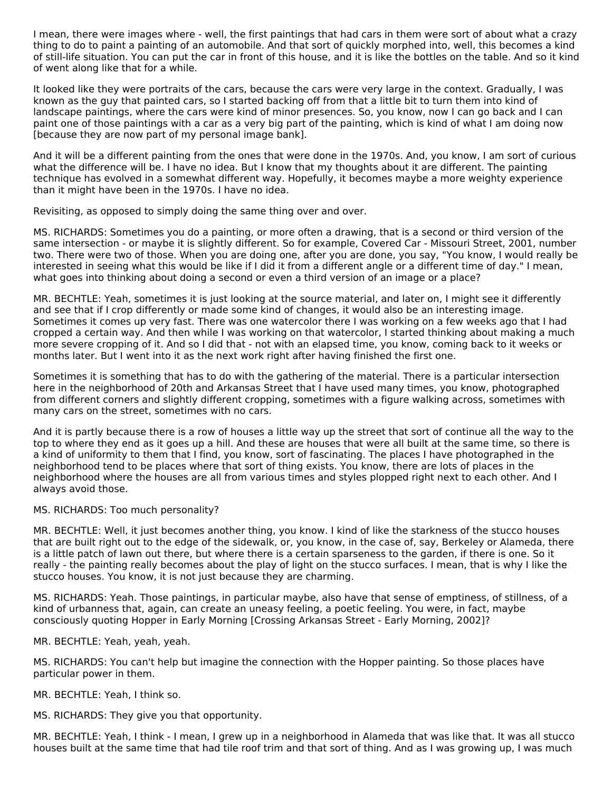I mean, there were images where - well, the first paintings that had cars in them were sort of about what a crazy thing to do to paint a painting of an automobile. And that sort of quickly morphed into, well, this becomes a kind of still-life situation. You can put the car in front of this house, and it is like the bottles on the table. And so it kind of went along like that for a while.

It looked like they were portraits of the cars, because the cars were very large in the context. Gradually, I was known as the guy that painted cars, so I started backing off from that a little bit to turn them into kind of landscape paintings, where the cars were kind of minor presences. So, you know, now I can go back and I can paint one of those paintings with a car as a very big part of the painting, which is kind of what I am doing now [because they are now part of my personal image bank].

And it will be a different painting from the ones that were done in the 1970s. And, you know, I am sort of curious what the difference will be. I have no idea. But I know that my thoughts about it are different. The painting technique has evolved in a somewhat different way. Hopefully, it becomes maybe a more weighty experience than it might have been in the 1970s. I have no idea.

Revisiting, as opposed to simply doing the same thing over and over.

MS. RICHARDS: Sometimes you do a painting, or more often a drawing, that is a second or third version of the same intersection - or maybe it is slightly different. So for example, Covered Car - Missouri Street, 2001, number two. There were two of those. When you are doing one, after you are done, you say, "You know, I would really be interested in seeing what this would be like if I did it from a different angle or a different time of day." I mean, what goes into thinking about doing a second or even a third version of an image or a place?

MR. BECHTLE: Yeah, sometimes it is just looking at the source material, and later on, I might see it differently and see that if I crop differently or made some kind of changes, it would also be an interesting image. Sometimes it comes up very fast. There was one watercolor there I was working on a few weeks ago that I had cropped a certain way. And then while I was working on that watercolor, I started thinking about making a much more severe cropping of it. And so I did that - not with an elapsed time, you know, coming back to it weeks or months later. But I went into it as the next work right after having finished the first one.

Sometimes it is something that has to do with the gathering of the material. There is a particular intersection here in the neighborhood of 20th and Arkansas Street that I have used many times, you know, photographed from different corners and slightly different cropping, sometimes with a figure walking across, sometimes with many cars on the street, sometimes with no cars.

And it is partly because there is a row of houses a little way up the street that sort of continue all the way to the top to where they end as it goes up a hill. And these are houses that were all built at the same time, so there is a kind of uniformity to them that I find, you know, sort of fascinating. The places I have photographed in the neighborhood tend to be places where that sort of thing exists. You know, there are lots of places in the neighborhood where the houses are all from various times and styles plopped right next to each other. And I always avoid those.

#### MS. RICHARDS: Too much personality?

MR. BECHTLE: Well, it just becomes another thing, you know. I kind of like the starkness of the stucco houses that are built right out to the edge of the sidewalk, or, you know, in the case of, say, Berkeley or Alameda, there is a little patch of lawn out there, but where there is a certain sparseness to the garden, if there is one. So it really - the painting really becomes about the play of light on the stucco surfaces. I mean, that is why I like the stucco houses. You know, it is not just because they are charming.

MS. RICHARDS: Yeah. Those paintings, in particular maybe, also have that sense of emptiness, of stillness, of a kind of urbanness that, again, can create an uneasy feeling, a poetic feeling. You were, in fact, maybe consciously quoting Hopper in Early Morning [Crossing Arkansas Street - Early Morning, 2002]?

MR. BECHTLE: Yeah, yeah, yeah.

MS. RICHARDS: You can't help but imagine the connection with the Hopper painting. So those places have particular power in them.

MR. BECHTLE: Yeah, I think so.

MS. RICHARDS: They give you that opportunity.

MR. BECHTLE: Yeah, I think - I mean, I grew up in a neighborhood in Alameda that was like that. It was all stucco houses built at the same time that had tile roof trim and that sort of thing. And as I was growing up, I was much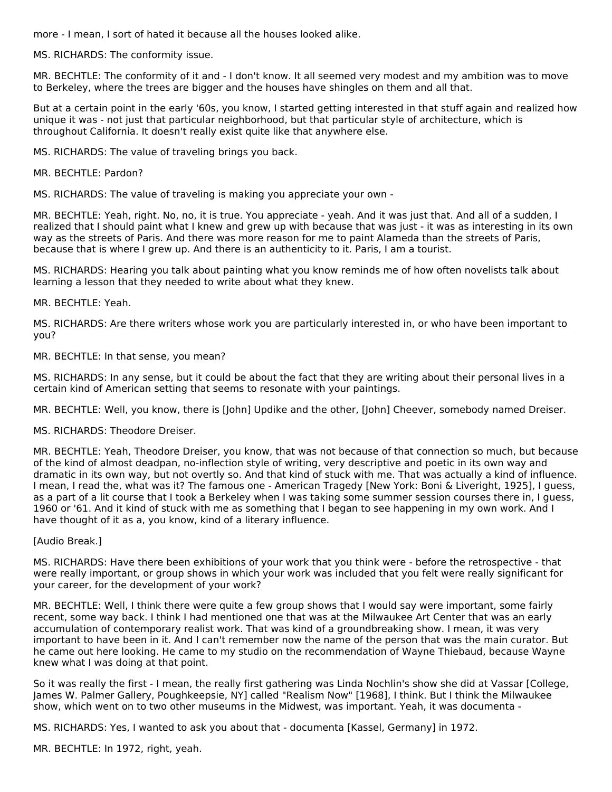more - I mean, I sort of hated it because all the houses looked alike.

MS. RICHARDS: The conformity issue.

MR. BECHTLE: The conformity of it and - I don't know. It all seemed very modest and my ambition was to move to Berkeley, where the trees are bigger and the houses have shingles on them and all that.

But at a certain point in the early '60s, you know, I started getting interested in that stuff again and realized how unique it was - not just that particular neighborhood, but that particular style of architecture, which is throughout California. It doesn't really exist quite like that anywhere else.

MS. RICHARDS: The value of traveling brings you back.

MR. BECHTLE: Pardon?

MS. RICHARDS: The value of traveling is making you appreciate your own -

MR. BECHTLE: Yeah, right. No, no, it is true. You appreciate - yeah. And it was just that. And all of a sudden, I realized that I should paint what I knew and grew up with because that was just - it was as interesting in its own way as the streets of Paris. And there was more reason for me to paint Alameda than the streets of Paris, because that is where I grew up. And there is an authenticity to it. Paris, I am a tourist.

MS. RICHARDS: Hearing you talk about painting what you know reminds me of how often novelists talk about learning a lesson that they needed to write about what they knew.

MR. BECHTLE: Yeah.

MS. RICHARDS: Are there writers whose work you are particularly interested in, or who have been important to you?

MR. BECHTLE: In that sense, you mean?

MS. RICHARDS: In any sense, but it could be about the fact that they are writing about their personal lives in a certain kind of American setting that seems to resonate with your paintings.

MR. BECHTLE: Well, you know, there is [John] Updike and the other, [John] Cheever, somebody named Dreiser.

MS. RICHARDS: Theodore Dreiser.

MR. BECHTLE: Yeah, Theodore Dreiser, you know, that was not because of that connection so much, but because of the kind of almost deadpan, no-inflection style of writing, very descriptive and poetic in its own way and dramatic in its own way, but not overtly so. And that kind of stuck with me. That was actually a kind of influence. I mean, I read the, what was it? The famous one - American Tragedy [New York: Boni & Liveright, 1925], I guess, as a part of a lit course that I took a Berkeley when I was taking some summer session courses there in, I guess, 1960 or '61. And it kind of stuck with me as something that I began to see happening in my own work. And I have thought of it as a, you know, kind of a literary influence.

[Audio Break.]

MS. RICHARDS: Have there been exhibitions of your work that you think were - before the retrospective - that were really important, or group shows in which your work was included that you felt were really significant for your career, for the development of your work?

MR. BECHTLE: Well, I think there were quite a few group shows that I would say were important, some fairly recent, some way back. I think I had mentioned one that was at the Milwaukee Art Center that was an early accumulation of contemporary realist work. That was kind of a groundbreaking show. I mean, it was very important to have been in it. And I can't remember now the name of the person that was the main curator. But he came out here looking. He came to my studio on the recommendation of Wayne Thiebaud, because Wayne knew what I was doing at that point.

So it was really the first - I mean, the really first gathering was Linda Nochlin's show she did at Vassar [College, James W. Palmer Gallery, Poughkeepsie, NY] called "Realism Now" [1968], I think. But I think the Milwaukee show, which went on to two other museums in the Midwest, was important. Yeah, it was documenta -

MS. RICHARDS: Yes, I wanted to ask you about that - documenta [Kassel, Germany] in 1972.

MR. BECHTLE: In 1972, right, yeah.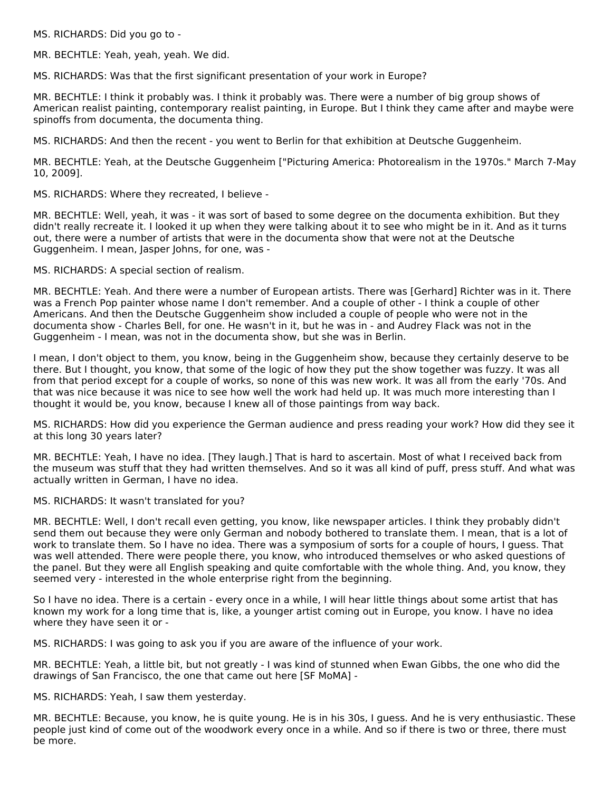MS. RICHARDS: Did you go to -

MR. BECHTLE: Yeah, yeah, yeah. We did.

MS. RICHARDS: Was that the first significant presentation of your work in Europe?

MR. BECHTLE: I think it probably was. I think it probably was. There were a number of big group shows of American realist painting, contemporary realist painting, in Europe. But I think they came after and maybe were spinoffs from documenta, the documenta thing.

MS. RICHARDS: And then the recent - you went to Berlin for that exhibition at Deutsche Guggenheim.

MR. BECHTLE: Yeah, at the Deutsche Guggenheim ["Picturing America: Photorealism in the 1970s." March 7-May 10, 2009].

MS. RICHARDS: Where they recreated, I believe -

MR. BECHTLE: Well, yeah, it was - it was sort of based to some degree on the documenta exhibition. But they didn't really recreate it. I looked it up when they were talking about it to see who might be in it. And as it turns out, there were a number of artists that were in the documenta show that were not at the Deutsche Guggenheim. I mean, Jasper Johns, for one, was -

MS. RICHARDS: A special section of realism.

MR. BECHTLE: Yeah. And there were a number of European artists. There was [Gerhard] Richter was in it. There was a French Pop painter whose name I don't remember. And a couple of other - I think a couple of other Americans. And then the Deutsche Guggenheim show included a couple of people who were not in the documenta show - Charles Bell, for one. He wasn't in it, but he was in - and Audrey Flack was not in the Guggenheim - I mean, was not in the documenta show, but she was in Berlin.

I mean, I don't object to them, you know, being in the Guggenheim show, because they certainly deserve to be there. But I thought, you know, that some of the logic of how they put the show together was fuzzy. It was all from that period except for a couple of works, so none of this was new work. It was all from the early '70s. And that was nice because it was nice to see how well the work had held up. It was much more interesting than I thought it would be, you know, because I knew all of those paintings from way back.

MS. RICHARDS: How did you experience the German audience and press reading your work? How did they see it at this long 30 years later?

MR. BECHTLE: Yeah, I have no idea. [They laugh.] That is hard to ascertain. Most of what I received back from the museum was stuff that they had written themselves. And so it was all kind of puff, press stuff. And what was actually written in German, I have no idea.

MS. RICHARDS: It wasn't translated for you?

MR. BECHTLE: Well, I don't recall even getting, you know, like newspaper articles. I think they probably didn't send them out because they were only German and nobody bothered to translate them. I mean, that is a lot of work to translate them. So I have no idea. There was a symposium of sorts for a couple of hours, I guess. That was well attended. There were people there, you know, who introduced themselves or who asked questions of the panel. But they were all English speaking and quite comfortable with the whole thing. And, you know, they seemed very - interested in the whole enterprise right from the beginning.

So I have no idea. There is a certain - every once in a while, I will hear little things about some artist that has known my work for a long time that is, like, a younger artist coming out in Europe, you know. I have no idea where they have seen it or -

MS. RICHARDS: I was going to ask you if you are aware of the influence of your work.

MR. BECHTLE: Yeah, a little bit, but not greatly - I was kind of stunned when Ewan Gibbs, the one who did the drawings of San Francisco, the one that came out here [SF MoMA] -

MS. RICHARDS: Yeah, I saw them yesterday.

MR. BECHTLE: Because, you know, he is quite young. He is in his 30s, I guess. And he is very enthusiastic. These people just kind of come out of the woodwork every once in a while. And so if there is two or three, there must be more.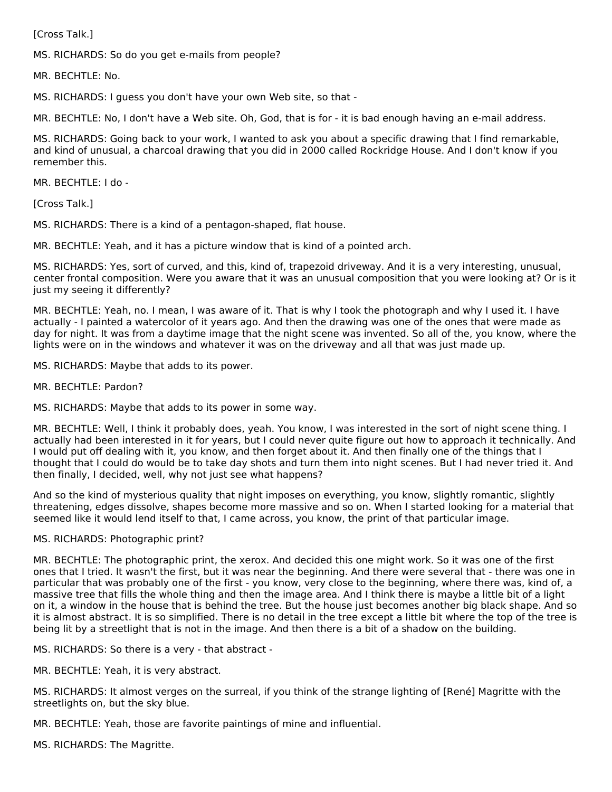[Cross Talk.]

MS. RICHARDS: So do you get e-mails from people?

MR. BECHTLE: No.

MS. RICHARDS: I guess you don't have your own Web site, so that -

MR. BECHTLE: No, I don't have a Web site. Oh, God, that is for - it is bad enough having an e-mail address.

MS. RICHARDS: Going back to your work, I wanted to ask you about a specific drawing that I find remarkable, and kind of unusual, a charcoal drawing that you did in 2000 called Rockridge House. And I don't know if you remember this.

MR. BECHTLE: I do -

[Cross Talk.]

MS. RICHARDS: There is a kind of a pentagon-shaped, flat house.

MR. BECHTLE: Yeah, and it has a picture window that is kind of a pointed arch.

MS. RICHARDS: Yes, sort of curved, and this, kind of, trapezoid driveway. And it is a very interesting, unusual, center frontal composition. Were you aware that it was an unusual composition that you were looking at? Or is it just my seeing it differently?

MR. BECHTLE: Yeah, no. I mean, I was aware of it. That is why I took the photograph and why I used it. I have actually - I painted a watercolor of it years ago. And then the drawing was one of the ones that were made as day for night. It was from a daytime image that the night scene was invented. So all of the, you know, where the lights were on in the windows and whatever it was on the driveway and all that was just made up.

MS. RICHARDS: Maybe that adds to its power.

MR. BECHTLE: Pardon?

MS. RICHARDS: Maybe that adds to its power in some way.

MR. BECHTLE: Well, I think it probably does, yeah. You know, I was interested in the sort of night scene thing. I actually had been interested in it for years, but I could never quite figure out how to approach it technically. And I would put off dealing with it, you know, and then forget about it. And then finally one of the things that I thought that I could do would be to take day shots and turn them into night scenes. But I had never tried it. And then finally, I decided, well, why not just see what happens?

And so the kind of mysterious quality that night imposes on everything, you know, slightly romantic, slightly threatening, edges dissolve, shapes become more massive and so on. When I started looking for a material that seemed like it would lend itself to that, I came across, you know, the print of that particular image.

#### MS. RICHARDS: Photographic print?

MR. BECHTLE: The photographic print, the xerox. And decided this one might work. So it was one of the first ones that I tried. It wasn't the first, but it was near the beginning. And there were several that - there was one in particular that was probably one of the first - you know, very close to the beginning, where there was, kind of, a massive tree that fills the whole thing and then the image area. And I think there is maybe a little bit of a light on it, a window in the house that is behind the tree. But the house just becomes another big black shape. And so it is almost abstract. It is so simplified. There is no detail in the tree except a little bit where the top of the tree is being lit by a streetlight that is not in the image. And then there is a bit of a shadow on the building.

MS. RICHARDS: So there is a very - that abstract -

MR. BECHTLE: Yeah, it is very abstract.

MS. RICHARDS: It almost verges on the surreal, if you think of the strange lighting of [René] Magritte with the streetlights on, but the sky blue.

MR. BECHTLE: Yeah, those are favorite paintings of mine and influential.

MS. RICHARDS: The Magritte.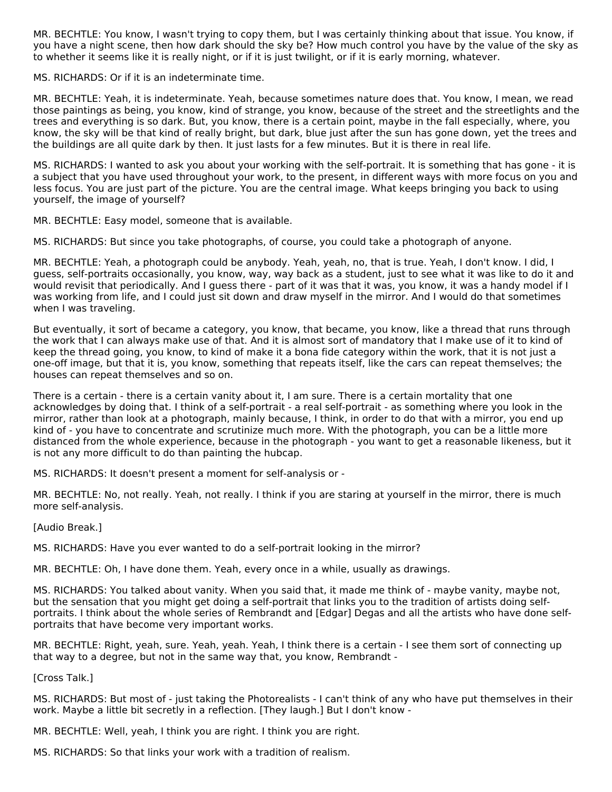MR. BECHTLE: You know, I wasn't trying to copy them, but I was certainly thinking about that issue. You know, if you have a night scene, then how dark should the sky be? How much control you have by the value of the sky as to whether it seems like it is really night, or if it is just twilight, or if it is early morning, whatever.

MS. RICHARDS: Or if it is an indeterminate time.

MR. BECHTLE: Yeah, it is indeterminate. Yeah, because sometimes nature does that. You know, I mean, we read those paintings as being, you know, kind of strange, you know, because of the street and the streetlights and the trees and everything is so dark. But, you know, there is a certain point, maybe in the fall especially, where, you know, the sky will be that kind of really bright, but dark, blue just after the sun has gone down, yet the trees and the buildings are all quite dark by then. It just lasts for a few minutes. But it is there in real life.

MS. RICHARDS: I wanted to ask you about your working with the self-portrait. It is something that has gone - it is a subject that you have used throughout your work, to the present, in different ways with more focus on you and less focus. You are just part of the picture. You are the central image. What keeps bringing you back to using yourself, the image of yourself?

MR. BECHTLE: Easy model, someone that is available.

MS. RICHARDS: But since you take photographs, of course, you could take a photograph of anyone.

MR. BECHTLE: Yeah, a photograph could be anybody. Yeah, yeah, no, that is true. Yeah, I don't know. I did, I guess, self-portraits occasionally, you know, way, way back as a student, just to see what it was like to do it and would revisit that periodically. And I guess there - part of it was that it was, you know, it was a handy model if I was working from life, and I could just sit down and draw myself in the mirror. And I would do that sometimes when I was traveling.

But eventually, it sort of became a category, you know, that became, you know, like a thread that runs through the work that I can always make use of that. And it is almost sort of mandatory that I make use of it to kind of keep the thread going, you know, to kind of make it a bona fide category within the work, that it is not just a one-off image, but that it is, you know, something that repeats itself, like the cars can repeat themselves; the houses can repeat themselves and so on.

There is a certain - there is a certain vanity about it, I am sure. There is a certain mortality that one acknowledges by doing that. I think of a self-portrait - a real self-portrait - as something where you look in the mirror, rather than look at a photograph, mainly because, I think, in order to do that with a mirror, you end up kind of - you have to concentrate and scrutinize much more. With the photograph, you can be a little more distanced from the whole experience, because in the photograph - you want to get a reasonable likeness, but it is not any more difficult to do than painting the hubcap.

MS. RICHARDS: It doesn't present a moment for self-analysis or -

MR. BECHTLE: No, not really. Yeah, not really. I think if you are staring at yourself in the mirror, there is much more self-analysis.

[Audio Break.]

MS. RICHARDS: Have you ever wanted to do a self-portrait looking in the mirror?

MR. BECHTLE: Oh, I have done them. Yeah, every once in a while, usually as drawings.

MS. RICHARDS: You talked about vanity. When you said that, it made me think of - maybe vanity, maybe not, but the sensation that you might get doing a self-portrait that links you to the tradition of artists doing selfportraits. I think about the whole series of Rembrandt and [Edgar] Degas and all the artists who have done selfportraits that have become very important works.

MR. BECHTLE: Right, yeah, sure. Yeah, yeah. Yeah, I think there is a certain - I see them sort of connecting up that way to a degree, but not in the same way that, you know, Rembrandt -

[Cross Talk.]

MS. RICHARDS: But most of - just taking the Photorealists - I can't think of any who have put themselves in their work. Maybe a little bit secretly in a reflection. [They laugh.] But I don't know -

MR. BECHTLE: Well, yeah, I think you are right. I think you are right.

MS. RICHARDS: So that links your work with a tradition of realism.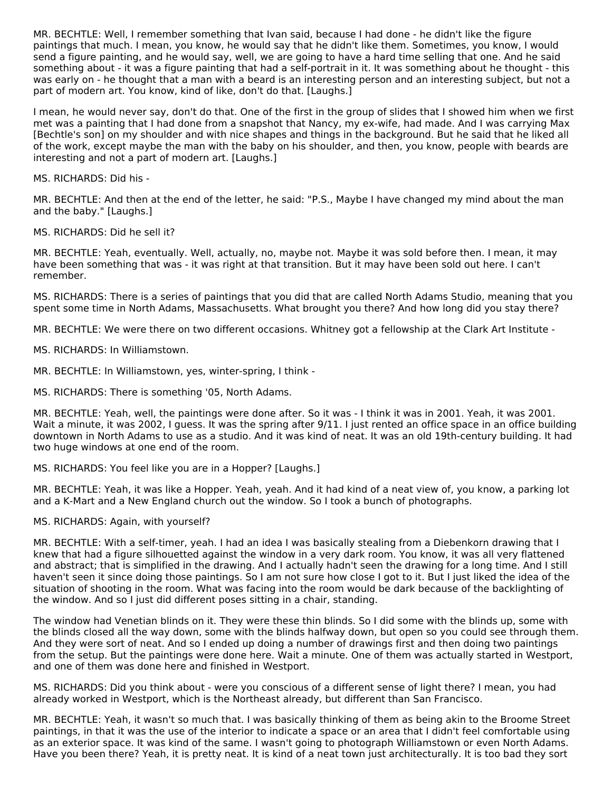MR. BECHTLE: Well, I remember something that Ivan said, because I had done - he didn't like the figure paintings that much. I mean, you know, he would say that he didn't like them. Sometimes, you know, I would send a figure painting, and he would say, well, we are going to have a hard time selling that one. And he said something about - it was a figure painting that had a self-portrait in it. It was something about he thought - this was early on - he thought that a man with a beard is an interesting person and an interesting subject, but not a part of modern art. You know, kind of like, don't do that. [Laughs.]

I mean, he would never say, don't do that. One of the first in the group of slides that I showed him when we first met was a painting that I had done from a snapshot that Nancy, my ex-wife, had made. And I was carrying Max [Bechtle's son] on my shoulder and with nice shapes and things in the background. But he said that he liked all of the work, except maybe the man with the baby on his shoulder, and then, you know, people with beards are interesting and not a part of modern art. [Laughs.]

MS. RICHARDS: Did his -

MR. BECHTLE: And then at the end of the letter, he said: "P.S., Maybe I have changed my mind about the man and the baby." [Laughs.]

MS. RICHARDS: Did he sell it?

MR. BECHTLE: Yeah, eventually. Well, actually, no, maybe not. Maybe it was sold before then. I mean, it may have been something that was - it was right at that transition. But it may have been sold out here. I can't remember.

MS. RICHARDS: There is a series of paintings that you did that are called North Adams Studio, meaning that you spent some time in North Adams, Massachusetts. What brought you there? And how long did you stay there?

MR. BECHTLE: We were there on two different occasions. Whitney got a fellowship at the Clark Art Institute -

MS. RICHARDS: In Williamstown.

MR. BECHTLE: In Williamstown, yes, winter-spring, I think -

MS. RICHARDS: There is something '05, North Adams.

MR. BECHTLE: Yeah, well, the paintings were done after. So it was - I think it was in 2001. Yeah, it was 2001. Wait a minute, it was 2002. I guess. It was the spring after 9/11. I just rented an office space in an office building downtown in North Adams to use as a studio. And it was kind of neat. It was an old 19th-century building. It had two huge windows at one end of the room.

MS. RICHARDS: You feel like you are in a Hopper? [Laughs.]

MR. BECHTLE: Yeah, it was like a Hopper. Yeah, yeah. And it had kind of a neat view of, you know, a parking lot and a K-Mart and a New England church out the window. So I took a bunch of photographs.

MS. RICHARDS: Again, with yourself?

MR. BECHTLE: With a self-timer, yeah. I had an idea I was basically stealing from a Diebenkorn drawing that I knew that had a figure silhouetted against the window in a very dark room. You know, it was all very flattened and abstract; that is simplified in the drawing. And I actually hadn't seen the drawing for a long time. And I still haven't seen it since doing those paintings. So I am not sure how close I got to it. But I just liked the idea of the situation of shooting in the room. What was facing into the room would be dark because of the backlighting of the window. And so I just did different poses sitting in a chair, standing.

The window had Venetian blinds on it. They were these thin blinds. So I did some with the blinds up, some with the blinds closed all the way down, some with the blinds halfway down, but open so you could see through them. And they were sort of neat. And so I ended up doing a number of drawings first and then doing two paintings from the setup. But the paintings were done here. Wait a minute. One of them was actually started in Westport, and one of them was done here and finished in Westport.

MS. RICHARDS: Did you think about - were you conscious of a different sense of light there? I mean, you had already worked in Westport, which is the Northeast already, but different than San Francisco.

MR. BECHTLE: Yeah, it wasn't so much that. I was basically thinking of them as being akin to the Broome Street paintings, in that it was the use of the interior to indicate a space or an area that I didn't feel comfortable using as an exterior space. It was kind of the same. I wasn't going to photograph Williamstown or even North Adams. Have you been there? Yeah, it is pretty neat. It is kind of a neat town just architecturally. It is too bad they sort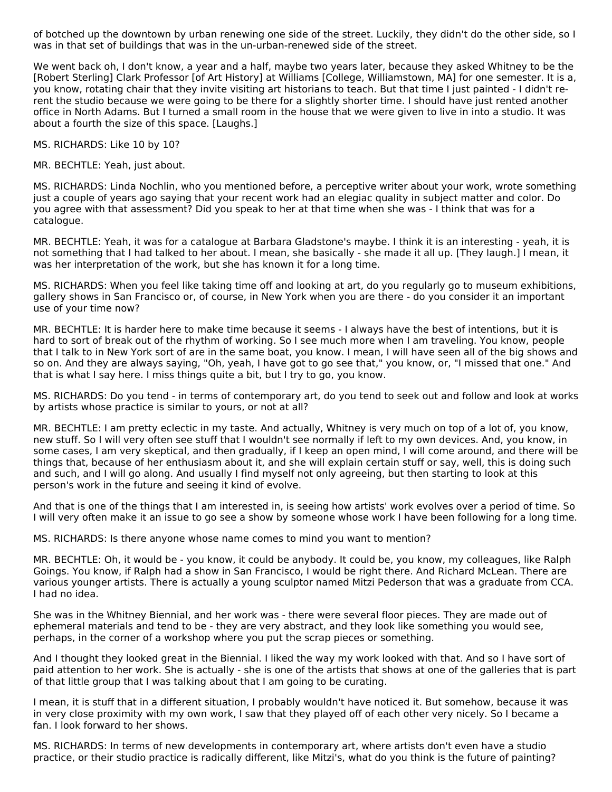of botched up the downtown by urban renewing one side of the street. Luckily, they didn't do the other side, so I was in that set of buildings that was in the un-urban-renewed side of the street.

We went back oh, I don't know, a year and a half, maybe two years later, because they asked Whitney to be the [Robert Sterling] Clark Professor [of Art History] at Williams [College, Williamstown, MA] for one semester. It is a, you know, rotating chair that they invite visiting art historians to teach. But that time I just painted - I didn't rerent the studio because we were going to be there for a slightly shorter time. I should have just rented another office in North Adams. But I turned a small room in the house that we were given to live in into a studio. It was about a fourth the size of this space. [Laughs.]

MS. RICHARDS: Like 10 by 10?

MR. BECHTLE: Yeah, just about.

MS. RICHARDS: Linda Nochlin, who you mentioned before, a perceptive writer about your work, wrote something just a couple of years ago saying that your recent work had an elegiac quality in subject matter and color. Do you agree with that assessment? Did you speak to her at that time when she was - I think that was for a catalogue.

MR. BECHTLE: Yeah, it was for a catalogue at Barbara Gladstone's maybe. I think it is an interesting - yeah, it is not something that I had talked to her about. I mean, she basically - she made it all up. [They laugh.] I mean, it was her interpretation of the work, but she has known it for a long time.

MS. RICHARDS: When you feel like taking time off and looking at art, do you regularly go to museum exhibitions, gallery shows in San Francisco or, of course, in New York when you are there - do you consider it an important use of your time now?

MR. BECHTLE: It is harder here to make time because it seems - I always have the best of intentions, but it is hard to sort of break out of the rhythm of working. So I see much more when I am traveling. You know, people that I talk to in New York sort of are in the same boat, you know. I mean, I will have seen all of the big shows and so on. And they are always saying, "Oh, yeah, I have got to go see that," you know, or, "I missed that one." And that is what I say here. I miss things quite a bit, but I try to go, you know.

MS. RICHARDS: Do you tend - in terms of contemporary art, do you tend to seek out and follow and look at works by artists whose practice is similar to yours, or not at all?

MR. BECHTLE: I am pretty eclectic in my taste. And actually, Whitney is very much on top of a lot of, you know, new stuff. So I will very often see stuff that I wouldn't see normally if left to my own devices. And, you know, in some cases, I am very skeptical, and then gradually, if I keep an open mind, I will come around, and there will be things that, because of her enthusiasm about it, and she will explain certain stuff or say, well, this is doing such and such, and I will go along. And usually I find myself not only agreeing, but then starting to look at this person's work in the future and seeing it kind of evolve.

And that is one of the things that I am interested in, is seeing how artists' work evolves over a period of time. So I will very often make it an issue to go see a show by someone whose work I have been following for a long time.

MS. RICHARDS: Is there anyone whose name comes to mind you want to mention?

MR. BECHTLE: Oh, it would be - you know, it could be anybody. It could be, you know, my colleagues, like Ralph Goings. You know, if Ralph had a show in San Francisco, I would be right there. And Richard McLean. There are various younger artists. There is actually a young sculptor named Mitzi Pederson that was a graduate from CCA. I had no idea.

She was in the Whitney Biennial, and her work was - there were several floor pieces. They are made out of ephemeral materials and tend to be - they are very abstract, and they look like something you would see, perhaps, in the corner of a workshop where you put the scrap pieces or something.

And I thought they looked great in the Biennial. I liked the way my work looked with that. And so I have sort of paid attention to her work. She is actually - she is one of the artists that shows at one of the galleries that is part of that little group that I was talking about that I am going to be curating.

I mean, it is stuff that in a different situation, I probably wouldn't have noticed it. But somehow, because it was in very close proximity with my own work, I saw that they played off of each other very nicely. So I became a fan. I look forward to her shows.

MS. RICHARDS: In terms of new developments in contemporary art, where artists don't even have a studio practice, or their studio practice is radically different, like Mitzi's, what do you think is the future of painting?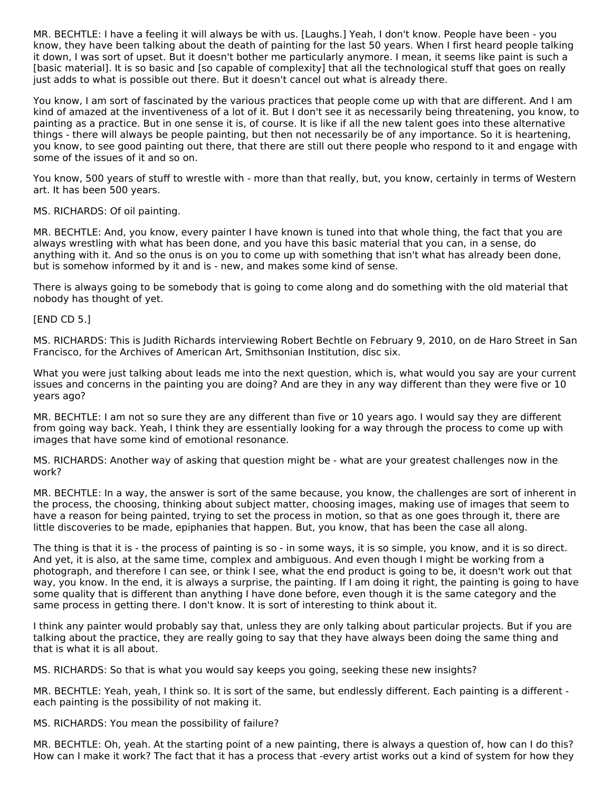MR. BECHTLE: I have a feeling it will always be with us. [Laughs.] Yeah, I don't know. People have been - you know, they have been talking about the death of painting for the last 50 years. When I first heard people talking it down, I was sort of upset. But it doesn't bother me particularly anymore. I mean, it seems like paint is such a [basic material]. It is so basic and [so capable of complexity] that all the technological stuff that goes on really just adds to what is possible out there. But it doesn't cancel out what is already there.

You know, I am sort of fascinated by the various practices that people come up with that are different. And I am kind of amazed at the inventiveness of a lot of it. But I don't see it as necessarily being threatening, you know, to painting as a practice. But in one sense it is, of course. It is like if all the new talent goes into these alternative things - there will always be people painting, but then not necessarily be of any importance. So it is heartening, you know, to see good painting out there, that there are still out there people who respond to it and engage with some of the issues of it and so on.

You know, 500 years of stuff to wrestle with - more than that really, but, you know, certainly in terms of Western art. It has been 500 years.

MS. RICHARDS: Of oil painting.

MR. BECHTLE: And, you know, every painter I have known is tuned into that whole thing, the fact that you are always wrestling with what has been done, and you have this basic material that you can, in a sense, do anything with it. And so the onus is on you to come up with something that isn't what has already been done, but is somehow informed by it and is - new, and makes some kind of sense.

There is always going to be somebody that is going to come along and do something with the old material that nobody has thought of yet.

[END CD 5.]

MS. RICHARDS: This is Judith Richards interviewing Robert Bechtle on February 9, 2010, on de Haro Street in San Francisco, for the Archives of American Art, Smithsonian Institution, disc six.

What you were just talking about leads me into the next question, which is, what would you say are your current issues and concerns in the painting you are doing? And are they in any way different than they were five or 10 years ago?

MR. BECHTLE: I am not so sure they are any different than five or 10 years ago. I would say they are different from going way back. Yeah, I think they are essentially looking for a way through the process to come up with images that have some kind of emotional resonance.

MS. RICHARDS: Another way of asking that question might be - what are your greatest challenges now in the work?

MR. BECHTLE: In a way, the answer is sort of the same because, you know, the challenges are sort of inherent in the process, the choosing, thinking about subject matter, choosing images, making use of images that seem to have a reason for being painted, trying to set the process in motion, so that as one goes through it, there are little discoveries to be made, epiphanies that happen. But, you know, that has been the case all along.

The thing is that it is - the process of painting is so - in some ways, it is so simple, you know, and it is so direct. And yet, it is also, at the same time, complex and ambiguous. And even though I might be working from a photograph, and therefore I can see, or think I see, what the end product is going to be, it doesn't work out that way, you know. In the end, it is always a surprise, the painting. If I am doing it right, the painting is going to have some quality that is different than anything I have done before, even though it is the same category and the same process in getting there. I don't know. It is sort of interesting to think about it.

I think any painter would probably say that, unless they are only talking about particular projects. But if you are talking about the practice, they are really going to say that they have always been doing the same thing and that is what it is all about.

MS. RICHARDS: So that is what you would say keeps you going, seeking these new insights?

MR. BECHTLE: Yeah, yeah, I think so. It is sort of the same, but endlessly different. Each painting is a different each painting is the possibility of not making it.

MS. RICHARDS: You mean the possibility of failure?

MR. BECHTLE: Oh, yeah. At the starting point of a new painting, there is always a question of, how can I do this? How can I make it work? The fact that it has a process that -every artist works out a kind of system for how they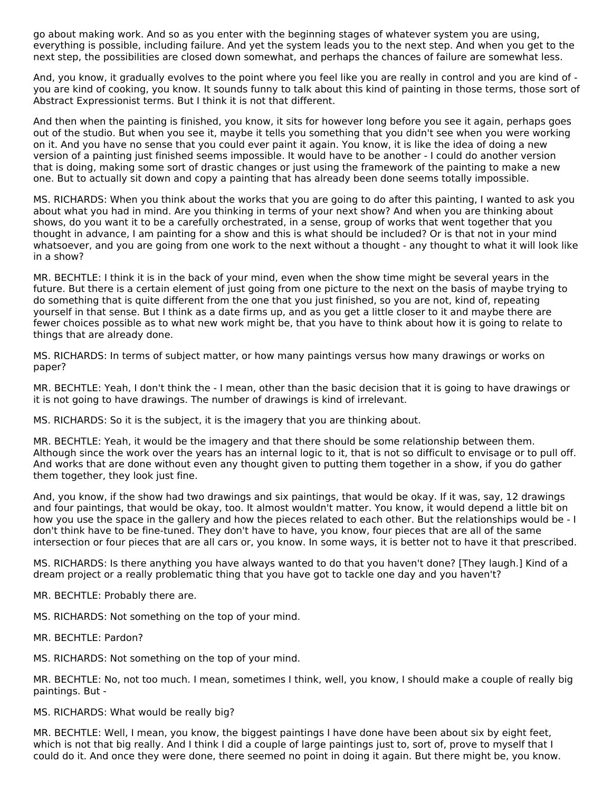go about making work. And so as you enter with the beginning stages of whatever system you are using, everything is possible, including failure. And yet the system leads you to the next step. And when you get to the next step, the possibilities are closed down somewhat, and perhaps the chances of failure are somewhat less.

And, you know, it gradually evolves to the point where you feel like you are really in control and you are kind of you are kind of cooking, you know. It sounds funny to talk about this kind of painting in those terms, those sort of Abstract Expressionist terms. But I think it is not that different.

And then when the painting is finished, you know, it sits for however long before you see it again, perhaps goes out of the studio. But when you see it, maybe it tells you something that you didn't see when you were working on it. And you have no sense that you could ever paint it again. You know, it is like the idea of doing a new version of a painting just finished seems impossible. It would have to be another - I could do another version that is doing, making some sort of drastic changes or just using the framework of the painting to make a new one. But to actually sit down and copy a painting that has already been done seems totally impossible.

MS. RICHARDS: When you think about the works that you are going to do after this painting, I wanted to ask you about what you had in mind. Are you thinking in terms of your next show? And when you are thinking about shows, do you want it to be a carefully orchestrated, in a sense, group of works that went together that you thought in advance, I am painting for a show and this is what should be included? Or is that not in your mind whatsoever, and you are going from one work to the next without a thought - any thought to what it will look like in a show?

MR. BECHTLE: I think it is in the back of your mind, even when the show time might be several years in the future. But there is a certain element of just going from one picture to the next on the basis of maybe trying to do something that is quite different from the one that you just finished, so you are not, kind of, repeating yourself in that sense. But I think as a date firms up, and as you get a little closer to it and maybe there are fewer choices possible as to what new work might be, that you have to think about how it is going to relate to things that are already done.

MS. RICHARDS: In terms of subject matter, or how many paintings versus how many drawings or works on paper?

MR. BECHTLE: Yeah, I don't think the - I mean, other than the basic decision that it is going to have drawings or it is not going to have drawings. The number of drawings is kind of irrelevant.

MS. RICHARDS: So it is the subject, it is the imagery that you are thinking about.

MR. BECHTLE: Yeah, it would be the imagery and that there should be some relationship between them. Although since the work over the years has an internal logic to it, that is not so difficult to envisage or to pull off. And works that are done without even any thought given to putting them together in a show, if you do gather them together, they look just fine.

And, you know, if the show had two drawings and six paintings, that would be okay. If it was, say, 12 drawings and four paintings, that would be okay, too. It almost wouldn't matter. You know, it would depend a little bit on how you use the space in the gallery and how the pieces related to each other. But the relationships would be - I don't think have to be fine-tuned. They don't have to have, you know, four pieces that are all of the same intersection or four pieces that are all cars or, you know. In some ways, it is better not to have it that prescribed.

MS. RICHARDS: Is there anything you have always wanted to do that you haven't done? [They laugh.] Kind of a dream project or a really problematic thing that you have got to tackle one day and you haven't?

MR. BECHTLE: Probably there are.

MS. RICHARDS: Not something on the top of your mind.

MR. BECHTLE: Pardon?

MS. RICHARDS: Not something on the top of your mind.

MR. BECHTLE: No, not too much. I mean, sometimes I think, well, you know, I should make a couple of really big paintings. But -

MS. RICHARDS: What would be really big?

MR. BECHTLE: Well, I mean, you know, the biggest paintings I have done have been about six by eight feet, which is not that big really. And I think I did a couple of large paintings just to, sort of, prove to myself that I could do it. And once they were done, there seemed no point in doing it again. But there might be, you know.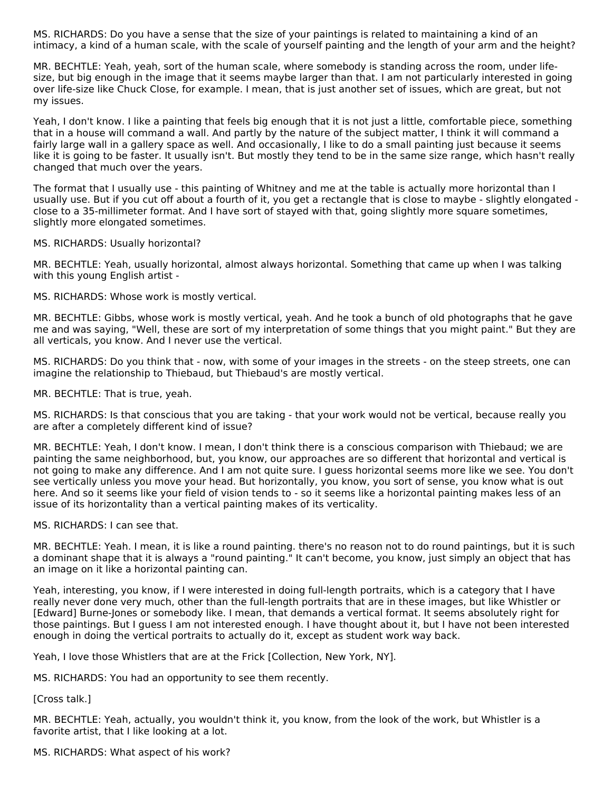MS. RICHARDS: Do you have a sense that the size of your paintings is related to maintaining a kind of an intimacy, a kind of a human scale, with the scale of yourself painting and the length of your arm and the height?

MR. BECHTLE: Yeah, yeah, sort of the human scale, where somebody is standing across the room, under lifesize, but big enough in the image that it seems maybe larger than that. I am not particularly interested in going over life-size like Chuck Close, for example. I mean, that is just another set of issues, which are great, but not my issues.

Yeah, I don't know. I like a painting that feels big enough that it is not just a little, comfortable piece, something that in a house will command a wall. And partly by the nature of the subject matter, I think it will command a fairly large wall in a gallery space as well. And occasionally, I like to do a small painting just because it seems like it is going to be faster. It usually isn't. But mostly they tend to be in the same size range, which hasn't really changed that much over the years.

The format that I usually use - this painting of Whitney and me at the table is actually more horizontal than I usually use. But if you cut off about a fourth of it, you get a rectangle that is close to maybe - slightly elongated close to a 35-millimeter format. And I have sort of stayed with that, going slightly more square sometimes, slightly more elongated sometimes.

MS. RICHARDS: Usually horizontal?

MR. BECHTLE: Yeah, usually horizontal, almost always horizontal. Something that came up when I was talking with this young English artist -

MS. RICHARDS: Whose work is mostly vertical.

MR. BECHTLE: Gibbs, whose work is mostly vertical, yeah. And he took a bunch of old photographs that he gave me and was saying, "Well, these are sort of my interpretation of some things that you might paint." But they are all verticals, you know. And I never use the vertical.

MS. RICHARDS: Do you think that - now, with some of your images in the streets - on the steep streets, one can imagine the relationship to Thiebaud, but Thiebaud's are mostly vertical.

MR. BECHTLE: That is true, yeah.

MS. RICHARDS: Is that conscious that you are taking - that your work would not be vertical, because really you are after a completely different kind of issue?

MR. BECHTLE: Yeah, I don't know. I mean, I don't think there is a conscious comparison with Thiebaud; we are painting the same neighborhood, but, you know, our approaches are so different that horizontal and vertical is not going to make any difference. And I am not quite sure. I guess horizontal seems more like we see. You don't see vertically unless you move your head. But horizontally, you know, you sort of sense, you know what is out here. And so it seems like your field of vision tends to - so it seems like a horizontal painting makes less of an issue of its horizontality than a vertical painting makes of its verticality.

MS. RICHARDS: I can see that.

MR. BECHTLE: Yeah. I mean, it is like a round painting. there's no reason not to do round paintings, but it is such a dominant shape that it is always a "round painting." It can't become, you know, just simply an object that has an image on it like a horizontal painting can.

Yeah, interesting, you know, if I were interested in doing full-length portraits, which is a category that I have really never done very much, other than the full-length portraits that are in these images, but like Whistler or [Edward] Burne-Jones or somebody like. I mean, that demands a vertical format. It seems absolutely right for those paintings. But I guess I am not interested enough. I have thought about it, but I have not been interested enough in doing the vertical portraits to actually do it, except as student work way back.

Yeah, I love those Whistlers that are at the Frick [Collection, New York, NY].

MS. RICHARDS: You had an opportunity to see them recently.

[Cross talk.]

MR. BECHTLE: Yeah, actually, you wouldn't think it, you know, from the look of the work, but Whistler is a favorite artist, that I like looking at a lot.

MS. RICHARDS: What aspect of his work?